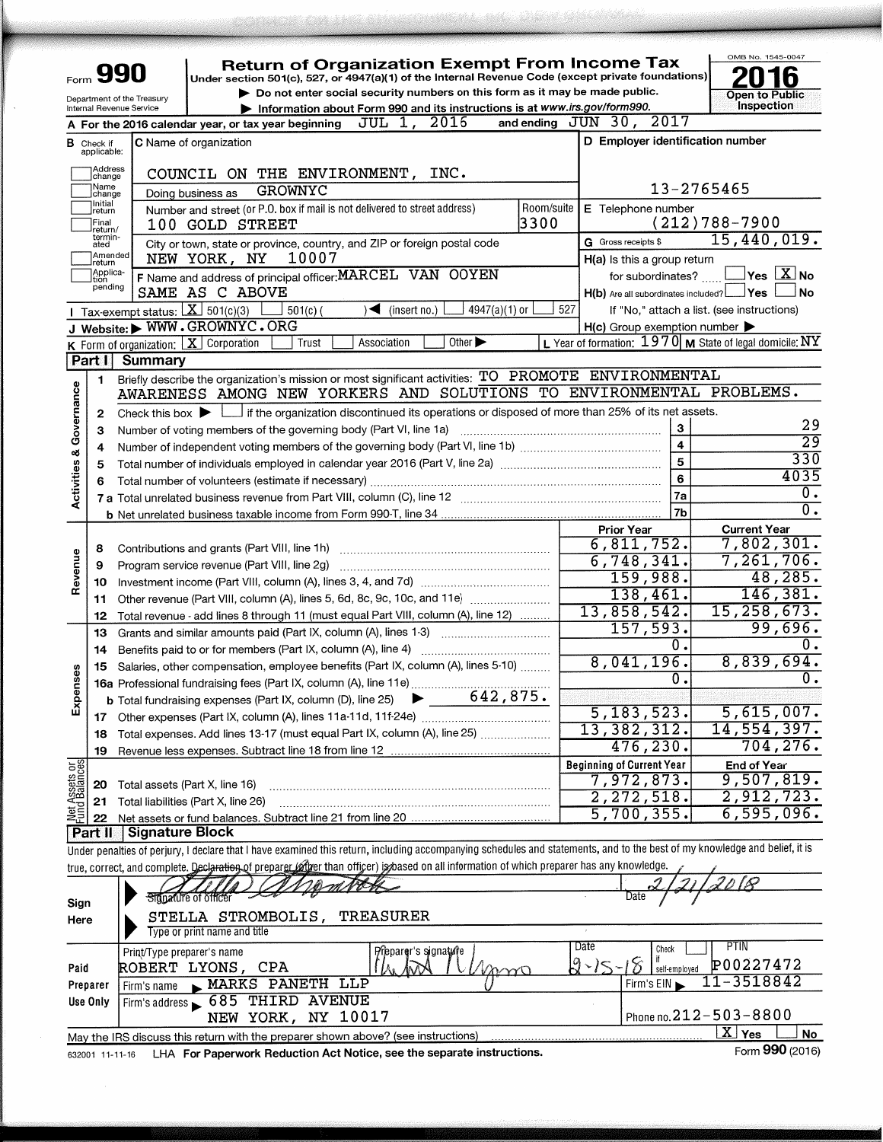| Form                           |                                                                                                                                      | 990                                                    | <b>Return of Organization Exempt From Income Tax</b><br>Under section 501(c), 527, or 4947(a)(1) of the Internal Revenue Code (except private foundations)                          |      |                                                     | OMB No. 1545-0047                                                 |  |  |  |  |  |  |
|--------------------------------|--------------------------------------------------------------------------------------------------------------------------------------|--------------------------------------------------------|-------------------------------------------------------------------------------------------------------------------------------------------------------------------------------------|------|-----------------------------------------------------|-------------------------------------------------------------------|--|--|--|--|--|--|
|                                |                                                                                                                                      | Department of the Treasury<br>Internal Revenue Service | Do not enter social security numbers on this form as it may be made public.<br>Information about Form 990 and its instructions is at www.irs.gov/form990.                           |      |                                                     | <b>Open to Public</b><br>Inspection                               |  |  |  |  |  |  |
|                                |                                                                                                                                      |                                                        | A For the 2016 calendar year, or tax year beginning $JUL$ 1, $2016$                                                                                                                 |      | and ending JUN 30, 2017                             |                                                                   |  |  |  |  |  |  |
| в                              | Check if                                                                                                                             | <b>C</b> Name of organization                          |                                                                                                                                                                                     |      | D Employer identification number                    |                                                                   |  |  |  |  |  |  |
| applicable:                    |                                                                                                                                      |                                                        |                                                                                                                                                                                     |      |                                                     |                                                                   |  |  |  |  |  |  |
|                                | Address<br>COUNCIL ON THE ENVIRONMENT, INC.<br>change                                                                                |                                                        |                                                                                                                                                                                     |      |                                                     |                                                                   |  |  |  |  |  |  |
|                                | 13-2765465<br> Name<br><b>GROWNYC</b><br>Doing business as<br>change                                                                 |                                                        |                                                                                                                                                                                     |      |                                                     |                                                                   |  |  |  |  |  |  |
|                                | Initial<br>Room/suite<br>Number and street (or P.O. box if mail is not delivered to street address)<br>E Telephone number<br> return |                                                        |                                                                                                                                                                                     |      |                                                     |                                                                   |  |  |  |  |  |  |
|                                | Final<br>return/<br>termin-                                                                                                          |                                                        | 100 GOLD STREET                                                                                                                                                                     | 3300 | G Gross receipts \$                                 | $(212)788 - 7900$<br>15,440,019.                                  |  |  |  |  |  |  |
|                                | ated<br>Amended                                                                                                                      | NEW YORK, NY                                           | City or town, state or province, country, and ZIP or foreign postal code<br>10007                                                                                                   |      | H(a) is this a group return                         |                                                                   |  |  |  |  |  |  |
|                                | return<br>Applica-                                                                                                                   |                                                        | F Name and address of principal officer: MARCEL VAN OOYEN                                                                                                                           |      | for subordinates?                                   | $Yes$ $\overline{X}$ No                                           |  |  |  |  |  |  |
|                                | tion<br>pending                                                                                                                      | SAME AS C ABOVE                                        |                                                                                                                                                                                     |      | $H(b)$ Are all subordinates included?               | Yes<br>No                                                         |  |  |  |  |  |  |
|                                |                                                                                                                                      | Tax-exempt status: $X$ 501(c)(3)                       | $4947(a)(1)$ or<br>$501(c)$ (<br>$\sqrt{\bullet}$ (insert no.)                                                                                                                      | 527  |                                                     | If "No," attach a list. (see instructions)                        |  |  |  |  |  |  |
|                                |                                                                                                                                      | J Website: WWW.GROWNYC.ORG                             |                                                                                                                                                                                     |      | $H(c)$ Group exemption number $\blacktriangleright$ |                                                                   |  |  |  |  |  |  |
|                                |                                                                                                                                      | <b>K</b> Form of organization: $X$ Corporation         | Other $\blacktriangleright$<br>Association<br>Trust                                                                                                                                 |      |                                                     | L Year of formation: $1970 \text{ m}$ State of legal domicile: NY |  |  |  |  |  |  |
|                                | Part I                                                                                                                               | Summary                                                |                                                                                                                                                                                     |      |                                                     |                                                                   |  |  |  |  |  |  |
|                                | 1.                                                                                                                                   |                                                        | Briefly describe the organization's mission or most significant activities: TO PROMOTE ENVIRONMENTAL                                                                                |      |                                                     |                                                                   |  |  |  |  |  |  |
|                                |                                                                                                                                      |                                                        | AWARENESS AMONG NEW YORKERS AND SOLUTIONS TO ENVIRONMENTAL PROBLEMS.                                                                                                                |      |                                                     |                                                                   |  |  |  |  |  |  |
| & Governance                   | $\mathbf{2}$                                                                                                                         |                                                        | Check this box $\blacktriangleright$ If the organization discontinued its operations or disposed of more than 25% of its net assets.                                                |      | $\mathbf{3}$                                        | 29                                                                |  |  |  |  |  |  |
|                                | З                                                                                                                                    |                                                        | Number of voting members of the governing body (Part VI, line 1a)<br>Number of independent voting members of the governing body (Part VI, line 1b) [[[[[[[[[[[[[[[[[[[[[[[[[[[[[[]] |      | $\overline{\mathbf{4}}$                             | 29                                                                |  |  |  |  |  |  |
|                                | 4<br>5                                                                                                                               |                                                        | Total number of individuals employed in calendar year 2016 (Part V, line 2a) [10] manuscription of individuals employed in calendar year 2016 (Part V, line 2a)                     |      | 5                                                   | 330                                                               |  |  |  |  |  |  |
| Activities                     | 6                                                                                                                                    |                                                        | Total number of volunteers (estimate if necessary)                                                                                                                                  |      | 6                                                   | 4035                                                              |  |  |  |  |  |  |
|                                |                                                                                                                                      |                                                        |                                                                                                                                                                                     |      | 7a                                                  | $\overline{0}$ .                                                  |  |  |  |  |  |  |
|                                |                                                                                                                                      |                                                        |                                                                                                                                                                                     |      | 7 <sub>b</sub>                                      | σ.                                                                |  |  |  |  |  |  |
|                                |                                                                                                                                      |                                                        |                                                                                                                                                                                     |      | <b>Prior Year</b>                                   | <b>Current Year</b>                                               |  |  |  |  |  |  |
|                                | 8                                                                                                                                    |                                                        |                                                                                                                                                                                     |      | 6,811,752.                                          | 7,802,301.                                                        |  |  |  |  |  |  |
| Revenue                        | 9                                                                                                                                    |                                                        | Program service revenue (Part VIII, line 2g)                                                                                                                                        |      | 6,748,341.                                          | 7,261,706.                                                        |  |  |  |  |  |  |
|                                | 10                                                                                                                                   |                                                        |                                                                                                                                                                                     |      | 159,988.<br>138,461.                                | 48,285.<br>146, 381.                                              |  |  |  |  |  |  |
|                                | 11                                                                                                                                   |                                                        | Other revenue (Part VIII, column (A), lines 5, 6d, 8c, 9c, 10c, and 11e)                                                                                                            |      | 13,858,542.                                         | 15,258,673.                                                       |  |  |  |  |  |  |
|                                | 12                                                                                                                                   |                                                        | Total revenue - add lines 8 through 11 (must equal Part VIII, column (A), line 12)                                                                                                  |      | 157,593.                                            | 99,696.                                                           |  |  |  |  |  |  |
|                                | 13<br>14                                                                                                                             |                                                        | Grants and similar amounts paid (Part IX, column (A), lines 1-3)<br>Benefits paid to or for members (Part IX, column (A), line 4)                                                   |      | 0.                                                  | Ω,                                                                |  |  |  |  |  |  |
|                                | 15                                                                                                                                   |                                                        | Salaries, other compensation, employee benefits (Part IX, column (A), lines 5-10)                                                                                                   |      | 8,041,196.                                          | 8,839,694.                                                        |  |  |  |  |  |  |
| enses                          |                                                                                                                                      |                                                        |                                                                                                                                                                                     |      | 0.                                                  | δ.                                                                |  |  |  |  |  |  |
| Expe                           |                                                                                                                                      |                                                        | 642,875.<br><b>b</b> Total fundraising expenses (Part IX, column (D), line 25)                                                                                                      |      |                                                     |                                                                   |  |  |  |  |  |  |
|                                |                                                                                                                                      |                                                        |                                                                                                                                                                                     |      | 5, 183, 523.                                        | 5,615,007.                                                        |  |  |  |  |  |  |
|                                | 18                                                                                                                                   |                                                        | Total expenses. Add lines 13-17 (must equal Part IX, column (A), line 25)                                                                                                           |      | 13,382,312.                                         | 14,554,397.                                                       |  |  |  |  |  |  |
|                                | 19                                                                                                                                   |                                                        |                                                                                                                                                                                     |      | 476,230.                                            | 704,276.                                                          |  |  |  |  |  |  |
| Net Assets or<br>Fund Balances |                                                                                                                                      |                                                        |                                                                                                                                                                                     |      | <b>Beginning of Current Year</b>                    | <b>End of Year</b><br>9,507,819.                                  |  |  |  |  |  |  |
|                                | 20                                                                                                                                   | Total assets (Part X, line 16)                         |                                                                                                                                                                                     |      | 7,972,873.<br>2,272,518.                            | 2,912,723.                                                        |  |  |  |  |  |  |
|                                | 21                                                                                                                                   | Total liabilities (Part X, line 26)                    |                                                                                                                                                                                     |      | 5,700,355.                                          | 6,595,096.                                                        |  |  |  |  |  |  |
|                                | 22<br>Part II                                                                                                                        | <b>Signature Block</b>                                 |                                                                                                                                                                                     |      |                                                     |                                                                   |  |  |  |  |  |  |
|                                |                                                                                                                                      |                                                        | Under penalties of perjury, I declare that I have examined this return, including accompanying schedules and statements, and to the best of my knowledge and belief, it is          |      |                                                     |                                                                   |  |  |  |  |  |  |
|                                |                                                                                                                                      |                                                        | true, correct, and complete. Declaration of preparer (after than officer) is based on all information of which preparer has any knowledge.                                          |      |                                                     |                                                                   |  |  |  |  |  |  |
|                                |                                                                                                                                      |                                                        |                                                                                                                                                                                     |      |                                                     |                                                                   |  |  |  |  |  |  |
| Sign                           |                                                                                                                                      | Signature of officer                                   |                                                                                                                                                                                     |      | Date                                                |                                                                   |  |  |  |  |  |  |
| Here                           |                                                                                                                                      |                                                        | <b>TREASURER</b><br>STELLA STROMBOLIS,                                                                                                                                              |      |                                                     |                                                                   |  |  |  |  |  |  |
|                                |                                                                                                                                      | Type or print name and title                           |                                                                                                                                                                                     |      | Date<br>Check                                       | PTIN                                                              |  |  |  |  |  |  |
|                                |                                                                                                                                      | Print/Type preparer's name                             | Preparer's signatique                                                                                                                                                               |      | if<br>$2 - 15$<br>$\mathcal{E}$                     | P00227472                                                         |  |  |  |  |  |  |
| Paid                           | Preparer                                                                                                                             | ROBERT LYONS, CPA<br>Firm's name                       | man<br>MARKS PANETH LLP                                                                                                                                                             |      | self-employed<br>Firm's EIN                         | 11-3518842                                                        |  |  |  |  |  |  |
|                                | Use Only                                                                                                                             |                                                        | Firm's address 685 THIRD AVENUE                                                                                                                                                     |      |                                                     |                                                                   |  |  |  |  |  |  |
|                                |                                                                                                                                      |                                                        | NEW YORK, NY 10017                                                                                                                                                                  |      |                                                     | Phone no. 212-503-8800                                            |  |  |  |  |  |  |
|                                |                                                                                                                                      |                                                        | May the IRS discuss this return with the preparer shown above? (see instructions)                                                                                                   |      |                                                     | $\overline{\text{X}}$ Yes<br>No                                   |  |  |  |  |  |  |
|                                | 632001 11-11-16                                                                                                                      |                                                        | LHA For Paperwork Reduction Act Notice, see the separate instructions.                                                                                                              |      |                                                     | Form 990 (2016)                                                   |  |  |  |  |  |  |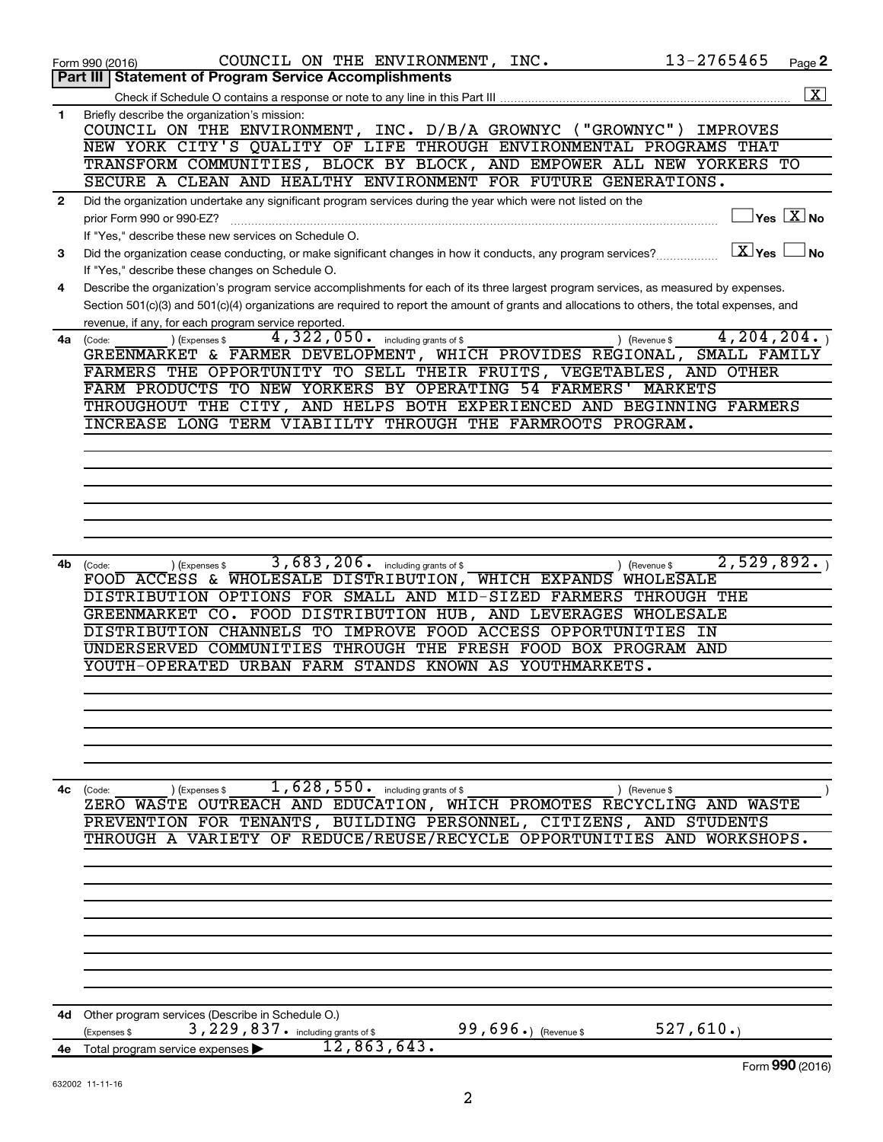|              | 13-2765465<br>COUNCIL ON THE ENVIRONMENT, INC.<br>Page 2<br>Form 990 (2016)                                                                   |
|--------------|-----------------------------------------------------------------------------------------------------------------------------------------------|
|              | Part III   Statement of Program Service Accomplishments                                                                                       |
|              | $\overline{\mathbf{x}}$                                                                                                                       |
| 1            | Briefly describe the organization's mission:                                                                                                  |
|              | COUNCIL ON THE ENVIRONMENT, INC. D/B/A GROWNYC ("GROWNYC")<br><b>IMPROVES</b>                                                                 |
|              | NEW YORK CITY'S QUALITY OF LIFE THROUGH ENVIRONMENTAL PROGRAMS THAT                                                                           |
|              | TRANSFORM COMMUNITIES, BLOCK BY BLOCK, AND EMPOWER ALL NEW YORKERS TO                                                                         |
|              | SECURE A CLEAN AND HEALTHY ENVIRONMENT FOR FUTURE GENERATIONS.                                                                                |
| $\mathbf{2}$ | Did the organization undertake any significant program services during the year which were not listed on the                                  |
|              | $\Box$ Yes $[\overline{\mathrm{X}}]$ No<br>prior Form 990 or 990-EZ?                                                                          |
|              | If "Yes," describe these new services on Schedule O.                                                                                          |
| 3            | $\boxed{\text{X}}$ Yes<br>⊿No<br>Did the organization cease conducting, or make significant changes in how it conducts, any program services? |
|              | If "Yes," describe these changes on Schedule O.                                                                                               |
| 4            | Describe the organization's program service accomplishments for each of its three largest program services, as measured by expenses.          |
|              | Section 501(c)(3) and 501(c)(4) organizations are required to report the amount of grants and allocations to others, the total expenses, and  |
|              | revenue, if any, for each program service reported.                                                                                           |
| 4a           | 4, 204, 204.<br>$4,322,050$ $\cdot$ including grants of \$<br>) (Revenue \$<br>(Code:<br>(Expenses \$                                         |
|              | GREENMARKET & FARMER DEVELOPMENT, WHICH PROVIDES REGIONAL, SMALL FAMILY                                                                       |
|              | FARMERS THE OPPORTUNITY TO SELL THEIR FRUITS, VEGETABLES, AND OTHER                                                                           |
|              | FARM PRODUCTS TO NEW YORKERS BY OPERATING 54 FARMERS' MARKETS                                                                                 |
|              | THROUGHOUT THE CITY, AND HELPS BOTH EXPERIENCED AND BEGINNING FARMERS                                                                         |
|              | INCREASE LONG TERM VIABIILTY THROUGH THE FARMROOTS PROGRAM.                                                                                   |
|              |                                                                                                                                               |
|              |                                                                                                                                               |
|              |                                                                                                                                               |
|              |                                                                                                                                               |
|              |                                                                                                                                               |
|              |                                                                                                                                               |
|              | 2,529,892.                                                                                                                                    |
| 4b           | 3,683,206. including grants of \$<br>(Code:<br>(Expenses \$<br>) (Revenue \$<br>FOOD ACCESS & WHOLESALE DISTRIBUTION, WHICH EXPANDS WHOLESALE |
|              | DISTRIBUTION OPTIONS FOR SMALL AND MID-SIZED FARMERS<br>THROUGH THE                                                                           |
|              | GREENMARKET CO. FOOD DISTRIBUTION HUB, AND LEVERAGES<br>WHOLESALE                                                                             |
|              | DISTRIBUTION CHANNELS TO IMPROVE FOOD ACCESS OPPORTUNITIES<br>IN                                                                              |
|              | UNDERSERVED COMMUNITIES THROUGH THE FRESH FOOD BOX PROGRAM AND                                                                                |
|              | YOUTH-OPERATED URBAN FARM STANDS KNOWN AS YOUTHMARKETS.                                                                                       |
|              |                                                                                                                                               |
|              |                                                                                                                                               |
|              |                                                                                                                                               |
|              |                                                                                                                                               |
|              |                                                                                                                                               |
|              |                                                                                                                                               |
| 4с           | $1,628,550$ $\cdot$ including grants of \$<br>) (Expenses \$<br>) (Revenue \$<br>(Code:                                                       |
|              | ZERO WASTE OUTREACH AND EDUCATION, WHICH PROMOTES RECYCLING AND<br>WASTE                                                                      |
|              | PREVENTION FOR TENANTS, BUILDING PERSONNEL, CITIZENS, AND STUDENTS                                                                            |
|              | THROUGH A VARIETY OF REDUCE/REUSE/RECYCLE OPPORTUNITIES AND<br>WORKSHOPS.                                                                     |
|              |                                                                                                                                               |
|              |                                                                                                                                               |
|              |                                                                                                                                               |
|              |                                                                                                                                               |
|              |                                                                                                                                               |
|              |                                                                                                                                               |
|              |                                                                                                                                               |
|              |                                                                                                                                               |
|              |                                                                                                                                               |
| 4d           | Other program services (Describe in Schedule O.)                                                                                              |
|              | 99,696.) (Revenue \$<br>527,610.<br>3, 229, 837. including grants of \$<br>(Expenses \$<br>12,863,643.                                        |
|              | 4e Total program service expenses<br>Form 990 (2016)                                                                                          |
|              |                                                                                                                                               |

2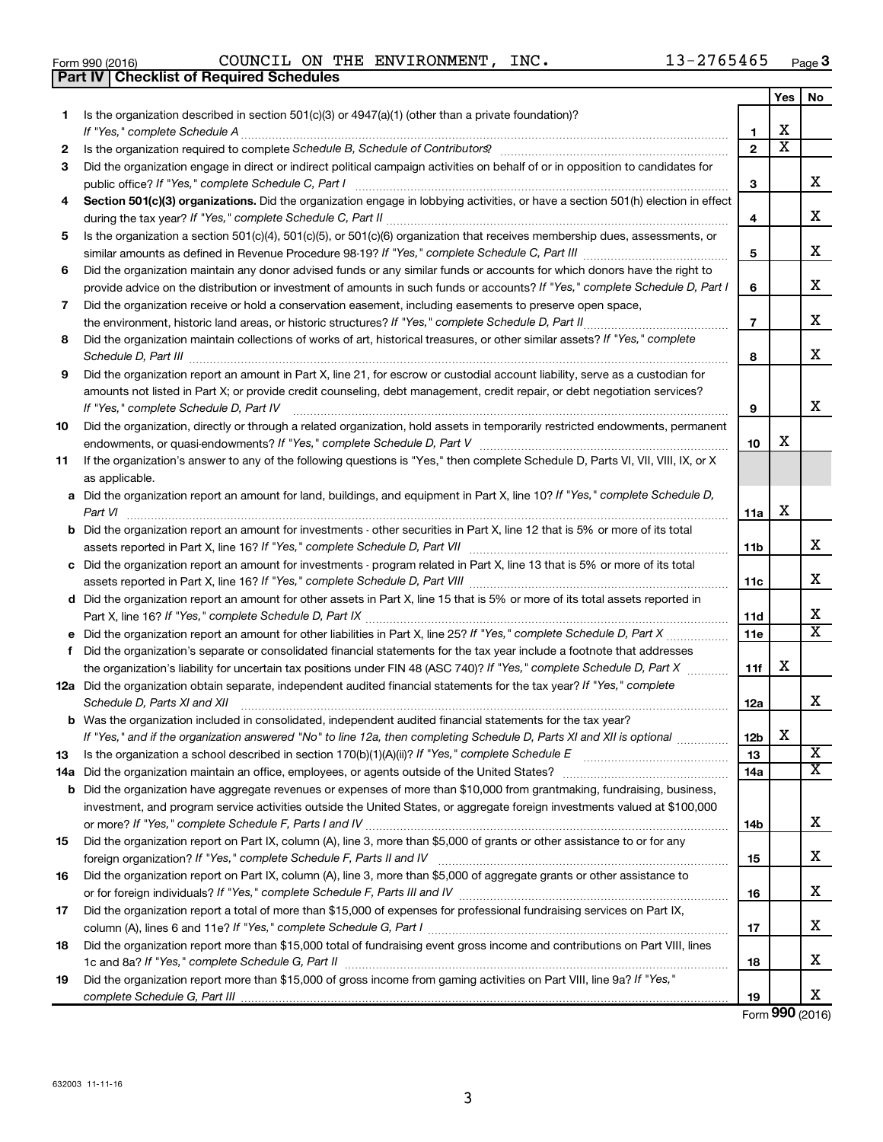| Form 990 (2016) |                                                  |  | COUNCIL ON THE ENVIRONMENT | INC. | 13-2765465 | Page |
|-----------------|--------------------------------------------------|--|----------------------------|------|------------|------|
|                 | <b>Part IV   Checklist of Required Schedules</b> |  |                            |      |            |      |

|    |                                                                                                                                                |                 | Yes                   | No                      |
|----|------------------------------------------------------------------------------------------------------------------------------------------------|-----------------|-----------------------|-------------------------|
| 1  | Is the organization described in section $501(c)(3)$ or $4947(a)(1)$ (other than a private foundation)?                                        |                 |                       |                         |
|    |                                                                                                                                                | 1               | X                     |                         |
| 2  |                                                                                                                                                | $\overline{2}$  | $\overline{\text{x}}$ |                         |
| 3  | Did the organization engage in direct or indirect political campaign activities on behalf of or in opposition to candidates for                | 3               |                       | x                       |
| 4  | Section 501(c)(3) organizations. Did the organization engage in lobbying activities, or have a section 501(h) election in effect               |                 |                       |                         |
|    |                                                                                                                                                | 4               |                       | x                       |
| 5  | Is the organization a section 501(c)(4), 501(c)(5), or 501(c)(6) organization that receives membership dues, assessments, or                   |                 |                       |                         |
|    |                                                                                                                                                | 5               |                       | x                       |
| 6  | Did the organization maintain any donor advised funds or any similar funds or accounts for which donors have the right to                      |                 |                       |                         |
|    | provide advice on the distribution or investment of amounts in such funds or accounts? If "Yes," complete Schedule D, Part I                   | 6               |                       | x                       |
| 7  | Did the organization receive or hold a conservation easement, including easements to preserve open space,                                      |                 |                       |                         |
|    |                                                                                                                                                | $\overline{7}$  |                       | x                       |
| 8  | Did the organization maintain collections of works of art, historical treasures, or other similar assets? If "Yes," complete                   | 8               |                       | x                       |
| 9  | Did the organization report an amount in Part X, line 21, for escrow or custodial account liability, serve as a custodian for                  |                 |                       |                         |
|    | amounts not listed in Part X; or provide credit counseling, debt management, credit repair, or debt negotiation services?                      |                 |                       |                         |
|    | If "Yes," complete Schedule D, Part IV                                                                                                         | 9               |                       | x                       |
| 10 | Did the organization, directly or through a related organization, hold assets in temporarily restricted endowments, permanent                  |                 |                       |                         |
|    |                                                                                                                                                | 10              | х                     |                         |
| 11 | If the organization's answer to any of the following questions is "Yes," then complete Schedule D, Parts VI, VII, VIII, IX, or X               |                 |                       |                         |
|    | as applicable.                                                                                                                                 |                 |                       |                         |
|    | a Did the organization report an amount for land, buildings, and equipment in Part X, line 10? If "Yes," complete Schedule D,<br>Part VI       | 11a             | X                     |                         |
|    | <b>b</b> Did the organization report an amount for investments - other securities in Part X, line 12 that is 5% or more of its total           |                 |                       |                         |
|    | assets reported in Part X, line 16? If "Yes," complete Schedule D, Part VII [11] [11] [12] [12] [12] [12] [13] [                               | 11b             |                       | x                       |
|    | c Did the organization report an amount for investments - program related in Part X, line 13 that is 5% or more of its total                   |                 |                       | x                       |
|    |                                                                                                                                                | 11c             |                       |                         |
|    | d Did the organization report an amount for other assets in Part X, line 15 that is 5% or more of its total assets reported in                 |                 |                       | x                       |
|    |                                                                                                                                                | 11d<br>11e      |                       | $\overline{\mathtt{x}}$ |
|    | f Did the organization's separate or consolidated financial statements for the tax year include a footnote that addresses                      |                 |                       |                         |
|    | the organization's liability for uncertain tax positions under FIN 48 (ASC 740)? If "Yes," complete Schedule D, Part X                         | 11f             | х                     |                         |
|    | 12a Did the organization obtain separate, independent audited financial statements for the tax year? If "Yes," complete                        |                 |                       |                         |
|    | Schedule D, Parts XI and XII<br>and a complete the contract of the contract of the contract of the contract of the contract of the contract of | 12a             |                       | x                       |
|    | <b>b</b> Was the organization included in consolidated, independent audited financial statements for the tax year?                             |                 |                       |                         |
|    | If "Yes," and if the organization answered "No" to line 12a, then completing Schedule D, Parts XI and XII is optional <i>maniming</i>          | 12 <sub>b</sub> | X.                    |                         |
| 13 |                                                                                                                                                | 13              |                       | X                       |
|    |                                                                                                                                                | 14a             |                       | $\overline{\mathbf{x}}$ |
|    | <b>b</b> Did the organization have aggregate revenues or expenses of more than \$10,000 from grantmaking, fundraising, business,               |                 |                       |                         |
|    | investment, and program service activities outside the United States, or aggregate foreign investments valued at \$100,000                     |                 |                       |                         |
|    |                                                                                                                                                | 14b             |                       | x                       |
| 15 | Did the organization report on Part IX, column (A), line 3, more than \$5,000 of grants or other assistance to or for any                      |                 |                       |                         |
|    |                                                                                                                                                | 15              |                       | X                       |
| 16 | Did the organization report on Part IX, column (A), line 3, more than \$5,000 of aggregate grants or other assistance to                       | 16              |                       | X                       |
| 17 | Did the organization report a total of more than \$15,000 of expenses for professional fundraising services on Part IX,                        |                 |                       |                         |
|    |                                                                                                                                                | 17              |                       | X                       |
| 18 | Did the organization report more than \$15,000 total of fundraising event gross income and contributions on Part VIII, lines                   |                 |                       |                         |
|    |                                                                                                                                                | 18              |                       | X                       |
| 19 | Did the organization report more than \$15,000 of gross income from gaming activities on Part VIII, line 9a? If "Yes,"                         |                 |                       |                         |
|    |                                                                                                                                                | 19              |                       | х                       |

Form (2016) **990**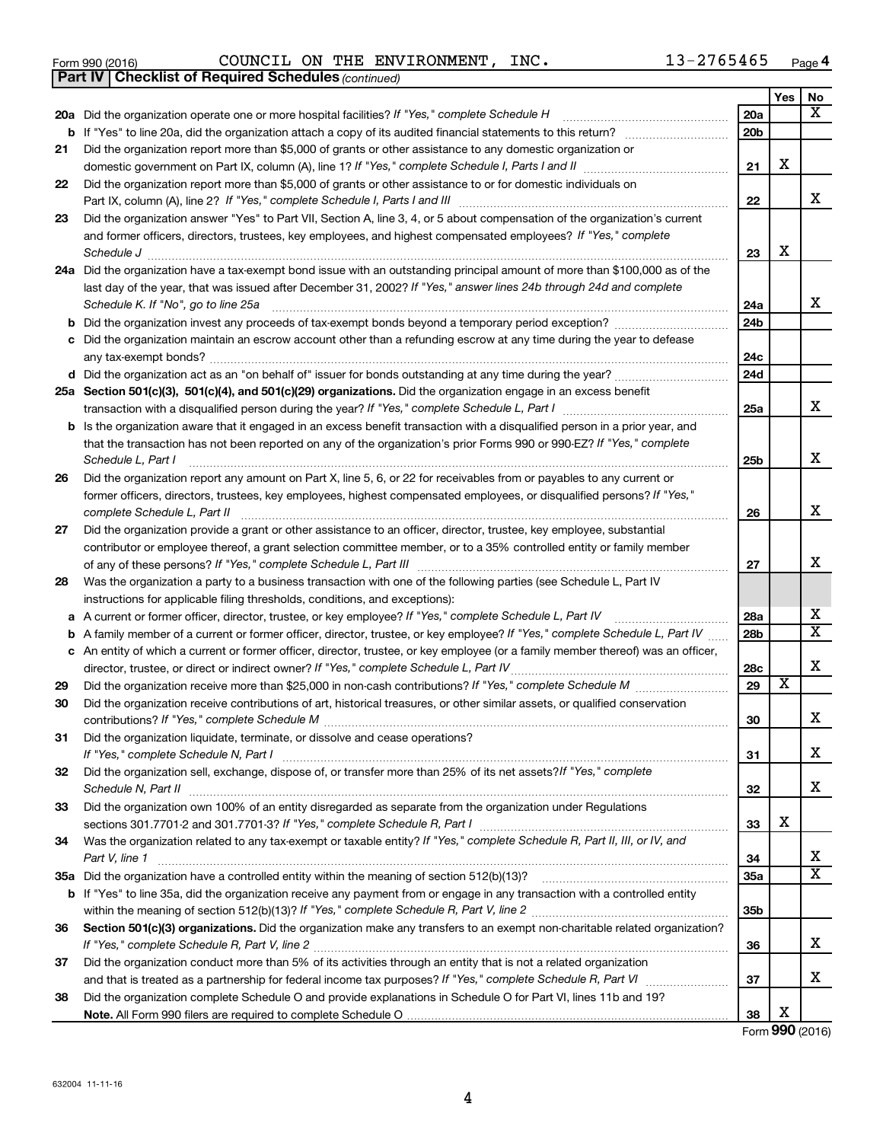|     | 13-2765465                                                                                                                                                                                                                                                                                                                                                                                                                                                                         |                 |     |      |
|-----|------------------------------------------------------------------------------------------------------------------------------------------------------------------------------------------------------------------------------------------------------------------------------------------------------------------------------------------------------------------------------------------------------------------------------------------------------------------------------------|-----------------|-----|------|
|     | COUNCIL ON THE ENVIRONMENT, INC.<br>Form 990 (2016)<br><b>Checklist of Required Schedules (continued)</b><br><b>Part IV</b>                                                                                                                                                                                                                                                                                                                                                        |                 |     | Page |
|     |                                                                                                                                                                                                                                                                                                                                                                                                                                                                                    |                 | Yes | No   |
|     | 20a Did the organization operate one or more hospital facilities? If "Yes," complete Schedule H                                                                                                                                                                                                                                                                                                                                                                                    | 20a             |     | х    |
|     |                                                                                                                                                                                                                                                                                                                                                                                                                                                                                    | 20 <sub>b</sub> |     |      |
| 21  | Did the organization report more than \$5,000 of grants or other assistance to any domestic organization or                                                                                                                                                                                                                                                                                                                                                                        |                 |     |      |
|     |                                                                                                                                                                                                                                                                                                                                                                                                                                                                                    | 21              | х   |      |
| 22  | Did the organization report more than \$5,000 of grants or other assistance to or for domestic individuals on                                                                                                                                                                                                                                                                                                                                                                      |                 |     |      |
|     | Part IX, column (A), line 2? If "Yes," complete Schedule I, Parts I and III [11]] [11]] [11] [11] [11] [11] [1                                                                                                                                                                                                                                                                                                                                                                     | 22              |     | X    |
| 23  | Did the organization answer "Yes" to Part VII, Section A, line 3, 4, or 5 about compensation of the organization's current<br>and former officers, directors, trustees, key employees, and highest compensated employees? If "Yes," complete<br>Schedule J <b>Execute Discusses Constructions</b> and the set of the set of the set of the set of the set of the set of the set of the set of the set of the set of the set of the set of the set of the set of the set of the set | 23              | x   |      |
|     | 24a Did the organization have a tax-exempt bond issue with an outstanding principal amount of more than \$100,000 as of the                                                                                                                                                                                                                                                                                                                                                        |                 |     |      |
|     | last day of the year, that was issued after December 31, 2002? If "Yes," answer lines 24b through 24d and complete<br>Schedule K. If "No", go to line 25a                                                                                                                                                                                                                                                                                                                          | 24a             |     | х    |
| b   |                                                                                                                                                                                                                                                                                                                                                                                                                                                                                    | 24 <sub>b</sub> |     |      |
| с   | Did the organization maintain an escrow account other than a refunding escrow at any time during the year to defease                                                                                                                                                                                                                                                                                                                                                               |                 |     |      |
|     |                                                                                                                                                                                                                                                                                                                                                                                                                                                                                    | 24c             |     |      |
|     |                                                                                                                                                                                                                                                                                                                                                                                                                                                                                    | 24d             |     |      |
|     | 25a Section 501(c)(3), 501(c)(4), and 501(c)(29) organizations. Did the organization engage in an excess benefit                                                                                                                                                                                                                                                                                                                                                                   |                 |     |      |
|     |                                                                                                                                                                                                                                                                                                                                                                                                                                                                                    | 25a             |     | X    |
|     | <b>b</b> Is the organization aware that it engaged in an excess benefit transaction with a disqualified person in a prior year, and                                                                                                                                                                                                                                                                                                                                                |                 |     |      |
|     | that the transaction has not been reported on any of the organization's prior Forms 990 or 990-EZ? If "Yes," complete<br>Schedule L, Part I                                                                                                                                                                                                                                                                                                                                        | 25 <sub>b</sub> |     | X    |
| 26  | Did the organization report any amount on Part X, line 5, 6, or 22 for receivables from or payables to any current or                                                                                                                                                                                                                                                                                                                                                              |                 |     |      |
|     | former officers, directors, trustees, key employees, highest compensated employees, or disqualified persons? If "Yes,"                                                                                                                                                                                                                                                                                                                                                             |                 |     | X    |
|     | complete Schedule L, Part II<br>Did the organization provide a grant or other assistance to an officer, director, trustee, key employee, substantial                                                                                                                                                                                                                                                                                                                               | 26              |     |      |
| 27  | contributor or employee thereof, a grant selection committee member, or to a 35% controlled entity or family member                                                                                                                                                                                                                                                                                                                                                                |                 |     |      |
|     | of any of these persons? If "Yes," complete Schedule L, Part III                                                                                                                                                                                                                                                                                                                                                                                                                   | 27              |     | X    |
| 28  | Was the organization a party to a business transaction with one of the following parties (see Schedule L, Part IV                                                                                                                                                                                                                                                                                                                                                                  |                 |     |      |
|     | instructions for applicable filing thresholds, conditions, and exceptions):                                                                                                                                                                                                                                                                                                                                                                                                        |                 |     |      |
| а   | A current or former officer, director, trustee, or key employee? If "Yes," complete Schedule L, Part IV                                                                                                                                                                                                                                                                                                                                                                            | 28a             |     | х    |
| b   | A family member of a current or former officer, director, trustee, or key employee? If "Yes," complete Schedule L, Part IV                                                                                                                                                                                                                                                                                                                                                         | 28 <sub>b</sub> |     | х    |
|     | An entity of which a current or former officer, director, trustee, or key employee (or a family member thereof) was an officer,                                                                                                                                                                                                                                                                                                                                                    |                 |     |      |
|     | director, trustee, or direct or indirect owner? If "Yes," complete Schedule L, Part IV                                                                                                                                                                                                                                                                                                                                                                                             | 28c             |     | X    |
| 29  |                                                                                                                                                                                                                                                                                                                                                                                                                                                                                    | 29              | X   |      |
| 30  | Did the organization receive contributions of art, historical treasures, or other similar assets, or qualified conservation                                                                                                                                                                                                                                                                                                                                                        | 30              |     | х    |
| 31  | Did the organization liquidate, terminate, or dissolve and cease operations?                                                                                                                                                                                                                                                                                                                                                                                                       |                 |     |      |
|     | If "Yes," complete Schedule N, Part I                                                                                                                                                                                                                                                                                                                                                                                                                                              | 31              |     | х    |
| 32  | Did the organization sell, exchange, dispose of, or transfer more than 25% of its net assets? If "Yes," complete<br>Schedule N, Part II                                                                                                                                                                                                                                                                                                                                            | 32              |     | х    |
| 33  | Did the organization own 100% of an entity disregarded as separate from the organization under Regulations                                                                                                                                                                                                                                                                                                                                                                         | 33              | x   |      |
| 34  | Was the organization related to any tax-exempt or taxable entity? If "Yes," complete Schedule R, Part II, III, or IV, and                                                                                                                                                                                                                                                                                                                                                          |                 |     |      |
|     | Part V, line 1                                                                                                                                                                                                                                                                                                                                                                                                                                                                     | 34              |     | х    |
| 35a | Did the organization have a controlled entity within the meaning of section 512(b)(13)?                                                                                                                                                                                                                                                                                                                                                                                            | 35a             |     | х    |
|     | <b>b</b> If "Yes" to line 35a, did the organization receive any payment from or engage in any transaction with a controlled entity                                                                                                                                                                                                                                                                                                                                                 |                 |     |      |
|     | within the meaning of section 512(b)(13)? If "Yes," complete Schedule R, Part V, line 2                                                                                                                                                                                                                                                                                                                                                                                            | 35b             |     |      |

4

**38 Note.**  All Form 990 filers are required to complete Schedule O and that is treated as a partnership for federal income tax purposes? If "Yes," complete Schedule R, Part VI medi Did the organization complete Schedule O and provide explanations in Schedule O for Part VI, lines 11b and 19?

Form (2016) **990** X

**36**

**37**

**38**

**Yes No**

X

X

X

X

X X

X

X

X

X

X

|  | m 990 (2016) |  |
|--|--------------|--|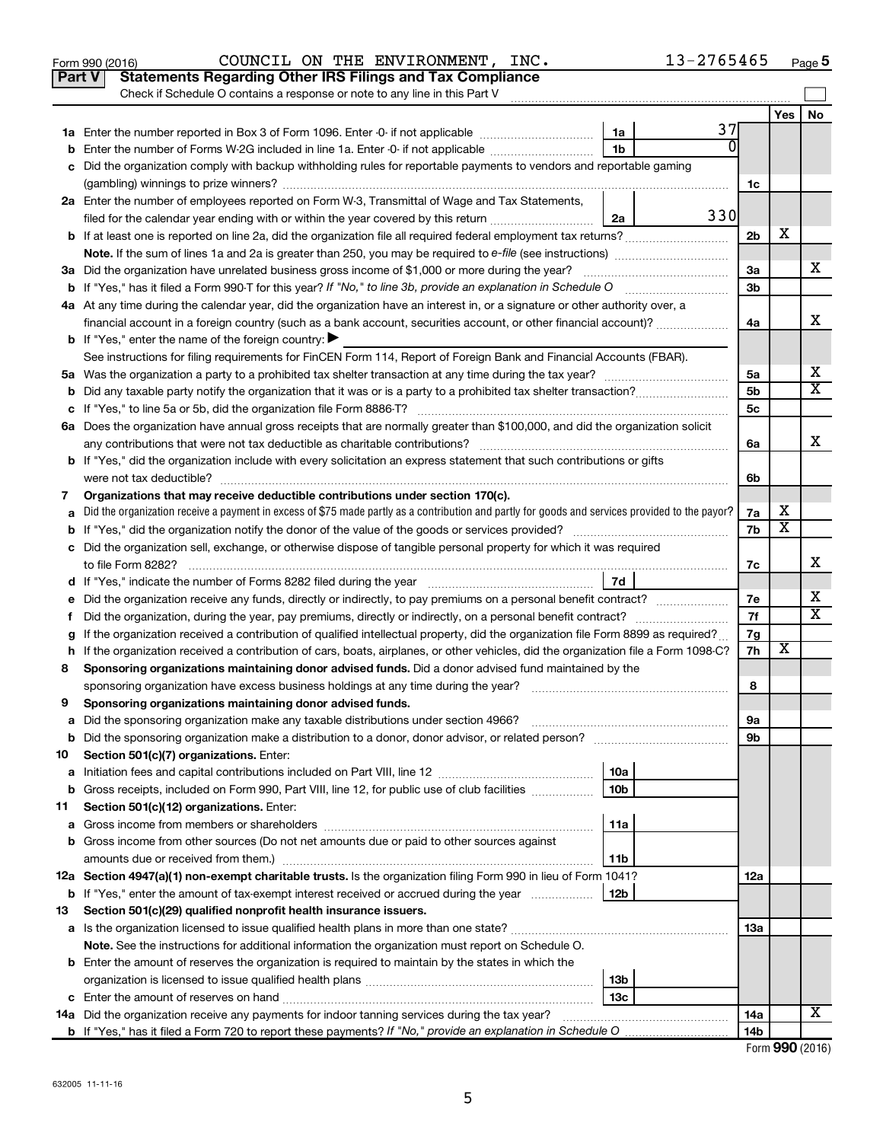|    | Part V<br><b>Statements Regarding Other IRS Filings and Tax Compliance</b>                                                                                                                                                                       |                 |     |                |                         |                         |  |  |  |
|----|--------------------------------------------------------------------------------------------------------------------------------------------------------------------------------------------------------------------------------------------------|-----------------|-----|----------------|-------------------------|-------------------------|--|--|--|
|    | Check if Schedule O contains a response or note to any line in this Part V                                                                                                                                                                       |                 |     |                |                         |                         |  |  |  |
|    |                                                                                                                                                                                                                                                  |                 | 37  |                | Yes                     | <b>No</b>               |  |  |  |
|    |                                                                                                                                                                                                                                                  | 1a              |     |                |                         |                         |  |  |  |
|    | 1 <sub>b</sub><br>Enter the number of Forms W-2G included in line 1a. Enter -0- if not applicable                                                                                                                                                |                 |     |                |                         |                         |  |  |  |
|    | Did the organization comply with backup withholding rules for reportable payments to vendors and reportable gaming                                                                                                                               |                 |     |                |                         |                         |  |  |  |
|    | 2a Enter the number of employees reported on Form W-3, Transmittal of Wage and Tax Statements,                                                                                                                                                   |                 |     |                |                         |                         |  |  |  |
|    | filed for the calendar year ending with or within the year covered by this return                                                                                                                                                                | 2a              | 330 |                |                         |                         |  |  |  |
|    |                                                                                                                                                                                                                                                  |                 |     | 2 <sub>b</sub> | х                       |                         |  |  |  |
|    |                                                                                                                                                                                                                                                  |                 |     |                |                         |                         |  |  |  |
|    | 3a Did the organization have unrelated business gross income of \$1,000 or more during the year?                                                                                                                                                 |                 |     | За             |                         | x                       |  |  |  |
|    |                                                                                                                                                                                                                                                  |                 |     | 3b             |                         |                         |  |  |  |
|    | 4a At any time during the calendar year, did the organization have an interest in, or a signature or other authority over, a                                                                                                                     |                 |     |                |                         |                         |  |  |  |
|    | financial account in a foreign country (such as a bank account, securities account, or other financial account)?                                                                                                                                 |                 |     | 4a             |                         | х                       |  |  |  |
|    | <b>b</b> If "Yes," enter the name of the foreign country: $\blacktriangleright$                                                                                                                                                                  |                 |     |                |                         |                         |  |  |  |
|    | See instructions for filing requirements for FinCEN Form 114, Report of Foreign Bank and Financial Accounts (FBAR).                                                                                                                              |                 |     |                |                         |                         |  |  |  |
|    |                                                                                                                                                                                                                                                  |                 |     | 5a             |                         | х                       |  |  |  |
|    |                                                                                                                                                                                                                                                  |                 |     | 5 <sub>b</sub> |                         | $\overline{\texttt{x}}$ |  |  |  |
|    |                                                                                                                                                                                                                                                  |                 |     | 5c             |                         |                         |  |  |  |
|    | 6a Does the organization have annual gross receipts that are normally greater than \$100,000, and did the organization solicit                                                                                                                   |                 |     |                |                         |                         |  |  |  |
|    |                                                                                                                                                                                                                                                  |                 |     | 6a             |                         | х                       |  |  |  |
|    | <b>b</b> If "Yes," did the organization include with every solicitation an express statement that such contributions or gifts                                                                                                                    |                 |     |                |                         |                         |  |  |  |
|    |                                                                                                                                                                                                                                                  |                 |     | 6b             |                         |                         |  |  |  |
| 7  | Organizations that may receive deductible contributions under section 170(c).                                                                                                                                                                    |                 |     |                |                         |                         |  |  |  |
|    | Did the organization receive a payment in excess of \$75 made partly as a contribution and partly for goods and services provided to the payor?                                                                                                  |                 |     | 7a             | х                       |                         |  |  |  |
|    |                                                                                                                                                                                                                                                  |                 |     | 7b             | $\overline{\textbf{x}}$ |                         |  |  |  |
|    | c Did the organization sell, exchange, or otherwise dispose of tangible personal property for which it was required                                                                                                                              |                 |     |                |                         |                         |  |  |  |
|    |                                                                                                                                                                                                                                                  |                 |     | 7c             |                         | х                       |  |  |  |
|    |                                                                                                                                                                                                                                                  | 7d              |     |                |                         | х                       |  |  |  |
|    | Did the organization receive any funds, directly or indirectly, to pay premiums on a personal benefit contract?                                                                                                                                  |                 |     | 7е<br>7f       |                         | $\overline{\mathbf{x}}$ |  |  |  |
| f. | Did the organization, during the year, pay premiums, directly or indirectly, on a personal benefit contract?<br>If the organization received a contribution of qualified intellectual property, did the organization file Form 8899 as required? |                 |     | 7g             |                         |                         |  |  |  |
|    | h If the organization received a contribution of cars, boats, airplanes, or other vehicles, did the organization file a Form 1098-C?                                                                                                             |                 |     | 7h             | X                       |                         |  |  |  |
| 8  | Sponsoring organizations maintaining donor advised funds. Did a donor advised fund maintained by the                                                                                                                                             |                 |     |                |                         |                         |  |  |  |
|    |                                                                                                                                                                                                                                                  |                 |     | 8              |                         |                         |  |  |  |
| 9  | Sponsoring organizations maintaining donor advised funds.                                                                                                                                                                                        |                 |     |                |                         |                         |  |  |  |
|    |                                                                                                                                                                                                                                                  |                 |     | эа             |                         |                         |  |  |  |
|    | <b>b</b> Did the sponsoring organization make a distribution to a donor, donor advisor, or related person?                                                                                                                                       |                 |     | 9b             |                         |                         |  |  |  |
| 10 | Section 501(c)(7) organizations. Enter:                                                                                                                                                                                                          |                 |     |                |                         |                         |  |  |  |
| а  |                                                                                                                                                                                                                                                  | 10a             |     |                |                         |                         |  |  |  |
| b  | Gross receipts, included on Form 990, Part VIII, line 12, for public use of club facilities                                                                                                                                                      | 10 <sub>b</sub> |     |                |                         |                         |  |  |  |
| 11 | Section 501(c)(12) organizations. Enter:                                                                                                                                                                                                         |                 |     |                |                         |                         |  |  |  |
| а  |                                                                                                                                                                                                                                                  | 11a             |     |                |                         |                         |  |  |  |
|    | b Gross income from other sources (Do not net amounts due or paid to other sources against                                                                                                                                                       |                 |     |                |                         |                         |  |  |  |
|    | 11b                                                                                                                                                                                                                                              |                 |     |                |                         |                         |  |  |  |
|    | 12a Section 4947(a)(1) non-exempt charitable trusts. Is the organization filing Form 990 in lieu of Form 1041?                                                                                                                                   |                 |     | 12a            |                         |                         |  |  |  |
|    | <b>b</b> If "Yes," enter the amount of tax-exempt interest received or accrued during the year                                                                                                                                                   | 12b             |     |                |                         |                         |  |  |  |
| 13 | Section 501(c)(29) qualified nonprofit health insurance issuers.                                                                                                                                                                                 |                 |     |                |                         |                         |  |  |  |
|    | a Is the organization licensed to issue qualified health plans in more than one state?                                                                                                                                                           |                 |     | 1За            |                         |                         |  |  |  |
|    | Note. See the instructions for additional information the organization must report on Schedule O.<br><b>b</b> Enter the amount of reserves the organization is required to maintain by the states in which the                                   |                 |     |                |                         |                         |  |  |  |
|    |                                                                                                                                                                                                                                                  | 13b             |     |                |                         |                         |  |  |  |
|    |                                                                                                                                                                                                                                                  | 13c             |     |                |                         |                         |  |  |  |
|    | 14a Did the organization receive any payments for indoor tanning services during the tax year?                                                                                                                                                   |                 |     | 14a            |                         | X                       |  |  |  |
|    |                                                                                                                                                                                                                                                  |                 |     | 14b            |                         |                         |  |  |  |

Form 990 (2016) Page COUNCIL ON THE ENVIRONMENT, INC. 13-2765465

| Form 990 (2016) |  |
|-----------------|--|
|-----------------|--|

13-2765465 Page 5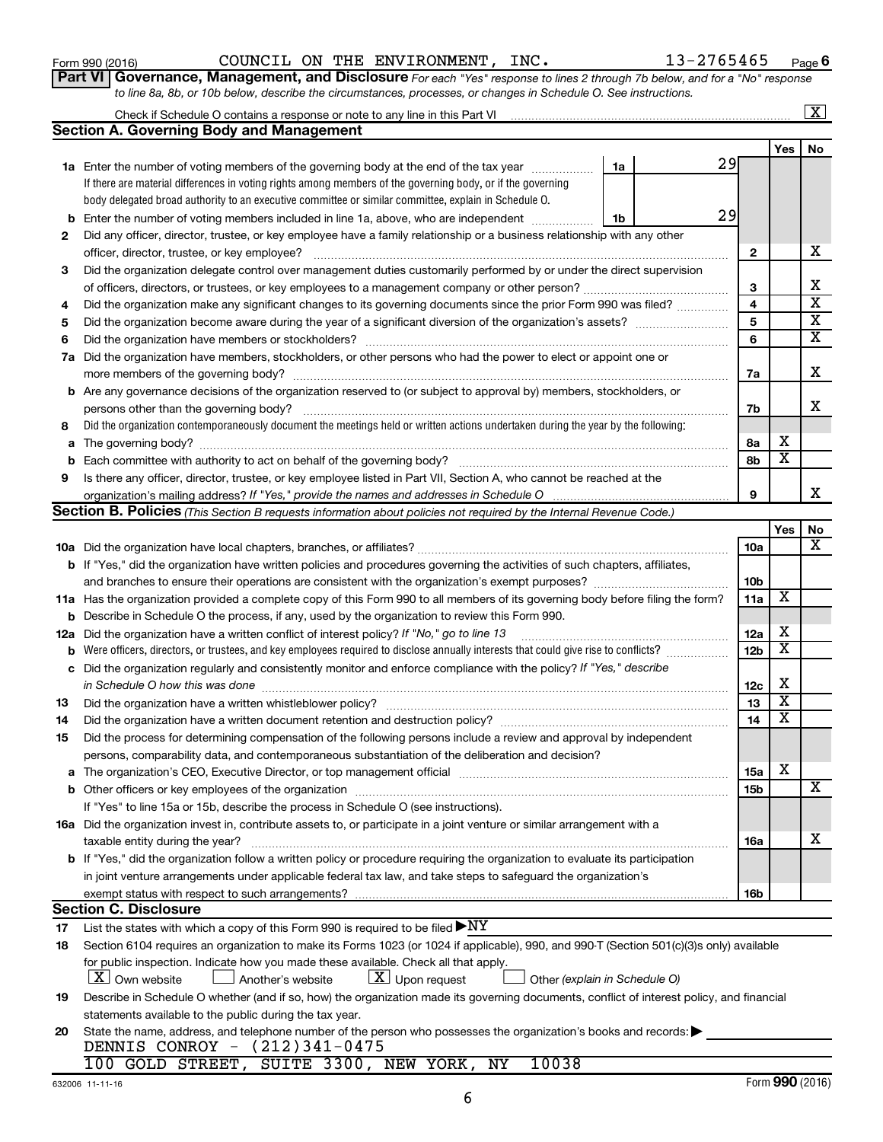|     | 29<br><b>b</b> Enter the number of voting members included in line 1a, above, who are independent <i></i><br>1b                                                                                                                |     |                 |                         |  |  |  |  |  |  |  |  |
|-----|--------------------------------------------------------------------------------------------------------------------------------------------------------------------------------------------------------------------------------|-----|-----------------|-------------------------|--|--|--|--|--|--|--|--|
| 2   | Did any officer, director, trustee, or key employee have a family relationship or a business relationship with any other                                                                                                       |     |                 | х                       |  |  |  |  |  |  |  |  |
|     |                                                                                                                                                                                                                                |     |                 |                         |  |  |  |  |  |  |  |  |
| З   | Did the organization delegate control over management duties customarily performed by or under the direct supervision                                                                                                          |     |                 |                         |  |  |  |  |  |  |  |  |
|     |                                                                                                                                                                                                                                | 3   |                 | х                       |  |  |  |  |  |  |  |  |
| 4   | Did the organization make any significant changes to its governing documents since the prior Form 990 was filed?                                                                                                               | 4   |                 | $\overline{\textbf{x}}$ |  |  |  |  |  |  |  |  |
| 5   |                                                                                                                                                                                                                                | 5   |                 | X                       |  |  |  |  |  |  |  |  |
| 6   |                                                                                                                                                                                                                                | 6   |                 | $\overline{\textbf{x}}$ |  |  |  |  |  |  |  |  |
|     | 7a Did the organization have members, stockholders, or other persons who had the power to elect or appoint one or                                                                                                              |     |                 |                         |  |  |  |  |  |  |  |  |
|     |                                                                                                                                                                                                                                |     |                 |                         |  |  |  |  |  |  |  |  |
|     | b Are any governance decisions of the organization reserved to (or subject to approval by) members, stockholders, or                                                                                                           |     |                 |                         |  |  |  |  |  |  |  |  |
|     |                                                                                                                                                                                                                                | 7b  |                 | х                       |  |  |  |  |  |  |  |  |
| 8   | Did the organization contemporaneously document the meetings held or written actions undertaken during the year by the following:                                                                                              |     |                 |                         |  |  |  |  |  |  |  |  |
|     |                                                                                                                                                                                                                                | 8а  | х               |                         |  |  |  |  |  |  |  |  |
| b   | Each committee with authority to act on behalf of the governing body?                                                                                                                                                          | 8b  | х               |                         |  |  |  |  |  |  |  |  |
| 9   | Is there any officer, director, trustee, or key employee listed in Part VII, Section A, who cannot be reached at the                                                                                                           |     |                 |                         |  |  |  |  |  |  |  |  |
|     |                                                                                                                                                                                                                                | 9   |                 | X                       |  |  |  |  |  |  |  |  |
|     | Section B. Policies (This Section B requests information about policies not required by the Internal Revenue Code.)                                                                                                            |     |                 |                         |  |  |  |  |  |  |  |  |
|     |                                                                                                                                                                                                                                |     | Yes             | No                      |  |  |  |  |  |  |  |  |
|     |                                                                                                                                                                                                                                | 10a |                 | x                       |  |  |  |  |  |  |  |  |
|     | b If "Yes," did the organization have written policies and procedures governing the activities of such chapters, affiliates,                                                                                                   |     |                 |                         |  |  |  |  |  |  |  |  |
|     |                                                                                                                                                                                                                                | 10b |                 |                         |  |  |  |  |  |  |  |  |
|     | 11a Has the organization provided a complete copy of this Form 990 to all members of its governing body before filing the form?                                                                                                |     |                 |                         |  |  |  |  |  |  |  |  |
|     | <b>b</b> Describe in Schedule O the process, if any, used by the organization to review this Form 990.                                                                                                                         |     |                 |                         |  |  |  |  |  |  |  |  |
| 12a | Did the organization have a written conflict of interest policy? If "No," go to line 13                                                                                                                                        |     |                 |                         |  |  |  |  |  |  |  |  |
|     |                                                                                                                                                                                                                                |     |                 |                         |  |  |  |  |  |  |  |  |
|     | c Did the organization regularly and consistently monitor and enforce compliance with the policy? If "Yes," describe                                                                                                           |     |                 |                         |  |  |  |  |  |  |  |  |
|     | in Schedule O how this was done manufactured and an account of the state of the state of the state of the state of the state of the state of the state of the state of the state of the state of the state of the state of the | 12c | х               |                         |  |  |  |  |  |  |  |  |
| 13  | Did the organization have a written whistleblower policy? [11] manufactures and the organization have a written whistleblower policy? [11] manufactures and the organization have a written whistleblower policy? [11] manufac | 13  | x               |                         |  |  |  |  |  |  |  |  |
| 14  | Did the organization have a written document retention and destruction policy? [11] manufaction manufaction in                                                                                                                 | 14  | X               |                         |  |  |  |  |  |  |  |  |
| 15  | Did the process for determining compensation of the following persons include a review and approval by independent                                                                                                             |     |                 |                         |  |  |  |  |  |  |  |  |
|     | persons, comparability data, and contemporaneous substantiation of the deliberation and decision?                                                                                                                              |     |                 |                         |  |  |  |  |  |  |  |  |
|     | a The organization's CEO, Executive Director, or top management official manufactured content content of the organization's CEO, Executive Director, or top management official manufactured content of the state of the state | 15a | х               |                         |  |  |  |  |  |  |  |  |
|     |                                                                                                                                                                                                                                | 15b |                 | x                       |  |  |  |  |  |  |  |  |
|     | If "Yes" to line 15a or 15b, describe the process in Schedule O (see instructions).                                                                                                                                            |     |                 |                         |  |  |  |  |  |  |  |  |
|     | 16a Did the organization invest in, contribute assets to, or participate in a joint venture or similar arrangement with a                                                                                                      |     |                 |                         |  |  |  |  |  |  |  |  |
|     | taxable entity during the year?                                                                                                                                                                                                | 16a |                 | х                       |  |  |  |  |  |  |  |  |
|     | <b>b</b> If "Yes," did the organization follow a written policy or procedure requiring the organization to evaluate its participation                                                                                          |     |                 |                         |  |  |  |  |  |  |  |  |
|     | in joint venture arrangements under applicable federal tax law, and take steps to safeguard the organization's                                                                                                                 |     |                 |                         |  |  |  |  |  |  |  |  |
|     | exempt status with respect to such arrangements?                                                                                                                                                                               | 16b |                 |                         |  |  |  |  |  |  |  |  |
|     | <b>Section C. Disclosure</b>                                                                                                                                                                                                   |     |                 |                         |  |  |  |  |  |  |  |  |
| 17  | List the states with which a copy of this Form 990 is required to be filed $\blacktriangleright\text{NY}$                                                                                                                      |     |                 |                         |  |  |  |  |  |  |  |  |
| 18  | Section 6104 requires an organization to make its Forms 1023 (or 1024 if applicable), 990, and 990-T (Section 501(c)(3)s only) available                                                                                       |     |                 |                         |  |  |  |  |  |  |  |  |
|     | for public inspection. Indicate how you made these available. Check all that apply.                                                                                                                                            |     |                 |                         |  |  |  |  |  |  |  |  |
|     | $ \mathbf{X} $ Upon request<br>$X$ Own website<br>Another's website<br>Other (explain in Schedule O)                                                                                                                           |     |                 |                         |  |  |  |  |  |  |  |  |
| 19  | Describe in Schedule O whether (and if so, how) the organization made its governing documents, conflict of interest policy, and financial                                                                                      |     |                 |                         |  |  |  |  |  |  |  |  |
|     | statements available to the public during the tax year.                                                                                                                                                                        |     |                 |                         |  |  |  |  |  |  |  |  |
| 20  | State the name, address, and telephone number of the person who possesses the organization's books and records:                                                                                                                |     |                 |                         |  |  |  |  |  |  |  |  |
|     | DENNIS CONROY - (212)341-0475                                                                                                                                                                                                  |     |                 |                         |  |  |  |  |  |  |  |  |
|     | 100 GOLD STREET,<br>SUITE 3300, NEW YORK,<br>10038<br>ΝY                                                                                                                                                                       |     |                 |                         |  |  |  |  |  |  |  |  |
|     | 632006 11-11-16                                                                                                                                                                                                                |     | Form 990 (2016) |                         |  |  |  |  |  |  |  |  |

6

#### **Part VI** Governance, Management, and Disclosure For each "Yes" response to lines 2 through 7b below, and for a "No" response Form 990 (2016) Page COUNCIL ON THE ENVIRONMENT, INC. 13-2765465

**1a** Enter the number of voting members of the governing body at the end of the tax year *www.fronoming* 

Check if Schedule O contains a response or note to any line in this Part VI

**Section A. Governing Body and Management**

If there are material differences in voting rights among members of the governing body, or if the governing body delegated broad authority to an executive committee or similar committee, explain in Schedule O.

*to line 8a, 8b, or 10b below, describe the circumstances, processes, or changes in Schedule O. See instructions.*

**6**

29

29

**1a**

**1b**

**Yes No**

 $\boxed{\text{X}}$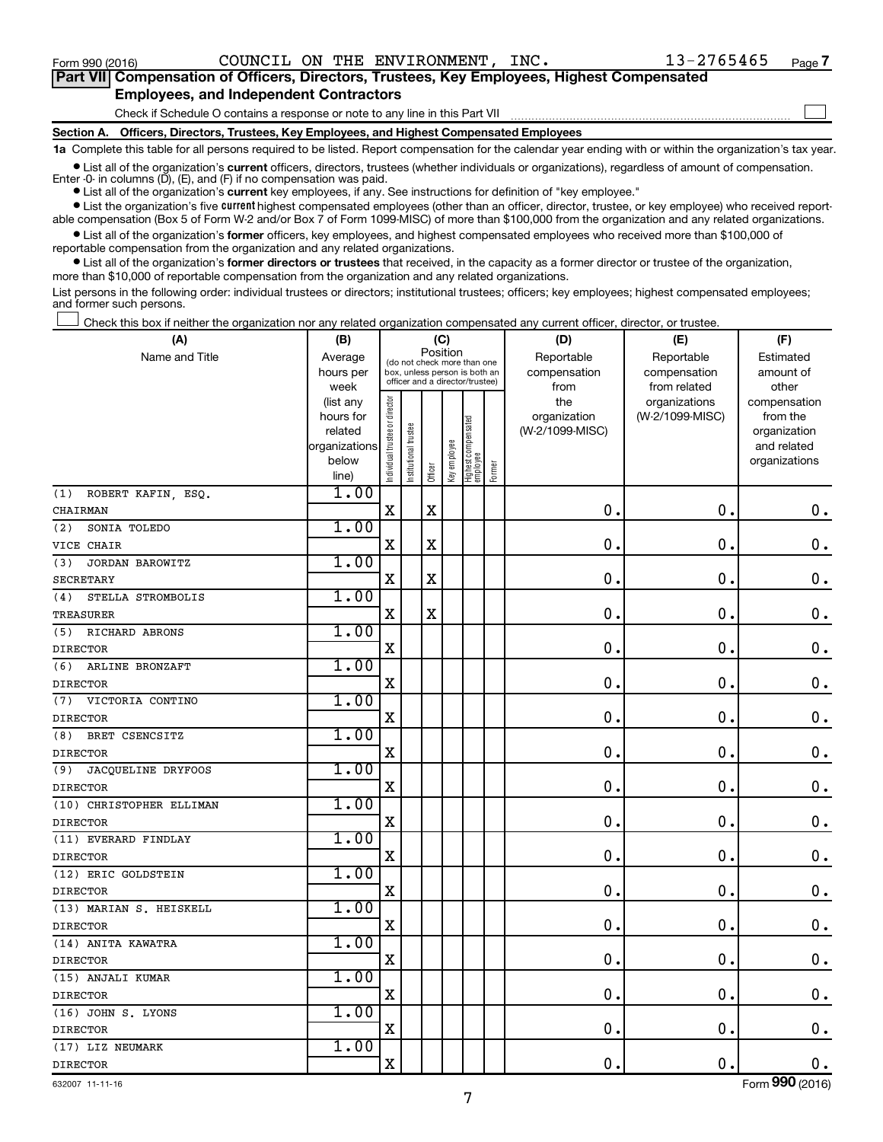$\Box$ 

| Part VII Compensation of Officers, Directors, Trustees, Key Employees, Highest Compensated |
|--------------------------------------------------------------------------------------------|
| <b>Employees, and Independent Contractors</b>                                              |

Check if Schedule O contains a response or note to any line in this Part VII

**Section A. Officers, Directors, Trustees, Key Employees, and Highest Compensated Employees**

**1a**  Complete this table for all persons required to be listed. Report compensation for the calendar year ending with or within the organization's tax year.

**•** List all of the organization's current officers, directors, trustees (whether individuals or organizations), regardless of amount of compensation. Enter -0- in columns  $(D)$ ,  $(E)$ , and  $(F)$  if no compensation was paid.

**•** List all of the organization's **current** key employees, if any. See instructions for definition of "key employee."

**•** List the organization's five current highest compensated employees (other than an officer, director, trustee, or key employee) who received reportable compensation (Box 5 of Form W-2 and/or Box 7 of Form 1099-MISC) of more than \$100,000 from the organization and any related organizations.

**•** List all of the organization's former officers, key employees, and highest compensated employees who received more than \$100,000 of reportable compensation from the organization and any related organizations.

**•** List all of the organization's former directors or trustees that received, in the capacity as a former director or trustee of the organization, more than \$10,000 of reportable compensation from the organization and any related organizations.

List persons in the following order: individual trustees or directors; institutional trustees; officers; key employees; highest compensated employees; and former such persons.

Check this box if neither the organization nor any related organization compensated any current officer, director, or trustee. †

| (A)                       | (B)                    |                                |                             |             | (C)                                                              |                                 |        | (D)                 | (E)                              | (F)                      |
|---------------------------|------------------------|--------------------------------|-----------------------------|-------------|------------------------------------------------------------------|---------------------------------|--------|---------------------|----------------------------------|--------------------------|
| Name and Title            | Average                |                                | (do not check more than one |             | Position                                                         |                                 |        | Reportable          | Reportable                       | Estimated                |
|                           | hours per              |                                |                             |             | box, unless person is both an<br>officer and a director/trustee) |                                 |        | compensation        | compensation                     | amount of                |
|                           | week                   |                                |                             |             |                                                                  |                                 |        | from                | from related                     | other                    |
|                           | (list any<br>hours for |                                |                             |             |                                                                  |                                 |        | the<br>organization | organizations<br>(W-2/1099-MISC) | compensation<br>from the |
|                           | related                |                                |                             |             |                                                                  |                                 |        | (W-2/1099-MISC)     |                                  | organization             |
|                           | organizations          |                                |                             |             |                                                                  |                                 |        |                     |                                  | and related              |
|                           | below                  | Individual trustee or director | Institutional trustee       |             | Key employee                                                     |                                 |        |                     |                                  | organizations            |
|                           | line)                  |                                |                             | Officer     |                                                                  | Highest compensated<br>employee | Former |                     |                                  |                          |
| ROBERT KAFIN, ESQ.<br>(1) | 1.00                   |                                |                             |             |                                                                  |                                 |        |                     |                                  |                          |
| CHAIRMAN                  |                        | $\mathbf x$                    |                             | $\mathbf X$ |                                                                  |                                 |        | $\mathbf 0$         | $\mathbf 0$                      | $0$ .                    |
| (2)<br>SONIA TOLEDO       | 1.00                   |                                |                             |             |                                                                  |                                 |        |                     |                                  |                          |
| VICE CHAIR                |                        | $\mathbf X$                    |                             | $\rm X$     |                                                                  |                                 |        | $\mathbf 0$         | $\mathbf 0$                      | $\mathbf 0$ .            |
| (3)<br>JORDAN BAROWITZ    | 1.00                   |                                |                             |             |                                                                  |                                 |        |                     |                                  |                          |
| <b>SECRETARY</b>          |                        | $\mathbf X$                    |                             | $\mathbf X$ |                                                                  |                                 |        | $\mathbf 0$         | $\mathbf 0$                      | $\mathbf 0$ .            |
| STELLA STROMBOLIS<br>(4)  | 1.00                   |                                |                             |             |                                                                  |                                 |        |                     |                                  |                          |
| <b>TREASURER</b>          |                        | $\mathbf X$                    |                             | $\rm X$     |                                                                  |                                 |        | 0                   | $\mathbf 0$                      | $\mathbf 0$ .            |
| RICHARD ABRONS<br>(5)     | 1.00                   |                                |                             |             |                                                                  |                                 |        |                     |                                  |                          |
| <b>DIRECTOR</b>           |                        | $\mathbf X$                    |                             |             |                                                                  |                                 |        | 0                   | $\mathbf 0$                      | $\mathbf 0$ .            |
| (6)<br>ARLINE BRONZAFT    | 1.00                   |                                |                             |             |                                                                  |                                 |        |                     |                                  |                          |
| <b>DIRECTOR</b>           |                        | $\mathbf X$                    |                             |             |                                                                  |                                 |        | $\mathbf 0$         | $\mathbf 0$                      | $\mathbf 0$ .            |
| VICTORIA CONTINO<br>(7)   | 1.00                   |                                |                             |             |                                                                  |                                 |        |                     |                                  |                          |
| <b>DIRECTOR</b>           |                        | $\mathbf X$                    |                             |             |                                                                  |                                 |        | $\mathbf 0$         | $\mathbf 0$                      | $\mathbf 0$ .            |
| (8)<br>BRET CSENCSITZ     | 1.00                   |                                |                             |             |                                                                  |                                 |        |                     |                                  |                          |
| <b>DIRECTOR</b>           |                        | $\mathbf X$                    |                             |             |                                                                  |                                 |        | 0                   | $\mathbf 0$                      | $\mathbf 0$ .            |
| JACQUELINE DRYFOOS<br>(9) | 1.00                   |                                |                             |             |                                                                  |                                 |        |                     |                                  |                          |
| <b>DIRECTOR</b>           |                        | $\mathbf X$                    |                             |             |                                                                  |                                 |        | $\mathbf 0$         | 0.                               | $\mathbf 0$ .            |
| (10) CHRISTOPHER ELLIMAN  | 1.00                   |                                |                             |             |                                                                  |                                 |        |                     |                                  |                          |
| <b>DIRECTOR</b>           |                        | $\mathbf X$                    |                             |             |                                                                  |                                 |        | $\mathbf 0$         | $\mathbf 0$ .                    | $\mathbf 0$ .            |
| (11) EVERARD FINDLAY      | 1.00                   |                                |                             |             |                                                                  |                                 |        |                     |                                  |                          |
| <b>DIRECTOR</b>           |                        | $\mathbf X$                    |                             |             |                                                                  |                                 |        | $\mathbf 0$         | $\mathbf 0$                      | $\mathbf 0$ .            |
| (12) ERIC GOLDSTEIN       | 1.00                   |                                |                             |             |                                                                  |                                 |        |                     |                                  |                          |
| <b>DIRECTOR</b>           |                        | $\mathbf X$                    |                             |             |                                                                  |                                 |        | $\mathbf 0$         | $\mathbf 0$ .                    | $\mathbf 0$ .            |
| (13) MARIAN S. HEISKELL   | 1.00                   |                                |                             |             |                                                                  |                                 |        |                     |                                  |                          |
| <b>DIRECTOR</b>           |                        | $\mathbf X$                    |                             |             |                                                                  |                                 |        | $\mathbf 0$ .       | $\mathbf 0$ .                    | $\mathbf 0$ .            |
| (14) ANITA KAWATRA        | 1.00                   |                                |                             |             |                                                                  |                                 |        |                     |                                  |                          |
| <b>DIRECTOR</b>           |                        | $\mathbf X$                    |                             |             |                                                                  |                                 |        | $\mathbf 0$         | $\mathbf 0$ .                    | $\mathbf 0$ .            |
| (15) ANJALI KUMAR         | 1.00                   |                                |                             |             |                                                                  |                                 |        |                     |                                  |                          |
| <b>DIRECTOR</b>           |                        | $\mathbf x$                    |                             |             |                                                                  |                                 |        | $\mathbf 0$ .       | $\mathbf 0$ .                    | $\mathbf 0$ .            |
| (16) JOHN S. LYONS        | 1.00                   |                                |                             |             |                                                                  |                                 |        |                     |                                  |                          |
| <b>DIRECTOR</b>           |                        | $\mathbf X$                    |                             |             |                                                                  |                                 |        | 0.                  | $\mathbf 0$ .                    | $\mathbf 0$ .            |
| (17) LIZ NEUMARK          | 1.00                   |                                |                             |             |                                                                  |                                 |        |                     |                                  |                          |
| <b>DIRECTOR</b>           |                        | $\mathbf X$                    |                             |             |                                                                  |                                 |        | 0.                  | $\mathbf 0$ .                    | 0.                       |

632007 11-11-16

Form (2016) **990**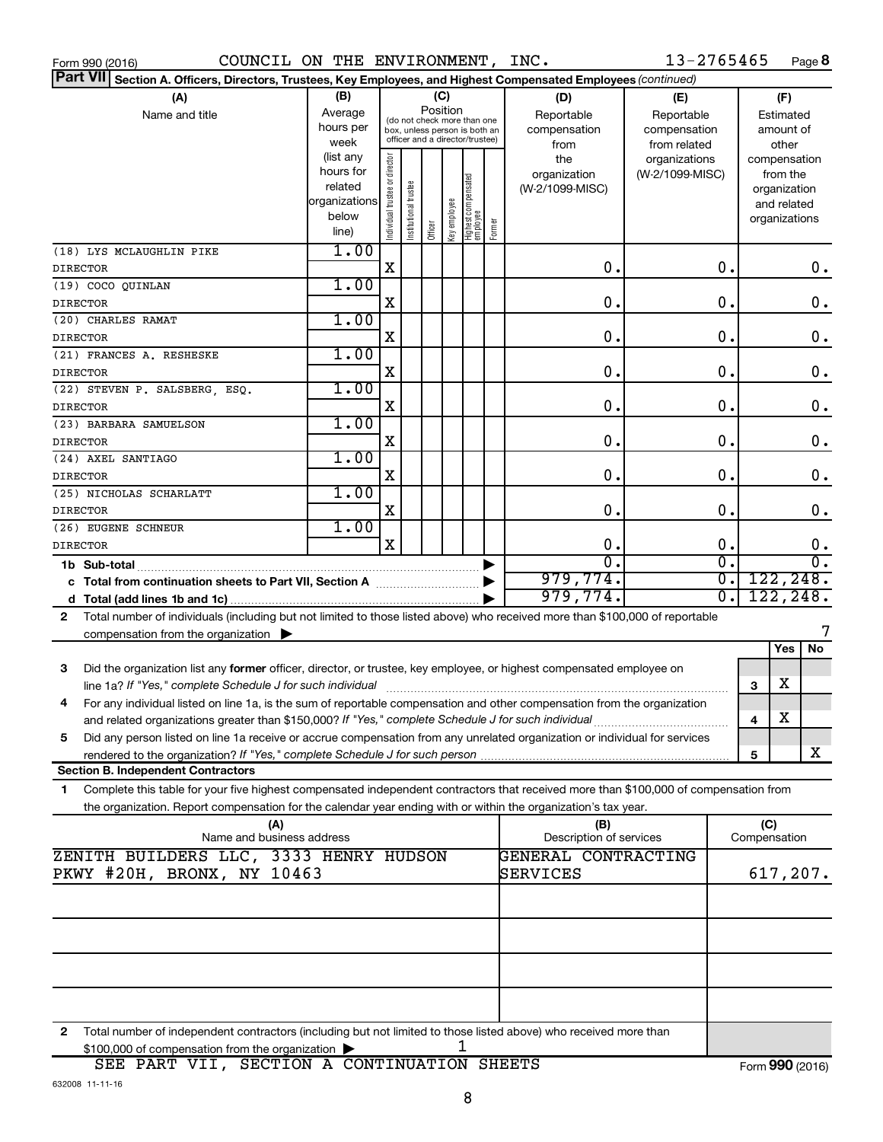| COUNCIL ON THE ENVIRONMENT, INC.<br>Form 990 (2016)                                                                                          |               |                                |                       |         |              |                                                              |        |                                | 13-2765465       |   |                     | Page 8 |                    |
|----------------------------------------------------------------------------------------------------------------------------------------------|---------------|--------------------------------|-----------------------|---------|--------------|--------------------------------------------------------------|--------|--------------------------------|------------------|---|---------------------|--------|--------------------|
| <b>Part VII</b><br>Section A. Officers, Directors, Trustees, Key Employees, and Highest Compensated Employees (continued)                    |               |                                |                       |         |              |                                                              |        |                                |                  |   |                     |        |                    |
| (B)<br>(A)<br>(C)<br>(D)<br>(E)                                                                                                              |               |                                |                       |         |              |                                                              |        |                                |                  |   | (F)                 |        |                    |
| Name and title                                                                                                                               | Average       |                                |                       |         | Position     |                                                              |        | Reportable                     | Reportable       |   | Estimated           |        |                    |
|                                                                                                                                              | hours per     |                                |                       |         |              | (do not check more than one<br>box, unless person is both an |        | compensation                   | compensation     |   | amount of           |        |                    |
|                                                                                                                                              | week          |                                |                       |         |              | officer and a director/trustee)                              |        | from                           | from related     |   | other               |        |                    |
|                                                                                                                                              | (list any     |                                |                       |         |              |                                                              |        | the                            | organizations    |   | compensation        |        |                    |
|                                                                                                                                              | hours for     |                                |                       |         |              |                                                              |        | organization                   | (W-2/1099-MISC)  |   | from the            |        |                    |
|                                                                                                                                              | related       |                                |                       |         |              |                                                              |        | (W-2/1099-MISC)                |                  |   | organization        |        |                    |
|                                                                                                                                              | organizations |                                |                       |         |              |                                                              |        |                                |                  |   | and related         |        |                    |
|                                                                                                                                              | below         | Individual trustee or director | Institutional trustee |         | key employee |                                                              |        |                                |                  |   | organizations       |        |                    |
|                                                                                                                                              | line)         |                                |                       | Officer |              | Highest compensated<br>  employee                            | Former |                                |                  |   |                     |        |                    |
| (18) LYS MCLAUGHLIN PIKE                                                                                                                     | 1.00          |                                |                       |         |              |                                                              |        |                                |                  |   |                     |        |                    |
| <b>DIRECTOR</b>                                                                                                                              |               | X                              |                       |         |              |                                                              |        | 0.                             | 0.               |   |                     |        | 0.                 |
| (19) COCO QUINLAN                                                                                                                            | 1.00          |                                |                       |         |              |                                                              |        |                                |                  |   |                     |        |                    |
| <b>DIRECTOR</b>                                                                                                                              |               | X                              |                       |         |              |                                                              |        | 0.                             | 0.               |   |                     |        | $\mathbf 0$ .      |
| (20) CHARLES RAMAT                                                                                                                           | 1.00          |                                |                       |         |              |                                                              |        |                                |                  |   |                     |        |                    |
| <b>DIRECTOR</b>                                                                                                                              |               | X                              |                       |         |              |                                                              |        | 0.                             | 0.               |   |                     |        | $\mathbf 0$ .      |
| (21) FRANCES A. RESHESKE                                                                                                                     | 1.00          |                                |                       |         |              |                                                              |        |                                |                  |   |                     |        |                    |
| <b>DIRECTOR</b>                                                                                                                              |               | X                              |                       |         |              |                                                              |        | 0.                             | 0.               |   |                     |        | $\mathbf 0$ .      |
| (22) STEVEN P. SALSBERG, ESQ.                                                                                                                | 1.00          |                                |                       |         |              |                                                              |        |                                |                  |   |                     |        |                    |
| <b>DIRECTOR</b>                                                                                                                              |               | X                              |                       |         |              |                                                              |        | 0.                             | 0.               |   |                     |        | $\mathbf 0$ .      |
| (23) BARBARA SAMUELSON                                                                                                                       | 1.00          |                                |                       |         |              |                                                              |        |                                |                  |   |                     |        |                    |
| <b>DIRECTOR</b>                                                                                                                              |               | X                              |                       |         |              |                                                              |        | 0.                             | 0.               |   |                     |        | $\mathbf 0$ .      |
| (24) AXEL SANTIAGO                                                                                                                           | 1.00          |                                |                       |         |              |                                                              |        |                                |                  |   |                     |        |                    |
| <b>DIRECTOR</b>                                                                                                                              |               | X                              |                       |         |              |                                                              |        | 0.                             | 0.               |   |                     |        | $\boldsymbol{0}$ . |
| (25) NICHOLAS SCHARLATT                                                                                                                      | 1.00          |                                |                       |         |              |                                                              |        |                                |                  |   |                     |        |                    |
| <b>DIRECTOR</b>                                                                                                                              |               | X                              |                       |         |              |                                                              |        | 0.                             | 0.               |   |                     |        | 0.                 |
| (26) EUGENE SCHNEUR                                                                                                                          | 1.00          |                                |                       |         |              |                                                              |        |                                |                  |   |                     |        |                    |
| <b>DIRECTOR</b>                                                                                                                              |               | X                              |                       |         |              |                                                              |        | 0.                             | 0.               |   |                     |        | 0.                 |
| 1b Sub-total                                                                                                                                 |               |                                |                       |         |              |                                                              | ▶      | $\overline{0}$ .               | σ.               |   |                     |        | $\overline{0}$ .   |
| c Total from continuation sheets to Part VII, Section A manuscription.                                                                       |               |                                |                       |         |              |                                                              |        | 979,774.                       | $\overline{0}$ . |   | 122, 248.           |        |                    |
|                                                                                                                                              |               |                                |                       |         |              |                                                              |        | 979,774.                       | $\overline{0}$ . |   | 122, 248.           |        |                    |
| Total number of individuals (including but not limited to those listed above) who received more than \$100,000 of reportable<br>$\mathbf{2}$ |               |                                |                       |         |              |                                                              |        |                                |                  |   |                     |        |                    |
| compensation from the organization                                                                                                           |               |                                |                       |         |              |                                                              |        |                                |                  |   |                     |        |                    |
|                                                                                                                                              |               |                                |                       |         |              |                                                              |        |                                |                  |   | Yes                 |        | No                 |
| 3<br>Did the organization list any former officer, director, or trustee, key employee, or highest compensated employee on                    |               |                                |                       |         |              |                                                              |        |                                |                  |   |                     |        |                    |
|                                                                                                                                              |               |                                |                       |         |              |                                                              |        |                                |                  | 3 | х                   |        |                    |
| For any individual listed on line 1a, is the sum of reportable compensation and other compensation from the organization                     |               |                                |                       |         |              |                                                              |        |                                |                  |   |                     |        |                    |
| and related organizations greater than \$150,000? If "Yes," complete Schedule J for such individual                                          |               |                                |                       |         |              |                                                              |        |                                |                  | 4 | х                   |        |                    |
| Did any person listed on line 1a receive or accrue compensation from any unrelated organization or individual for services<br>5              |               |                                |                       |         |              |                                                              |        |                                |                  |   |                     |        |                    |
|                                                                                                                                              |               |                                |                       |         |              |                                                              |        |                                |                  | 5 |                     |        | x                  |
| <b>Section B. Independent Contractors</b>                                                                                                    |               |                                |                       |         |              |                                                              |        |                                |                  |   |                     |        |                    |
| Complete this table for your five highest compensated independent contractors that received more than \$100,000 of compensation from<br>1.   |               |                                |                       |         |              |                                                              |        |                                |                  |   |                     |        |                    |
| the organization. Report compensation for the calendar year ending with or within the organization's tax year.                               |               |                                |                       |         |              |                                                              |        |                                |                  |   |                     |        |                    |
| (A)<br>Name and business address                                                                                                             |               |                                |                       |         |              |                                                              |        | (B)<br>Description of services |                  |   | (C)<br>Compensation |        |                    |
| ZENITH BUILDERS LLC, 3333 HENRY HUDSON                                                                                                       |               |                                |                       |         |              |                                                              |        | GENERAL CONTRACTING            |                  |   |                     |        |                    |
| PKWY #20H, BRONX, NY 10463                                                                                                                   |               |                                |                       |         |              |                                                              |        | SERVICES                       |                  |   | 617, 207.           |        |                    |
|                                                                                                                                              |               |                                |                       |         |              |                                                              |        |                                |                  |   |                     |        |                    |
|                                                                                                                                              |               |                                |                       |         |              |                                                              |        |                                |                  |   |                     |        |                    |
|                                                                                                                                              |               |                                |                       |         |              |                                                              |        |                                |                  |   |                     |        |                    |
|                                                                                                                                              |               |                                |                       |         |              |                                                              |        |                                |                  |   |                     |        |                    |
|                                                                                                                                              |               |                                |                       |         |              |                                                              |        |                                |                  |   |                     |        |                    |
|                                                                                                                                              |               |                                |                       |         |              |                                                              |        |                                |                  |   |                     |        |                    |
|                                                                                                                                              |               |                                |                       |         |              |                                                              |        |                                |                  |   |                     |        |                    |
|                                                                                                                                              |               |                                |                       |         |              |                                                              |        |                                |                  |   |                     |        |                    |
|                                                                                                                                              |               |                                |                       |         |              |                                                              |        |                                |                  |   |                     |        |                    |

**2** Total number of independent contractors (including but not limited to those listed above) who received more than  $$100,000$  of compensation from the organization  $\blacktriangleright$  1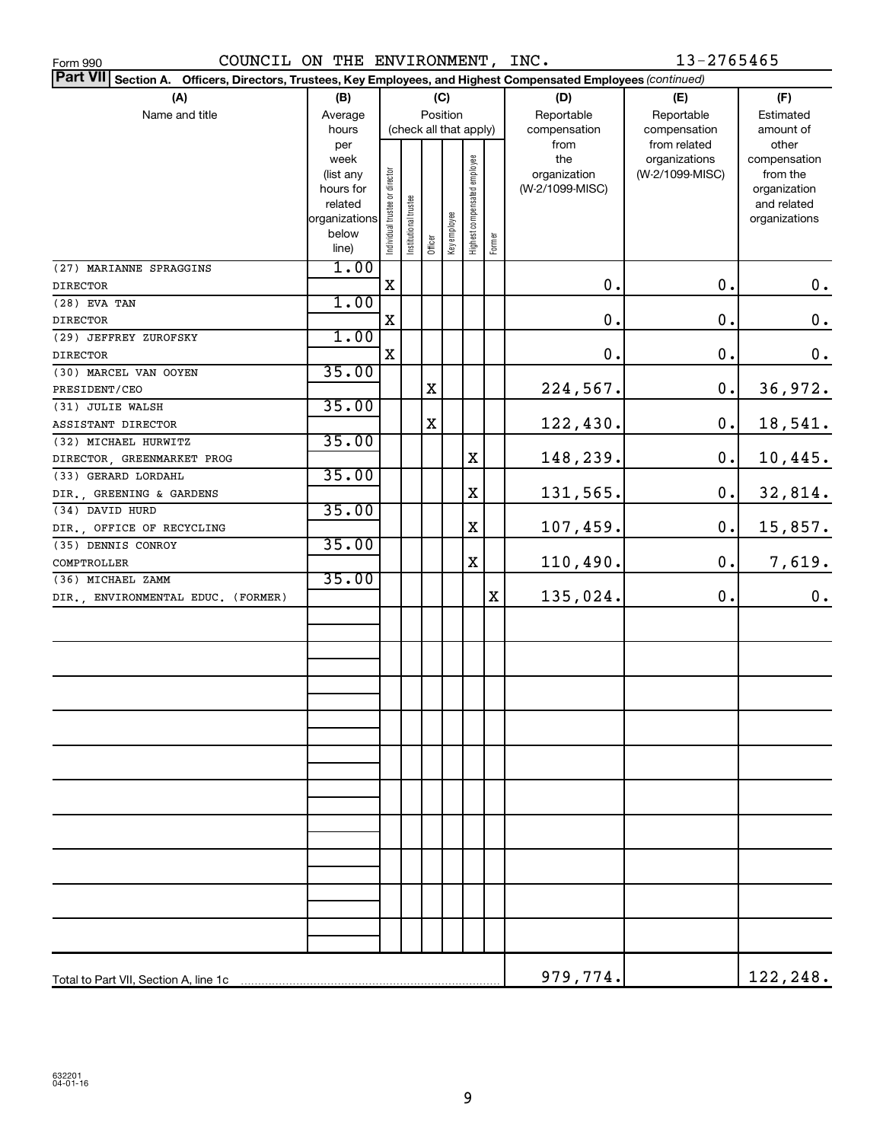| COUNCIL ON THE ENVIRONMENT, INC.<br>Form 990                                                                    |                        |                                |                       |                         |          |                              |        |                 | 13-2765465      |               |
|-----------------------------------------------------------------------------------------------------------------|------------------------|--------------------------------|-----------------------|-------------------------|----------|------------------------------|--------|-----------------|-----------------|---------------|
| Part VII Section A. Officers, Directors, Trustees, Key Employees, and Highest Compensated Employees (continued) |                        |                                |                       |                         |          |                              |        |                 |                 |               |
| (A)<br>(B)<br>(C)                                                                                               |                        |                                |                       |                         |          |                              | (D)    | (E)             | (F)             |               |
| Name and title                                                                                                  | Average                |                                |                       |                         | Position |                              |        | Reportable      | Reportable      | Estimated     |
|                                                                                                                 | hours                  |                                |                       |                         |          | (check all that apply)       |        | compensation    | compensation    | amount of     |
|                                                                                                                 | per                    |                                |                       |                         |          |                              |        | from            | from related    | other         |
|                                                                                                                 | week                   |                                |                       |                         |          |                              |        | the             | organizations   | compensation  |
|                                                                                                                 | (list any              |                                |                       |                         |          |                              |        | organization    | (W-2/1099-MISC) | from the      |
|                                                                                                                 | hours for              |                                |                       |                         |          |                              |        | (W-2/1099-MISC) |                 | organization  |
|                                                                                                                 | related                |                                |                       |                         |          |                              |        |                 |                 | and related   |
|                                                                                                                 | organizations<br>below |                                |                       |                         |          |                              |        |                 |                 | organizations |
|                                                                                                                 | line)                  | Individual trustee or director | Institutional trustee | Officer<br>Key employee |          | Highest compensated employee | Former |                 |                 |               |
| (27) MARIANNE SPRAGGINS                                                                                         | 1.00                   |                                |                       |                         |          |                              |        |                 |                 |               |
| <b>DIRECTOR</b>                                                                                                 |                        | X                              |                       |                         |          |                              |        | 0.              | $\mathbf 0$ .   | $0 \cdot$     |
| (28) EVA TAN                                                                                                    | 1.00                   |                                |                       |                         |          |                              |        |                 |                 |               |
| <b>DIRECTOR</b>                                                                                                 |                        | X                              |                       |                         |          |                              |        | $\mathbf 0$ .   | $\mathbf 0$ .   | $\mathbf 0$ . |
| (29) JEFFREY ZUROFSKY                                                                                           | 1.00                   |                                |                       |                         |          |                              |        |                 |                 |               |
| <b>DIRECTOR</b>                                                                                                 |                        | X                              |                       |                         |          |                              |        | $0$ .           | $0$ .           | 0.            |
| (30) MARCEL VAN OOYEN                                                                                           | 35.00                  |                                |                       |                         |          |                              |        |                 |                 |               |
| PRESIDENT/CEO                                                                                                   |                        |                                |                       | $\mathbf X$             |          |                              |        | 224,567.        | $\mathbf 0$ .   | 36,972.       |
| (31) JULIE WALSH                                                                                                | 35.00                  |                                |                       |                         |          |                              |        |                 |                 |               |
| ASSISTANT DIRECTOR                                                                                              |                        |                                |                       | $\mathbf X$             |          |                              |        | 122,430.        | $\mathbf 0$ .   | 18,541.       |
| (32) MICHAEL HURWITZ                                                                                            | 35.00                  |                                |                       |                         |          |                              |        |                 |                 |               |
| DIRECTOR, GREENMARKET PROG                                                                                      |                        |                                |                       |                         |          | $\mathbf X$                  |        | 148,239.        | $\mathbf 0$ .   | 10,445.       |
| (33) GERARD LORDAHL                                                                                             | 35.00                  |                                |                       |                         |          |                              |        |                 |                 |               |
| DIR., GREENING & GARDENS                                                                                        |                        |                                |                       |                         |          | $\mathbf X$                  |        | 131,565.        | $\mathbf 0$ .   | 32,814.       |
| (34) DAVID HURD                                                                                                 | 35.00                  |                                |                       |                         |          |                              |        |                 |                 |               |
| DIR., OFFICE OF RECYCLING                                                                                       |                        |                                |                       |                         |          | $\mathbf X$                  |        | 107,459.        | $\mathbf 0$ .   | 15,857.       |
| (35) DENNIS CONROY                                                                                              | 35.00                  |                                |                       |                         |          |                              |        |                 |                 |               |
| COMPTROLLER                                                                                                     |                        |                                |                       |                         |          | $\mathbf X$                  |        | 110,490.        | 0.              | 7,619.        |
| (36) MICHAEL ZAMM                                                                                               | 35.00                  |                                |                       |                         |          |                              |        |                 |                 |               |
|                                                                                                                 |                        |                                |                       |                         |          |                              | Χ      | 135,024.        | $\mathbf 0$ .   | 0.            |
| DIR., ENVIRONMENTAL EDUC. (FORMER)                                                                              |                        |                                |                       |                         |          |                              |        |                 |                 |               |
|                                                                                                                 |                        |                                |                       |                         |          |                              |        |                 |                 |               |
|                                                                                                                 |                        |                                |                       |                         |          |                              |        |                 |                 |               |
|                                                                                                                 |                        |                                |                       |                         |          |                              |        |                 |                 |               |
|                                                                                                                 |                        |                                |                       |                         |          |                              |        |                 |                 |               |
|                                                                                                                 |                        |                                |                       |                         |          |                              |        |                 |                 |               |
|                                                                                                                 |                        |                                |                       |                         |          |                              |        |                 |                 |               |
|                                                                                                                 |                        |                                |                       |                         |          |                              |        |                 |                 |               |
|                                                                                                                 |                        |                                |                       |                         |          |                              |        |                 |                 |               |
|                                                                                                                 |                        |                                |                       |                         |          |                              |        |                 |                 |               |
|                                                                                                                 |                        |                                |                       |                         |          |                              |        |                 |                 |               |
|                                                                                                                 |                        |                                |                       |                         |          |                              |        |                 |                 |               |
|                                                                                                                 |                        |                                |                       |                         |          |                              |        |                 |                 |               |
|                                                                                                                 |                        |                                |                       |                         |          |                              |        |                 |                 |               |
|                                                                                                                 |                        |                                |                       |                         |          |                              |        |                 |                 |               |
|                                                                                                                 |                        |                                |                       |                         |          |                              |        |                 |                 |               |
|                                                                                                                 |                        |                                |                       |                         |          |                              |        |                 |                 |               |
|                                                                                                                 |                        |                                |                       |                         |          |                              |        |                 |                 |               |
|                                                                                                                 |                        |                                |                       |                         |          |                              |        |                 |                 |               |
|                                                                                                                 |                        |                                |                       |                         |          |                              |        |                 |                 |               |
|                                                                                                                 |                        |                                |                       |                         |          |                              |        |                 |                 |               |
|                                                                                                                 |                        |                                |                       |                         |          |                              |        |                 |                 |               |
|                                                                                                                 |                        |                                |                       |                         |          |                              |        | 979,774.        |                 | 122,248.      |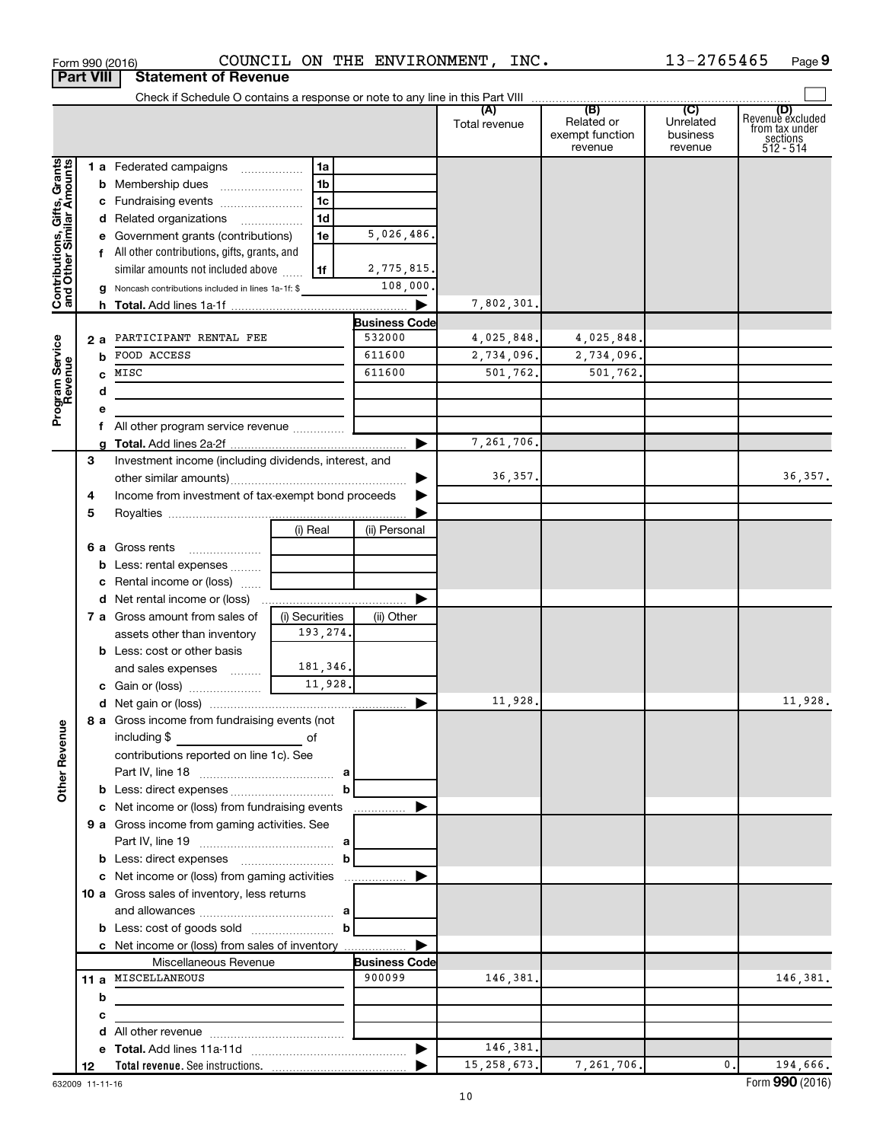| Form 990 (2016) |                                         | COUNCIL |
|-----------------|-----------------------------------------|---------|
|                 | <b>Part VIII   Statement of Revenue</b> |         |

Form 990 (2016)  $\sim$  COUNCIL ON THE ENVIRONMENT, INC.  $\sim$  13-2765465 Page

|                                                           |    | Check if Schedule O contains a response or note to any line in this Part VIII                                                                                                                |                |                      |                      |                                                 |                                         |                                                                      |
|-----------------------------------------------------------|----|----------------------------------------------------------------------------------------------------------------------------------------------------------------------------------------------|----------------|----------------------|----------------------|-------------------------------------------------|-----------------------------------------|----------------------------------------------------------------------|
|                                                           |    |                                                                                                                                                                                              |                |                      | (A)<br>Total revenue | (B)<br>Related or<br>exempt function<br>revenue | (C)<br>Unrelated<br>business<br>revenue | (D)<br>Revenue excluded<br>from tax under<br>sections<br>$512 - 514$ |
|                                                           |    | 1 a Federated campaigns                                                                                                                                                                      | 1a             |                      |                      |                                                 |                                         |                                                                      |
|                                                           |    | <b>b</b> Membership dues                                                                                                                                                                     | 1 <sub>b</sub> |                      |                      |                                                 |                                         |                                                                      |
|                                                           |    | c Fundraising events                                                                                                                                                                         | 1 <sub>c</sub> |                      |                      |                                                 |                                         |                                                                      |
|                                                           |    | d Related organizations                                                                                                                                                                      | 1d             |                      |                      |                                                 |                                         |                                                                      |
|                                                           |    | e Government grants (contributions)                                                                                                                                                          | 1e             | 5,026,486.           |                      |                                                 |                                         |                                                                      |
|                                                           |    | f All other contributions, gifts, grants, and                                                                                                                                                |                |                      |                      |                                                 |                                         |                                                                      |
|                                                           |    | similar amounts not included above                                                                                                                                                           | 1f             | 2,775,815.           |                      |                                                 |                                         |                                                                      |
| Contributions, Gifts, Grants<br>and Other Similar Amounts |    | <b>g</b> Noncash contributions included in lines 1a-1f: $\$                                                                                                                                  |                | 108,000              |                      |                                                 |                                         |                                                                      |
|                                                           |    |                                                                                                                                                                                              |                |                      | 7,802,301            |                                                 |                                         |                                                                      |
|                                                           |    |                                                                                                                                                                                              |                | <b>Business Code</b> |                      |                                                 |                                         |                                                                      |
|                                                           | 2a | PARTICIPANT RENTAL FEE                                                                                                                                                                       |                | 532000               | 4,025,848.           | 4,025,848                                       |                                         |                                                                      |
|                                                           | b  | FOOD ACCESS                                                                                                                                                                                  | 611600         | 2,734,096.           | 2,734,096.           |                                                 |                                         |                                                                      |
|                                                           |    | MISC                                                                                                                                                                                         | 611600         | 501,762.             | 501,762.             |                                                 |                                         |                                                                      |
|                                                           | d  |                                                                                                                                                                                              |                |                      |                      |                                                 |                                         |                                                                      |
| Program Service<br>Revenue                                |    |                                                                                                                                                                                              |                |                      |                      |                                                 |                                         |                                                                      |
|                                                           |    | All other program service revenue                                                                                                                                                            |                |                      |                      |                                                 |                                         |                                                                      |
|                                                           |    |                                                                                                                                                                                              |                |                      | 7,261,706.           |                                                 |                                         |                                                                      |
|                                                           | 3  | Investment income (including dividends, interest, and                                                                                                                                        |                |                      |                      |                                                 |                                         |                                                                      |
|                                                           |    |                                                                                                                                                                                              |                |                      | 36,357.              |                                                 |                                         | 36, 357.                                                             |
|                                                           | 4  | Income from investment of tax-exempt bond proceeds                                                                                                                                           |                |                      |                      |                                                 |                                         |                                                                      |
|                                                           | 5  |                                                                                                                                                                                              |                |                      |                      |                                                 |                                         |                                                                      |
|                                                           |    |                                                                                                                                                                                              | (i) Real       | (ii) Personal        |                      |                                                 |                                         |                                                                      |
|                                                           |    | 6 a Gross rents                                                                                                                                                                              |                |                      |                      |                                                 |                                         |                                                                      |
|                                                           |    | <b>b</b> Less: rental expenses                                                                                                                                                               |                |                      |                      |                                                 |                                         |                                                                      |
|                                                           |    | <b>c</b> Rental income or (loss) $\ldots$                                                                                                                                                    |                |                      |                      |                                                 |                                         |                                                                      |
|                                                           |    | 7 a Gross amount from sales of                                                                                                                                                               | (i) Securities |                      |                      |                                                 |                                         |                                                                      |
|                                                           |    | assets other than inventory                                                                                                                                                                  | 193,274.       | (ii) Other           |                      |                                                 |                                         |                                                                      |
|                                                           |    | <b>b</b> Less: cost or other basis                                                                                                                                                           |                |                      |                      |                                                 |                                         |                                                                      |
|                                                           |    | and sales expenses <i></i>                                                                                                                                                                   | 181,346.       |                      |                      |                                                 |                                         |                                                                      |
|                                                           |    |                                                                                                                                                                                              |                |                      |                      |                                                 |                                         |                                                                      |
|                                                           |    |                                                                                                                                                                                              |                |                      | 11,928               |                                                 |                                         | 11,928.                                                              |
|                                                           |    | 8 a Gross income from fundraising events (not                                                                                                                                                |                |                      |                      |                                                 |                                         |                                                                      |
| g                                                         |    | including \$<br>$\mathcal{L}^{\mathcal{L}}(\mathcal{L}^{\mathcal{L}})$ and $\mathcal{L}^{\mathcal{L}}(\mathcal{L}^{\mathcal{L}})$ and $\mathcal{L}^{\mathcal{L}}(\mathcal{L}^{\mathcal{L}})$ |                |                      |                      |                                                 |                                         |                                                                      |
|                                                           |    | contributions reported on line 1c). See                                                                                                                                                      |                |                      |                      |                                                 |                                         |                                                                      |
| Other Rever                                               |    |                                                                                                                                                                                              |                |                      |                      |                                                 |                                         |                                                                      |
|                                                           |    |                                                                                                                                                                                              |                |                      |                      |                                                 |                                         |                                                                      |
|                                                           |    | c Net income or (loss) from fundraising events                                                                                                                                               |                | .                    |                      |                                                 |                                         |                                                                      |
|                                                           |    | 9 a Gross income from gaming activities. See                                                                                                                                                 |                |                      |                      |                                                 |                                         |                                                                      |
|                                                           |    |                                                                                                                                                                                              |                |                      |                      |                                                 |                                         |                                                                      |
|                                                           |    |                                                                                                                                                                                              |                |                      |                      |                                                 |                                         |                                                                      |
|                                                           |    | c Net income or (loss) from gaming activities                                                                                                                                                |                |                      |                      |                                                 |                                         |                                                                      |
|                                                           |    | 10 a Gross sales of inventory, less returns                                                                                                                                                  |                |                      |                      |                                                 |                                         |                                                                      |
|                                                           |    |                                                                                                                                                                                              |                |                      |                      |                                                 |                                         |                                                                      |
|                                                           |    |                                                                                                                                                                                              |                |                      |                      |                                                 |                                         |                                                                      |
|                                                           |    | c Net income or (loss) from sales of inventory                                                                                                                                               |                |                      |                      |                                                 |                                         |                                                                      |
|                                                           |    | Miscellaneous Revenue                                                                                                                                                                        |                | <b>Business Code</b> |                      |                                                 |                                         |                                                                      |
|                                                           |    | 11 a MISCELLANEOUS                                                                                                                                                                           |                | 900099               | 146,381.             |                                                 |                                         | 146,381.                                                             |
|                                                           | b  |                                                                                                                                                                                              |                |                      |                      |                                                 |                                         |                                                                      |
|                                                           | с  |                                                                                                                                                                                              |                |                      |                      |                                                 |                                         |                                                                      |
|                                                           |    |                                                                                                                                                                                              |                |                      |                      |                                                 |                                         |                                                                      |
|                                                           |    |                                                                                                                                                                                              |                | ▶                    | 146,381.             |                                                 |                                         |                                                                      |
|                                                           | 12 |                                                                                                                                                                                              |                |                      | 15, 258, 673.        | 7,261,706.                                      | 0.                                      | 194,666.                                                             |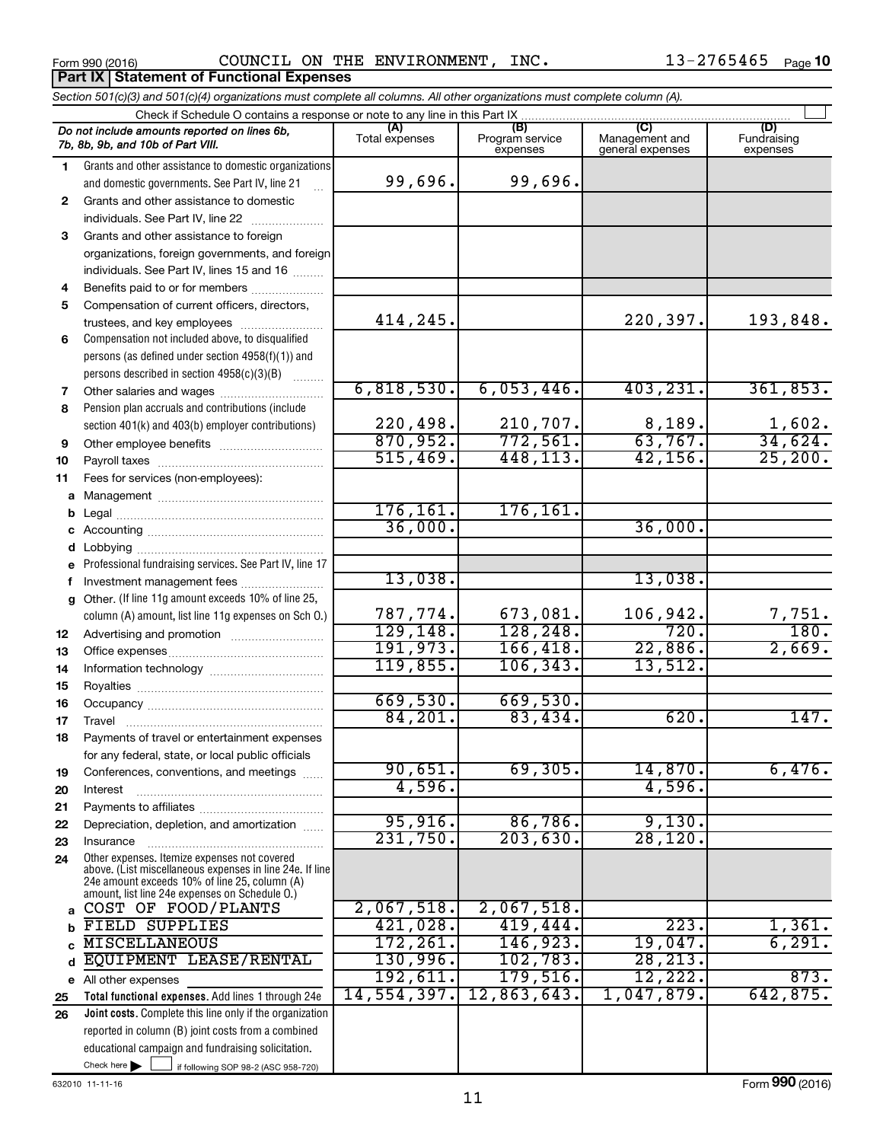Form 990 (2016) Page COUNCIL ON THE ENVIRONMENT, INC. 13-2765465

| Section 501(c)(3) and 501(c)(4) organizations must complete all columns. All other organizations must complete column (A). |                                                                                                                                                                                                             |                       |                                    |                                    |                                |  |  |  |  |  |
|----------------------------------------------------------------------------------------------------------------------------|-------------------------------------------------------------------------------------------------------------------------------------------------------------------------------------------------------------|-----------------------|------------------------------------|------------------------------------|--------------------------------|--|--|--|--|--|
|                                                                                                                            | Check if Schedule O contains a response or note to any line in this Part IX.                                                                                                                                |                       |                                    |                                    |                                |  |  |  |  |  |
|                                                                                                                            | Do not include amounts reported on lines 6b,<br>7b, 8b, 9b, and 10b of Part VIII.                                                                                                                           | (A)<br>Total expenses | (B)<br>Program service<br>expenses | Management and<br>general expenses | (D)<br>Fundraising<br>expenses |  |  |  |  |  |
| 1.                                                                                                                         | Grants and other assistance to domestic organizations                                                                                                                                                       |                       |                                    |                                    |                                |  |  |  |  |  |
|                                                                                                                            | and domestic governments. See Part IV, line 21                                                                                                                                                              | 99,696.               | 99,696.                            |                                    |                                |  |  |  |  |  |
| $\mathbf{2}$                                                                                                               | Grants and other assistance to domestic                                                                                                                                                                     |                       |                                    |                                    |                                |  |  |  |  |  |
|                                                                                                                            | individuals. See Part IV, line 22                                                                                                                                                                           |                       |                                    |                                    |                                |  |  |  |  |  |
| 3                                                                                                                          | Grants and other assistance to foreign                                                                                                                                                                      |                       |                                    |                                    |                                |  |  |  |  |  |
|                                                                                                                            | organizations, foreign governments, and foreign                                                                                                                                                             |                       |                                    |                                    |                                |  |  |  |  |  |
|                                                                                                                            | individuals. See Part IV, lines 15 and 16                                                                                                                                                                   |                       |                                    |                                    |                                |  |  |  |  |  |
| 4                                                                                                                          | Benefits paid to or for members                                                                                                                                                                             |                       |                                    |                                    |                                |  |  |  |  |  |
| 5                                                                                                                          | Compensation of current officers, directors,                                                                                                                                                                |                       |                                    |                                    |                                |  |  |  |  |  |
|                                                                                                                            | trustees, and key employees                                                                                                                                                                                 | 414,245.              |                                    | 220,397.                           | 193,848.                       |  |  |  |  |  |
| 6                                                                                                                          | Compensation not included above, to disqualified                                                                                                                                                            |                       |                                    |                                    |                                |  |  |  |  |  |
|                                                                                                                            | persons (as defined under section 4958(f)(1)) and                                                                                                                                                           |                       |                                    |                                    |                                |  |  |  |  |  |
|                                                                                                                            | persons described in section 4958(c)(3)(B)                                                                                                                                                                  |                       |                                    |                                    |                                |  |  |  |  |  |
| 7                                                                                                                          |                                                                                                                                                                                                             | 6,818,530.            | 6,053,446.                         | 403, 231.                          | 361,853.                       |  |  |  |  |  |
| 8                                                                                                                          | Pension plan accruals and contributions (include                                                                                                                                                            |                       |                                    |                                    |                                |  |  |  |  |  |
|                                                                                                                            | section 401(k) and 403(b) employer contributions)                                                                                                                                                           | 220,498.<br>870,952.  | 210,707.                           | 8,189.                             | $\frac{1,602}{34,624}$         |  |  |  |  |  |
| 9                                                                                                                          | Other employee benefits                                                                                                                                                                                     |                       | 772,561.                           | 63,767.                            |                                |  |  |  |  |  |
| 10                                                                                                                         |                                                                                                                                                                                                             | 515,469.              | 448,113.                           | 42, 156.                           | 25, 200.                       |  |  |  |  |  |
| 11                                                                                                                         | Fees for services (non-employees):                                                                                                                                                                          |                       |                                    |                                    |                                |  |  |  |  |  |
| a                                                                                                                          |                                                                                                                                                                                                             |                       |                                    |                                    |                                |  |  |  |  |  |
| b                                                                                                                          |                                                                                                                                                                                                             | 176, 161.<br>36,000.  | 176, 161.                          |                                    |                                |  |  |  |  |  |
|                                                                                                                            |                                                                                                                                                                                                             |                       |                                    | 36,000.                            |                                |  |  |  |  |  |
|                                                                                                                            | <b>d</b> Lobbying                                                                                                                                                                                           |                       |                                    |                                    |                                |  |  |  |  |  |
|                                                                                                                            | Professional fundraising services. See Part IV, line 17                                                                                                                                                     | 13,038.               |                                    | 13,038.                            |                                |  |  |  |  |  |
|                                                                                                                            | Investment management fees<br>g Other. (If line 11g amount exceeds 10% of line 25,                                                                                                                          |                       |                                    |                                    |                                |  |  |  |  |  |
|                                                                                                                            | column (A) amount, list line 11g expenses on Sch O.)                                                                                                                                                        | 787,774.              | 673,081.                           | 106,942.                           |                                |  |  |  |  |  |
|                                                                                                                            |                                                                                                                                                                                                             | 129, 148.             | 128,248.                           | 720.                               | $\frac{7,751}{180}$            |  |  |  |  |  |
| 12                                                                                                                         |                                                                                                                                                                                                             | 191,973.              | 166,418.                           | 22,886.                            | 2,669.                         |  |  |  |  |  |
| 13<br>14                                                                                                                   |                                                                                                                                                                                                             | 119,855.              | 106, 343.                          | 13,512.                            |                                |  |  |  |  |  |
| 15                                                                                                                         |                                                                                                                                                                                                             |                       |                                    |                                    |                                |  |  |  |  |  |
| 16                                                                                                                         |                                                                                                                                                                                                             | 669,530.              | 669,530.                           |                                    |                                |  |  |  |  |  |
| 17                                                                                                                         |                                                                                                                                                                                                             | 84, 201.              | 83,434.                            | 620.                               | 147.                           |  |  |  |  |  |
| 18                                                                                                                         | Payments of travel or entertainment expenses                                                                                                                                                                |                       |                                    |                                    |                                |  |  |  |  |  |
|                                                                                                                            | for any federal, state, or local public officials                                                                                                                                                           |                       |                                    |                                    |                                |  |  |  |  |  |
| 19                                                                                                                         | Conferences, conventions, and meetings                                                                                                                                                                      | 90,651.               | 69,305.                            | 14,870.                            | 6,476.                         |  |  |  |  |  |
| 20                                                                                                                         | Interest                                                                                                                                                                                                    | 4,596.                |                                    | 4,596.                             |                                |  |  |  |  |  |
| 21                                                                                                                         |                                                                                                                                                                                                             |                       |                                    |                                    |                                |  |  |  |  |  |
| 22                                                                                                                         | Depreciation, depletion, and amortization                                                                                                                                                                   | 95,916.               | 86,786.                            | 9,130.                             |                                |  |  |  |  |  |
| 23                                                                                                                         | Insurance                                                                                                                                                                                                   | 231,750.              | 203,630.                           | 28,120.                            |                                |  |  |  |  |  |
| 24                                                                                                                         | Other expenses. Itemize expenses not covered<br>above. (List miscellaneous expenses in line 24e. If line<br>24e amount exceeds 10% of line 25, column (A)<br>amount, list line 24e expenses on Schedule O.) |                       |                                    |                                    |                                |  |  |  |  |  |
| a                                                                                                                          | COST OF FOOD/PLANTS                                                                                                                                                                                         | 2,067,518.            | 2,067,518.                         |                                    |                                |  |  |  |  |  |
|                                                                                                                            | FIELD SUPPLIES                                                                                                                                                                                              | 421,028.              | 419,444.                           | 223.                               | 1,361.                         |  |  |  |  |  |
|                                                                                                                            | <b>MISCELLANEOUS</b>                                                                                                                                                                                        | 172, 261.             | 146,923.                           | 19,047.                            | 6, 291.                        |  |  |  |  |  |
| d                                                                                                                          | EQUIPMENT LEASE/RENTAL                                                                                                                                                                                      | 130,996.              | 102, 783.                          | 28, 213.                           |                                |  |  |  |  |  |
|                                                                                                                            | e All other expenses                                                                                                                                                                                        | 192,611.              | 179,516.                           | 12,222.                            | 873.                           |  |  |  |  |  |
| 25                                                                                                                         | Total functional expenses. Add lines 1 through 24e                                                                                                                                                          | 14,554,397.           | 12,863,643.                        | 1,047,879.                         | 642,875.                       |  |  |  |  |  |
| 26                                                                                                                         | Joint costs. Complete this line only if the organization                                                                                                                                                    |                       |                                    |                                    |                                |  |  |  |  |  |
|                                                                                                                            | reported in column (B) joint costs from a combined                                                                                                                                                          |                       |                                    |                                    |                                |  |  |  |  |  |
|                                                                                                                            | educational campaign and fundraising solicitation.                                                                                                                                                          |                       |                                    |                                    |                                |  |  |  |  |  |
|                                                                                                                            | Check here $\blacktriangleright$<br>if following SOP 98-2 (ASC 958-720)                                                                                                                                     |                       |                                    |                                    |                                |  |  |  |  |  |

632010 11-11-16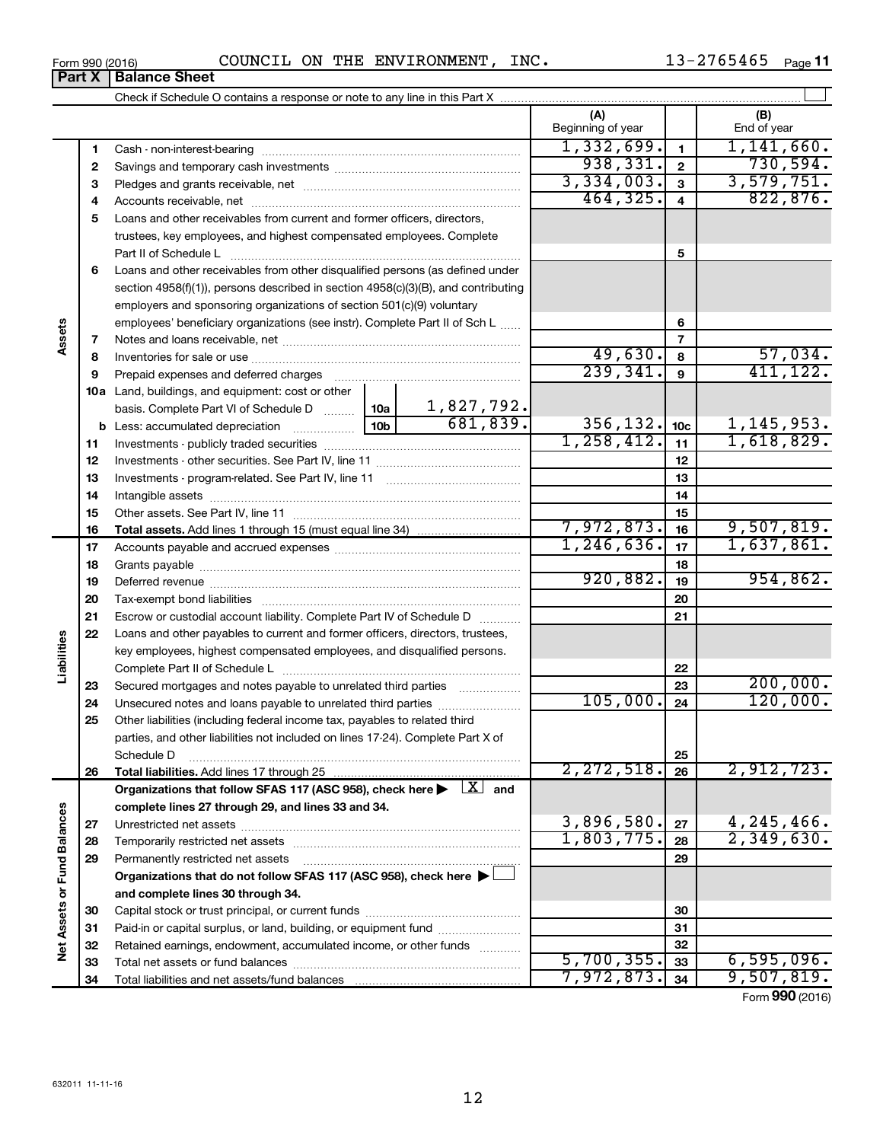| /65465<br>INC.<br>COUNCIL<br>ON<br><b>ENVIRONMENT</b><br>THE<br>Form 990 (2016)<br> | Page |
|-------------------------------------------------------------------------------------|------|
|-------------------------------------------------------------------------------------|------|

|                             | Part X   | <b>Balance Sheet</b>                                                                                                       |              |                               |                          |                         |                          |
|-----------------------------|----------|----------------------------------------------------------------------------------------------------------------------------|--------------|-------------------------------|--------------------------|-------------------------|--------------------------|
|                             |          |                                                                                                                            |              |                               |                          |                         |                          |
|                             |          |                                                                                                                            |              |                               | (A)<br>Beginning of year |                         | (B)<br>End of year       |
|                             | 1        |                                                                                                                            |              |                               | 1,332,699.               | $\mathbf{1}$            | 1,141,660.               |
|                             | 2        |                                                                                                                            |              |                               | 938, 331.                | $\overline{\mathbf{2}}$ | 730,594.                 |
|                             | 3        |                                                                                                                            |              |                               | 3,334,003.               | $\overline{\mathbf{3}}$ | 3,579,751.               |
|                             | 4        |                                                                                                                            |              |                               | 464, 325.                | $\overline{\mathbf{4}}$ | 822, 876.                |
|                             | 5        | Loans and other receivables from current and former officers, directors,                                                   |              |                               |                          |                         |                          |
|                             |          | trustees, key employees, and highest compensated employees. Complete                                                       |              |                               | 5                        |                         |                          |
|                             | 6        | Loans and other receivables from other disqualified persons (as defined under                                              |              |                               |                          |                         |                          |
|                             |          | section 4958(f)(1)), persons described in section 4958(c)(3)(B), and contributing                                          |              |                               |                          |                         |                          |
|                             |          | employers and sponsoring organizations of section 501(c)(9) voluntary                                                      |              |                               |                          |                         |                          |
|                             |          | employees' beneficiary organizations (see instr). Complete Part II of Sch L                                                |              |                               |                          | 6                       |                          |
| Assets                      | 7        |                                                                                                                            |              |                               |                          | $\overline{7}$          |                          |
|                             | 8        |                                                                                                                            |              |                               | 49,630.                  | 8                       |                          |
|                             | 9        | Prepaid expenses and deferred charges                                                                                      |              |                               | 239, 341.                | 9                       | $\frac{57,034}{411,122}$ |
|                             |          | 10a Land, buildings, and equipment: cost or other                                                                          |              |                               |                          |                         |                          |
|                             |          | basis. Complete Part VI of Schedule D  10a                                                                                 |              | $\frac{1,827,792.}{681,839.}$ |                          |                         |                          |
|                             |          |                                                                                                                            |              | 356, 132.                     | 10 <sub>c</sub>          | 1, 145, 953.            |                          |
|                             | 11       |                                                                                                                            | 1, 258, 412. | 11                            | 1,618,829.               |                         |                          |
|                             | 12       |                                                                                                                            |              |                               | 12                       |                         |                          |
|                             | 13       |                                                                                                                            |              | 13                            |                          |                         |                          |
|                             | 14       |                                                                                                                            |              |                               | 14                       |                         |                          |
|                             | 15       |                                                                                                                            |              | 15                            |                          |                         |                          |
|                             | 16       |                                                                                                                            |              |                               | 7,972,873.               | 16                      | 9,507,819.               |
|                             | 17       |                                                                                                                            |              |                               | 1, 246, 636.             | 17                      | 1,637,861.               |
|                             | 18       |                                                                                                                            |              |                               |                          | 18                      |                          |
|                             | 19       |                                                                                                                            |              |                               | 920,882.                 | 19                      | 954,862.                 |
|                             | 20       |                                                                                                                            |              |                               |                          | 20                      |                          |
|                             | 21       | Escrow or custodial account liability. Complete Part IV of Schedule D                                                      |              |                               |                          | 21                      |                          |
|                             | 22       | Loans and other payables to current and former officers, directors, trustees,                                              |              |                               |                          |                         |                          |
|                             |          | key employees, highest compensated employees, and disqualified persons.                                                    |              |                               |                          |                         |                          |
| Liabilities                 |          |                                                                                                                            |              |                               |                          | 22                      |                          |
|                             | 23       | Secured mortgages and notes payable to unrelated third parties                                                             |              |                               |                          | 23                      | 200,000.                 |
|                             | 24       | Unsecured notes and loans payable to unrelated third parties                                                               |              |                               | 105,000.                 | 24                      | 120,000.                 |
|                             | 25       | Other liabilities (including federal income tax, payables to related third                                                 |              |                               |                          |                         |                          |
|                             |          | parties, and other liabilities not included on lines 17-24). Complete Part X of                                            |              |                               |                          |                         |                          |
|                             |          | Schedule D                                                                                                                 |              |                               | 2, 272, 518.             | 25                      | 2,912,723.               |
|                             | 26       | Total liabilities. Add lines 17 through 25                                                                                 |              |                               |                          | 26                      |                          |
|                             |          | Organizations that follow SFAS 117 (ASC 958), check here $\blacktriangleright \begin{array}{c} \perp X \\ \end{array}$ and |              |                               |                          |                         |                          |
|                             |          | complete lines 27 through 29, and lines 33 and 34.                                                                         |              |                               | 3,896,580.               | 27                      | 4,245,466.               |
|                             | 27<br>28 | Temporarily restricted net assets                                                                                          |              |                               | 1,803,775.               | 28                      | 2,349,630.               |
|                             | 29       | Permanently restricted net assets                                                                                          |              |                               |                          | 29                      |                          |
|                             |          | Organizations that do not follow SFAS 117 (ASC 958), check here $\blacktriangleright$                                      |              |                               |                          |                         |                          |
|                             |          | and complete lines 30 through 34.                                                                                          |              |                               |                          |                         |                          |
|                             | 30       |                                                                                                                            |              |                               |                          | 30                      |                          |
|                             | 31       | Paid-in or capital surplus, or land, building, or equipment fund                                                           |              |                               |                          | 31                      |                          |
| Net Assets or Fund Balances | 32       | Retained earnings, endowment, accumulated income, or other funds                                                           |              | .                             |                          | 32                      |                          |
|                             |          | tol not accoto as fund boloncoo                                                                                            | 5, 700, 355  | $\sim$                        | 6.595.096                |                         |                          |

Form (2016) **990** 7,972,873. <sub>34</sub> 9,507,819.

 $\overline{5,700,355.}$  33 6,595,096.

Capital stock or trust principal, or current funds ~~~~~~~~~~~~~~~ Paid-in or capital surplus, or land, building, or equipment fund ....................... Retained earnings, endowment, accumulated income, or other funds ............ Total net assets or fund balances ~~~~~~~~~~~~~~~~~~~~~~

Total liabilities and net assets/fund balances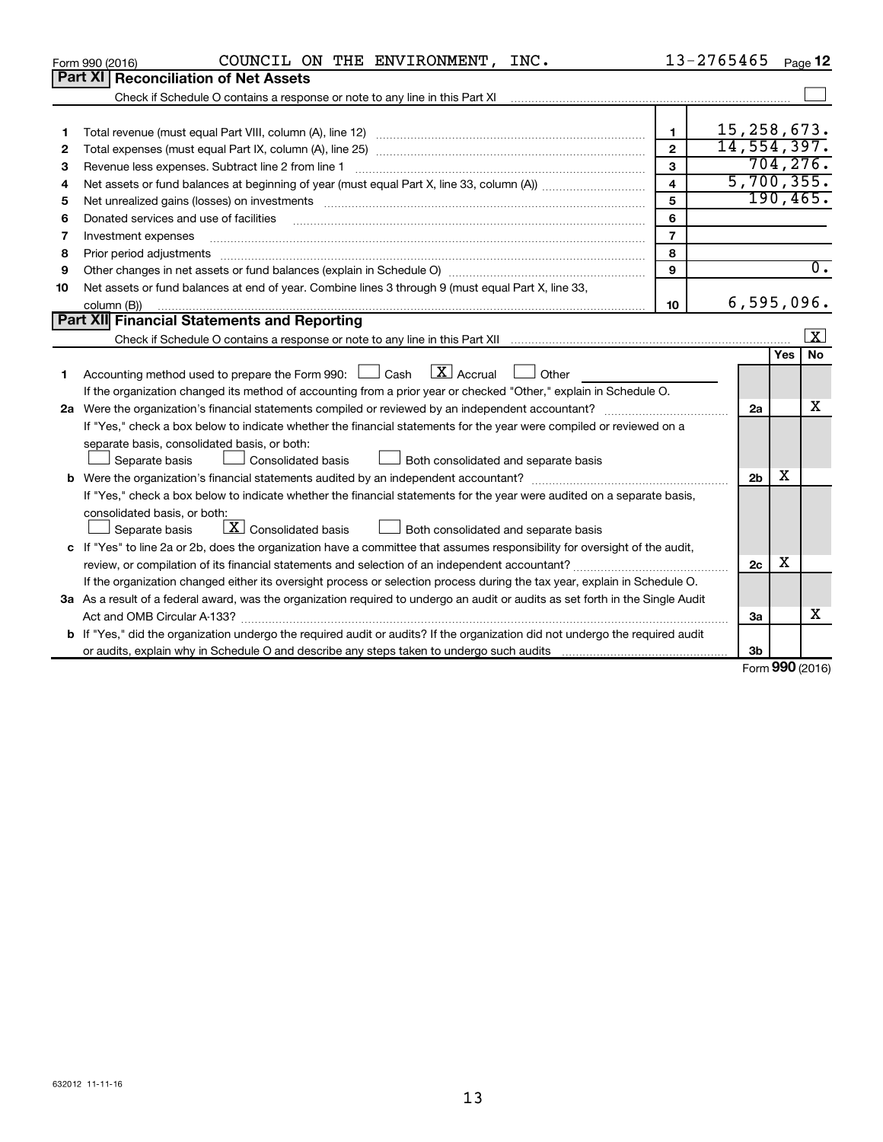| Part XI Reconciliation of Net Assets<br>Check if Schedule O contains a response or note to any line in this Part XI<br>15, 258, 673.<br>$\mathbf{1}$<br>1<br>14,554,397.<br>$\mathbf{2}$<br>2<br>704, 276.<br>3<br>Revenue less expenses. Subtract line 2 from line 1<br>З<br>5,700,355.<br>$\overline{\mathbf{4}}$<br>4<br>190, 465.<br>5<br>5<br>6<br>Donated services and use of facilities<br>6<br>$\overline{7}$<br>Investment expenses<br>7<br>8<br>Prior period adjustments<br>8<br>9<br>9<br>Net assets or fund balances at end of year. Combine lines 3 through 9 (must equal Part X, line 33,<br>10<br>6,595,096.<br>10<br>column (B))<br><b>Part XII</b> Financial Statements and Reporting<br>$\overline{\mathbf{x}}$<br><b>No</b><br>Yes<br>Accounting method used to prepare the Form 990: $\Box$ Cash $\Box X$ Accrual $\Box$ Other<br>1<br>If the organization changed its method of accounting from a prior year or checked "Other," explain in Schedule O.<br>х<br>2a<br>If "Yes," check a box below to indicate whether the financial statements for the year were compiled or reviewed on a<br>separate basis, consolidated basis, or both:<br>Separate basis<br>Consolidated basis<br>Both consolidated and separate basis<br>х<br>2 <sub>b</sub><br>If "Yes," check a box below to indicate whether the financial statements for the year were audited on a separate basis,<br>consolidated basis, or both:<br>$\lfloor x \rfloor$ Consolidated basis<br>Both consolidated and separate basis<br>Separate basis<br>c If "Yes" to line 2a or 2b, does the organization have a committee that assumes responsibility for oversight of the audit,<br>х<br>2c<br>If the organization changed either its oversight process or selection process during the tax year, explain in Schedule O.<br>3a As a result of a federal award, was the organization required to undergo an audit or audits as set forth in the Single Audit<br>X<br>За<br>b If "Yes," did the organization undergo the required audit or audits? If the organization did not undergo the required audit<br>3b<br>Form 990 (2016) | COUNCIL ON THE ENVIRONMENT, INC.<br>Form 990 (2016) | $13 - 2765465$ Page 12 |                  |
|----------------------------------------------------------------------------------------------------------------------------------------------------------------------------------------------------------------------------------------------------------------------------------------------------------------------------------------------------------------------------------------------------------------------------------------------------------------------------------------------------------------------------------------------------------------------------------------------------------------------------------------------------------------------------------------------------------------------------------------------------------------------------------------------------------------------------------------------------------------------------------------------------------------------------------------------------------------------------------------------------------------------------------------------------------------------------------------------------------------------------------------------------------------------------------------------------------------------------------------------------------------------------------------------------------------------------------------------------------------------------------------------------------------------------------------------------------------------------------------------------------------------------------------------------------------------------------------------------------------------------------------------------------------------------------------------------------------------------------------------------------------------------------------------------------------------------------------------------------------------------------------------------------------------------------------------------------------------------------------------------------------------------------------------------------------------------------------------------------------------|-----------------------------------------------------|------------------------|------------------|
|                                                                                                                                                                                                                                                                                                                                                                                                                                                                                                                                                                                                                                                                                                                                                                                                                                                                                                                                                                                                                                                                                                                                                                                                                                                                                                                                                                                                                                                                                                                                                                                                                                                                                                                                                                                                                                                                                                                                                                                                                                                                                                                      |                                                     |                        |                  |
|                                                                                                                                                                                                                                                                                                                                                                                                                                                                                                                                                                                                                                                                                                                                                                                                                                                                                                                                                                                                                                                                                                                                                                                                                                                                                                                                                                                                                                                                                                                                                                                                                                                                                                                                                                                                                                                                                                                                                                                                                                                                                                                      |                                                     |                        |                  |
|                                                                                                                                                                                                                                                                                                                                                                                                                                                                                                                                                                                                                                                                                                                                                                                                                                                                                                                                                                                                                                                                                                                                                                                                                                                                                                                                                                                                                                                                                                                                                                                                                                                                                                                                                                                                                                                                                                                                                                                                                                                                                                                      |                                                     |                        |                  |
|                                                                                                                                                                                                                                                                                                                                                                                                                                                                                                                                                                                                                                                                                                                                                                                                                                                                                                                                                                                                                                                                                                                                                                                                                                                                                                                                                                                                                                                                                                                                                                                                                                                                                                                                                                                                                                                                                                                                                                                                                                                                                                                      |                                                     |                        |                  |
|                                                                                                                                                                                                                                                                                                                                                                                                                                                                                                                                                                                                                                                                                                                                                                                                                                                                                                                                                                                                                                                                                                                                                                                                                                                                                                                                                                                                                                                                                                                                                                                                                                                                                                                                                                                                                                                                                                                                                                                                                                                                                                                      |                                                     |                        |                  |
|                                                                                                                                                                                                                                                                                                                                                                                                                                                                                                                                                                                                                                                                                                                                                                                                                                                                                                                                                                                                                                                                                                                                                                                                                                                                                                                                                                                                                                                                                                                                                                                                                                                                                                                                                                                                                                                                                                                                                                                                                                                                                                                      |                                                     |                        |                  |
|                                                                                                                                                                                                                                                                                                                                                                                                                                                                                                                                                                                                                                                                                                                                                                                                                                                                                                                                                                                                                                                                                                                                                                                                                                                                                                                                                                                                                                                                                                                                                                                                                                                                                                                                                                                                                                                                                                                                                                                                                                                                                                                      |                                                     |                        |                  |
|                                                                                                                                                                                                                                                                                                                                                                                                                                                                                                                                                                                                                                                                                                                                                                                                                                                                                                                                                                                                                                                                                                                                                                                                                                                                                                                                                                                                                                                                                                                                                                                                                                                                                                                                                                                                                                                                                                                                                                                                                                                                                                                      |                                                     |                        |                  |
|                                                                                                                                                                                                                                                                                                                                                                                                                                                                                                                                                                                                                                                                                                                                                                                                                                                                                                                                                                                                                                                                                                                                                                                                                                                                                                                                                                                                                                                                                                                                                                                                                                                                                                                                                                                                                                                                                                                                                                                                                                                                                                                      |                                                     |                        |                  |
|                                                                                                                                                                                                                                                                                                                                                                                                                                                                                                                                                                                                                                                                                                                                                                                                                                                                                                                                                                                                                                                                                                                                                                                                                                                                                                                                                                                                                                                                                                                                                                                                                                                                                                                                                                                                                                                                                                                                                                                                                                                                                                                      |                                                     |                        |                  |
|                                                                                                                                                                                                                                                                                                                                                                                                                                                                                                                                                                                                                                                                                                                                                                                                                                                                                                                                                                                                                                                                                                                                                                                                                                                                                                                                                                                                                                                                                                                                                                                                                                                                                                                                                                                                                                                                                                                                                                                                                                                                                                                      |                                                     |                        |                  |
|                                                                                                                                                                                                                                                                                                                                                                                                                                                                                                                                                                                                                                                                                                                                                                                                                                                                                                                                                                                                                                                                                                                                                                                                                                                                                                                                                                                                                                                                                                                                                                                                                                                                                                                                                                                                                                                                                                                                                                                                                                                                                                                      |                                                     |                        | $\overline{0}$ . |
|                                                                                                                                                                                                                                                                                                                                                                                                                                                                                                                                                                                                                                                                                                                                                                                                                                                                                                                                                                                                                                                                                                                                                                                                                                                                                                                                                                                                                                                                                                                                                                                                                                                                                                                                                                                                                                                                                                                                                                                                                                                                                                                      |                                                     |                        |                  |
|                                                                                                                                                                                                                                                                                                                                                                                                                                                                                                                                                                                                                                                                                                                                                                                                                                                                                                                                                                                                                                                                                                                                                                                                                                                                                                                                                                                                                                                                                                                                                                                                                                                                                                                                                                                                                                                                                                                                                                                                                                                                                                                      |                                                     |                        |                  |
|                                                                                                                                                                                                                                                                                                                                                                                                                                                                                                                                                                                                                                                                                                                                                                                                                                                                                                                                                                                                                                                                                                                                                                                                                                                                                                                                                                                                                                                                                                                                                                                                                                                                                                                                                                                                                                                                                                                                                                                                                                                                                                                      |                                                     |                        |                  |
|                                                                                                                                                                                                                                                                                                                                                                                                                                                                                                                                                                                                                                                                                                                                                                                                                                                                                                                                                                                                                                                                                                                                                                                                                                                                                                                                                                                                                                                                                                                                                                                                                                                                                                                                                                                                                                                                                                                                                                                                                                                                                                                      |                                                     |                        |                  |
|                                                                                                                                                                                                                                                                                                                                                                                                                                                                                                                                                                                                                                                                                                                                                                                                                                                                                                                                                                                                                                                                                                                                                                                                                                                                                                                                                                                                                                                                                                                                                                                                                                                                                                                                                                                                                                                                                                                                                                                                                                                                                                                      |                                                     |                        |                  |
|                                                                                                                                                                                                                                                                                                                                                                                                                                                                                                                                                                                                                                                                                                                                                                                                                                                                                                                                                                                                                                                                                                                                                                                                                                                                                                                                                                                                                                                                                                                                                                                                                                                                                                                                                                                                                                                                                                                                                                                                                                                                                                                      |                                                     |                        |                  |
|                                                                                                                                                                                                                                                                                                                                                                                                                                                                                                                                                                                                                                                                                                                                                                                                                                                                                                                                                                                                                                                                                                                                                                                                                                                                                                                                                                                                                                                                                                                                                                                                                                                                                                                                                                                                                                                                                                                                                                                                                                                                                                                      |                                                     |                        |                  |
|                                                                                                                                                                                                                                                                                                                                                                                                                                                                                                                                                                                                                                                                                                                                                                                                                                                                                                                                                                                                                                                                                                                                                                                                                                                                                                                                                                                                                                                                                                                                                                                                                                                                                                                                                                                                                                                                                                                                                                                                                                                                                                                      |                                                     |                        |                  |
|                                                                                                                                                                                                                                                                                                                                                                                                                                                                                                                                                                                                                                                                                                                                                                                                                                                                                                                                                                                                                                                                                                                                                                                                                                                                                                                                                                                                                                                                                                                                                                                                                                                                                                                                                                                                                                                                                                                                                                                                                                                                                                                      |                                                     |                        |                  |
|                                                                                                                                                                                                                                                                                                                                                                                                                                                                                                                                                                                                                                                                                                                                                                                                                                                                                                                                                                                                                                                                                                                                                                                                                                                                                                                                                                                                                                                                                                                                                                                                                                                                                                                                                                                                                                                                                                                                                                                                                                                                                                                      |                                                     |                        |                  |
|                                                                                                                                                                                                                                                                                                                                                                                                                                                                                                                                                                                                                                                                                                                                                                                                                                                                                                                                                                                                                                                                                                                                                                                                                                                                                                                                                                                                                                                                                                                                                                                                                                                                                                                                                                                                                                                                                                                                                                                                                                                                                                                      |                                                     |                        |                  |
|                                                                                                                                                                                                                                                                                                                                                                                                                                                                                                                                                                                                                                                                                                                                                                                                                                                                                                                                                                                                                                                                                                                                                                                                                                                                                                                                                                                                                                                                                                                                                                                                                                                                                                                                                                                                                                                                                                                                                                                                                                                                                                                      |                                                     |                        |                  |
|                                                                                                                                                                                                                                                                                                                                                                                                                                                                                                                                                                                                                                                                                                                                                                                                                                                                                                                                                                                                                                                                                                                                                                                                                                                                                                                                                                                                                                                                                                                                                                                                                                                                                                                                                                                                                                                                                                                                                                                                                                                                                                                      |                                                     |                        |                  |
|                                                                                                                                                                                                                                                                                                                                                                                                                                                                                                                                                                                                                                                                                                                                                                                                                                                                                                                                                                                                                                                                                                                                                                                                                                                                                                                                                                                                                                                                                                                                                                                                                                                                                                                                                                                                                                                                                                                                                                                                                                                                                                                      |                                                     |                        |                  |
|                                                                                                                                                                                                                                                                                                                                                                                                                                                                                                                                                                                                                                                                                                                                                                                                                                                                                                                                                                                                                                                                                                                                                                                                                                                                                                                                                                                                                                                                                                                                                                                                                                                                                                                                                                                                                                                                                                                                                                                                                                                                                                                      |                                                     |                        |                  |
|                                                                                                                                                                                                                                                                                                                                                                                                                                                                                                                                                                                                                                                                                                                                                                                                                                                                                                                                                                                                                                                                                                                                                                                                                                                                                                                                                                                                                                                                                                                                                                                                                                                                                                                                                                                                                                                                                                                                                                                                                                                                                                                      |                                                     |                        |                  |
|                                                                                                                                                                                                                                                                                                                                                                                                                                                                                                                                                                                                                                                                                                                                                                                                                                                                                                                                                                                                                                                                                                                                                                                                                                                                                                                                                                                                                                                                                                                                                                                                                                                                                                                                                                                                                                                                                                                                                                                                                                                                                                                      |                                                     |                        |                  |
|                                                                                                                                                                                                                                                                                                                                                                                                                                                                                                                                                                                                                                                                                                                                                                                                                                                                                                                                                                                                                                                                                                                                                                                                                                                                                                                                                                                                                                                                                                                                                                                                                                                                                                                                                                                                                                                                                                                                                                                                                                                                                                                      |                                                     |                        |                  |
|                                                                                                                                                                                                                                                                                                                                                                                                                                                                                                                                                                                                                                                                                                                                                                                                                                                                                                                                                                                                                                                                                                                                                                                                                                                                                                                                                                                                                                                                                                                                                                                                                                                                                                                                                                                                                                                                                                                                                                                                                                                                                                                      |                                                     |                        |                  |
|                                                                                                                                                                                                                                                                                                                                                                                                                                                                                                                                                                                                                                                                                                                                                                                                                                                                                                                                                                                                                                                                                                                                                                                                                                                                                                                                                                                                                                                                                                                                                                                                                                                                                                                                                                                                                                                                                                                                                                                                                                                                                                                      |                                                     |                        |                  |
|                                                                                                                                                                                                                                                                                                                                                                                                                                                                                                                                                                                                                                                                                                                                                                                                                                                                                                                                                                                                                                                                                                                                                                                                                                                                                                                                                                                                                                                                                                                                                                                                                                                                                                                                                                                                                                                                                                                                                                                                                                                                                                                      |                                                     |                        |                  |
|                                                                                                                                                                                                                                                                                                                                                                                                                                                                                                                                                                                                                                                                                                                                                                                                                                                                                                                                                                                                                                                                                                                                                                                                                                                                                                                                                                                                                                                                                                                                                                                                                                                                                                                                                                                                                                                                                                                                                                                                                                                                                                                      |                                                     |                        |                  |
|                                                                                                                                                                                                                                                                                                                                                                                                                                                                                                                                                                                                                                                                                                                                                                                                                                                                                                                                                                                                                                                                                                                                                                                                                                                                                                                                                                                                                                                                                                                                                                                                                                                                                                                                                                                                                                                                                                                                                                                                                                                                                                                      |                                                     |                        |                  |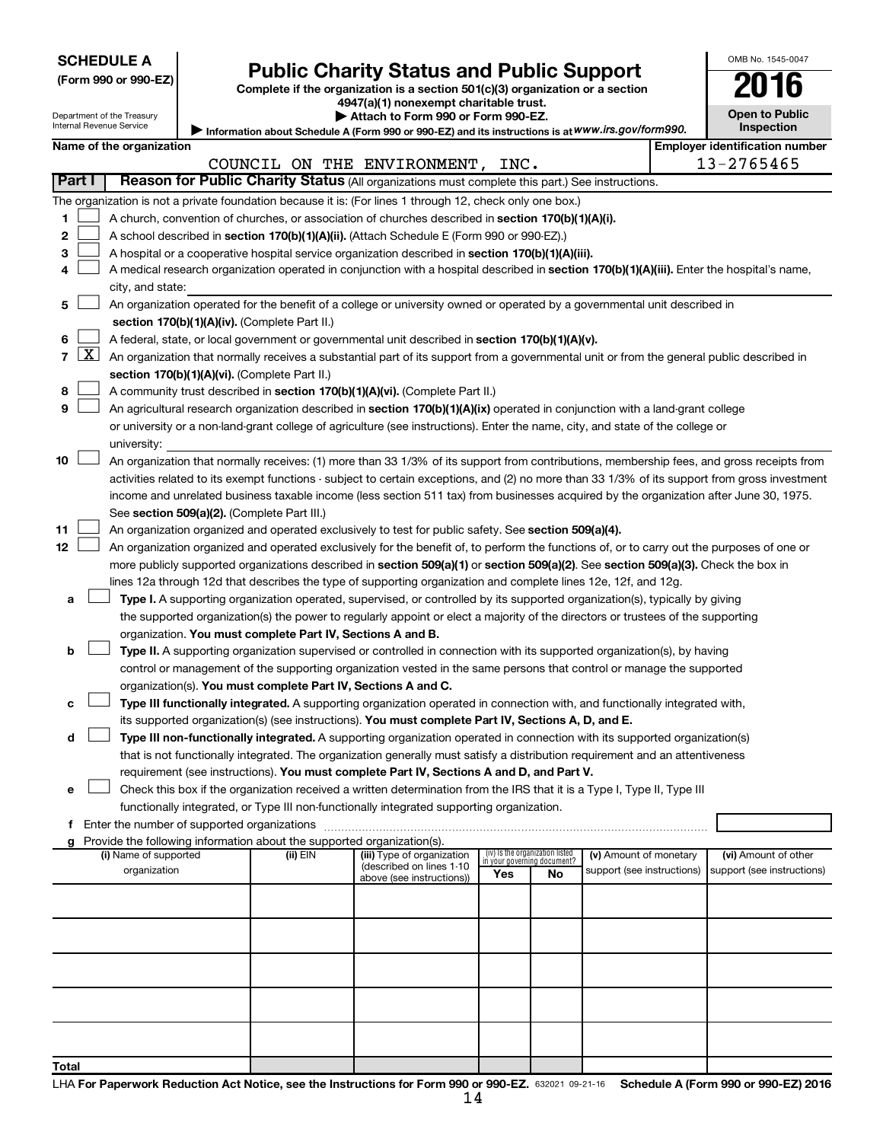| (Form 990 or 990-EZ |  |  |
|---------------------|--|--|
|                     |  |  |

# Form 990 or 990-EZ) **Public Charity Status and Public Support**<br>
Complete if the organization is a section 501(c)(3) organization or a section<br> **2016**

**4947(a)(1) nonexempt charitable trust.**

|  |  |  | $\blacktriangleright$ Attach to Form 990 or Form 990-EZ. |  |
|--|--|--|----------------------------------------------------------|--|
|  |  |  |                                                          |  |

**Open to Public Inspection**

OMB No. 1545-0047

| Department of the Treasury<br>Internal Revenue Service |                          |                                       |  | Attach to Form 990 or Form 990-EZ.<br>Information about Schedule A (Form 990 or 990-EZ) and its instructions is at WWW.irs.gov/form990. |                                                                                                                                               |                                 |                             |                                                      |  |                                                    |  |  |
|--------------------------------------------------------|--------------------------|---------------------------------------|--|-----------------------------------------------------------------------------------------------------------------------------------------|-----------------------------------------------------------------------------------------------------------------------------------------------|---------------------------------|-----------------------------|------------------------------------------------------|--|----------------------------------------------------|--|--|
|                                                        | Name of the organization |                                       |  |                                                                                                                                         |                                                                                                                                               |                                 | <b>Inspection</b>           |                                                      |  |                                                    |  |  |
|                                                        |                          |                                       |  | COUNCIL ON THE ENVIRONMENT, INC.                                                                                                        |                                                                                                                                               |                                 |                             |                                                      |  | <b>Employer identification number</b>              |  |  |
|                                                        |                          |                                       |  |                                                                                                                                         |                                                                                                                                               |                                 |                             |                                                      |  | 13-2765465                                         |  |  |
|                                                        | Part I                   |                                       |  |                                                                                                                                         | Reason for Public Charity Status (All organizations must complete this part.) See instructions.                                               |                                 |                             |                                                      |  |                                                    |  |  |
|                                                        |                          |                                       |  |                                                                                                                                         | The organization is not a private foundation because it is: (For lines 1 through 12, check only one box.)                                     |                                 |                             |                                                      |  |                                                    |  |  |
| 1                                                      |                          |                                       |  |                                                                                                                                         | A church, convention of churches, or association of churches described in section 170(b)(1)(A)(i).                                            |                                 |                             |                                                      |  |                                                    |  |  |
| 2                                                      |                          |                                       |  |                                                                                                                                         | A school described in section 170(b)(1)(A)(ii). (Attach Schedule E (Form 990 or 990-EZ).)                                                     |                                 |                             |                                                      |  |                                                    |  |  |
| 3                                                      |                          |                                       |  |                                                                                                                                         | A hospital or a cooperative hospital service organization described in section 170(b)(1)(A)(iii).                                             |                                 |                             |                                                      |  |                                                    |  |  |
| 4                                                      |                          |                                       |  |                                                                                                                                         | A medical research organization operated in conjunction with a hospital described in section 170(b)(1)(A)(iii). Enter the hospital's name,    |                                 |                             |                                                      |  |                                                    |  |  |
|                                                        |                          | city, and state:                      |  |                                                                                                                                         |                                                                                                                                               |                                 |                             |                                                      |  |                                                    |  |  |
| 5                                                      |                          |                                       |  |                                                                                                                                         | An organization operated for the benefit of a college or university owned or operated by a governmental unit described in                     |                                 |                             |                                                      |  |                                                    |  |  |
|                                                        |                          |                                       |  | section 170(b)(1)(A)(iv). (Complete Part II.)                                                                                           |                                                                                                                                               |                                 |                             |                                                      |  |                                                    |  |  |
| 6                                                      |                          |                                       |  |                                                                                                                                         | A federal, state, or local government or governmental unit described in section 170(b)(1)(A)(v).                                              |                                 |                             |                                                      |  |                                                    |  |  |
| 7                                                      | <u>X  </u>               |                                       |  |                                                                                                                                         | An organization that normally receives a substantial part of its support from a governmental unit or from the general public described in     |                                 |                             |                                                      |  |                                                    |  |  |
|                                                        |                          |                                       |  | section 170(b)(1)(A)(vi). (Complete Part II.)                                                                                           |                                                                                                                                               |                                 |                             |                                                      |  |                                                    |  |  |
| 8                                                      |                          |                                       |  |                                                                                                                                         | A community trust described in section 170(b)(1)(A)(vi). (Complete Part II.)                                                                  |                                 |                             |                                                      |  |                                                    |  |  |
| 9                                                      |                          |                                       |  |                                                                                                                                         | An agricultural research organization described in section 170(b)(1)(A)(ix) operated in conjunction with a land-grant college                 |                                 |                             |                                                      |  |                                                    |  |  |
|                                                        |                          |                                       |  |                                                                                                                                         | or university or a non-land-grant college of agriculture (see instructions). Enter the name, city, and state of the college or                |                                 |                             |                                                      |  |                                                    |  |  |
|                                                        |                          | university:                           |  |                                                                                                                                         |                                                                                                                                               |                                 |                             |                                                      |  |                                                    |  |  |
| 10                                                     |                          |                                       |  |                                                                                                                                         | An organization that normally receives: (1) more than 33 1/3% of its support from contributions, membership fees, and gross receipts from     |                                 |                             |                                                      |  |                                                    |  |  |
|                                                        |                          |                                       |  |                                                                                                                                         | activities related to its exempt functions - subject to certain exceptions, and (2) no more than 33 1/3% of its support from gross investment |                                 |                             |                                                      |  |                                                    |  |  |
|                                                        |                          |                                       |  |                                                                                                                                         | income and unrelated business taxable income (less section 511 tax) from businesses acquired by the organization after June 30, 1975.         |                                 |                             |                                                      |  |                                                    |  |  |
|                                                        |                          |                                       |  | See section 509(a)(2). (Complete Part III.)                                                                                             |                                                                                                                                               |                                 |                             |                                                      |  |                                                    |  |  |
| 11                                                     |                          |                                       |  |                                                                                                                                         | An organization organized and operated exclusively to test for public safety. See section 509(a)(4).                                          |                                 |                             |                                                      |  |                                                    |  |  |
| 12                                                     |                          |                                       |  |                                                                                                                                         | An organization organized and operated exclusively for the benefit of, to perform the functions of, or to carry out the purposes of one or    |                                 |                             |                                                      |  |                                                    |  |  |
|                                                        |                          |                                       |  |                                                                                                                                         | more publicly supported organizations described in section 509(a)(1) or section 509(a)(2). See section 509(a)(3). Check the box in            |                                 |                             |                                                      |  |                                                    |  |  |
|                                                        |                          |                                       |  |                                                                                                                                         | lines 12a through 12d that describes the type of supporting organization and complete lines 12e, 12f, and 12g.                                |                                 |                             |                                                      |  |                                                    |  |  |
| а                                                      |                          |                                       |  |                                                                                                                                         | Type I. A supporting organization operated, supervised, or controlled by its supported organization(s), typically by giving                   |                                 |                             |                                                      |  |                                                    |  |  |
|                                                        |                          |                                       |  |                                                                                                                                         | the supported organization(s) the power to regularly appoint or elect a majority of the directors or trustees of the supporting               |                                 |                             |                                                      |  |                                                    |  |  |
|                                                        |                          |                                       |  | organization. You must complete Part IV, Sections A and B.                                                                              |                                                                                                                                               |                                 |                             |                                                      |  |                                                    |  |  |
| b                                                      |                          |                                       |  |                                                                                                                                         | Type II. A supporting organization supervised or controlled in connection with its supported organization(s), by having                       |                                 |                             |                                                      |  |                                                    |  |  |
|                                                        |                          |                                       |  |                                                                                                                                         | control or management of the supporting organization vested in the same persons that control or manage the supported                          |                                 |                             |                                                      |  |                                                    |  |  |
|                                                        |                          |                                       |  |                                                                                                                                         | organization(s). You must complete Part IV, Sections A and C.                                                                                 |                                 |                             |                                                      |  |                                                    |  |  |
| с                                                      |                          |                                       |  |                                                                                                                                         | Type III functionally integrated. A supporting organization operated in connection with, and functionally integrated with,                    |                                 |                             |                                                      |  |                                                    |  |  |
|                                                        |                          |                                       |  |                                                                                                                                         | its supported organization(s) (see instructions). You must complete Part IV, Sections A, D, and E.                                            |                                 |                             |                                                      |  |                                                    |  |  |
| d                                                      |                          |                                       |  |                                                                                                                                         | Type III non-functionally integrated. A supporting organization operated in connection with its supported organization(s)                     |                                 |                             |                                                      |  |                                                    |  |  |
|                                                        |                          |                                       |  |                                                                                                                                         | that is not functionally integrated. The organization generally must satisfy a distribution requirement and an attentiveness                  |                                 |                             |                                                      |  |                                                    |  |  |
|                                                        |                          |                                       |  |                                                                                                                                         | requirement (see instructions). You must complete Part IV, Sections A and D, and Part V.                                                      |                                 |                             |                                                      |  |                                                    |  |  |
| е                                                      |                          |                                       |  |                                                                                                                                         | Check this box if the organization received a written determination from the IRS that it is a Type I, Type II, Type III                       |                                 |                             |                                                      |  |                                                    |  |  |
|                                                        |                          |                                       |  |                                                                                                                                         | functionally integrated, or Type III non-functionally integrated supporting organization.                                                     |                                 |                             |                                                      |  |                                                    |  |  |
|                                                        |                          |                                       |  |                                                                                                                                         |                                                                                                                                               |                                 |                             |                                                      |  |                                                    |  |  |
| g                                                      |                          |                                       |  | Provide the following information about the supported organization(s).                                                                  |                                                                                                                                               | (iv) Is the organization listed |                             |                                                      |  |                                                    |  |  |
|                                                        |                          | (i) Name of supported<br>organization |  | (ii) EIN                                                                                                                                | (iii) Type of organization<br>(described on lines 1-10                                                                                        |                                 | in your governing document? | (v) Amount of monetary<br>support (see instructions) |  | (vi) Amount of other<br>support (see instructions) |  |  |
|                                                        |                          |                                       |  |                                                                                                                                         | above (see instructions))                                                                                                                     | Yes                             | No                          |                                                      |  |                                                    |  |  |
|                                                        |                          |                                       |  |                                                                                                                                         |                                                                                                                                               |                                 |                             |                                                      |  |                                                    |  |  |
|                                                        |                          |                                       |  |                                                                                                                                         |                                                                                                                                               |                                 |                             |                                                      |  |                                                    |  |  |
|                                                        |                          |                                       |  |                                                                                                                                         |                                                                                                                                               |                                 |                             |                                                      |  |                                                    |  |  |
|                                                        |                          |                                       |  |                                                                                                                                         |                                                                                                                                               |                                 |                             |                                                      |  |                                                    |  |  |
|                                                        |                          |                                       |  |                                                                                                                                         |                                                                                                                                               |                                 |                             |                                                      |  |                                                    |  |  |
|                                                        |                          |                                       |  |                                                                                                                                         |                                                                                                                                               |                                 |                             |                                                      |  |                                                    |  |  |
|                                                        |                          |                                       |  |                                                                                                                                         |                                                                                                                                               |                                 |                             |                                                      |  |                                                    |  |  |
|                                                        |                          |                                       |  |                                                                                                                                         |                                                                                                                                               |                                 |                             |                                                      |  |                                                    |  |  |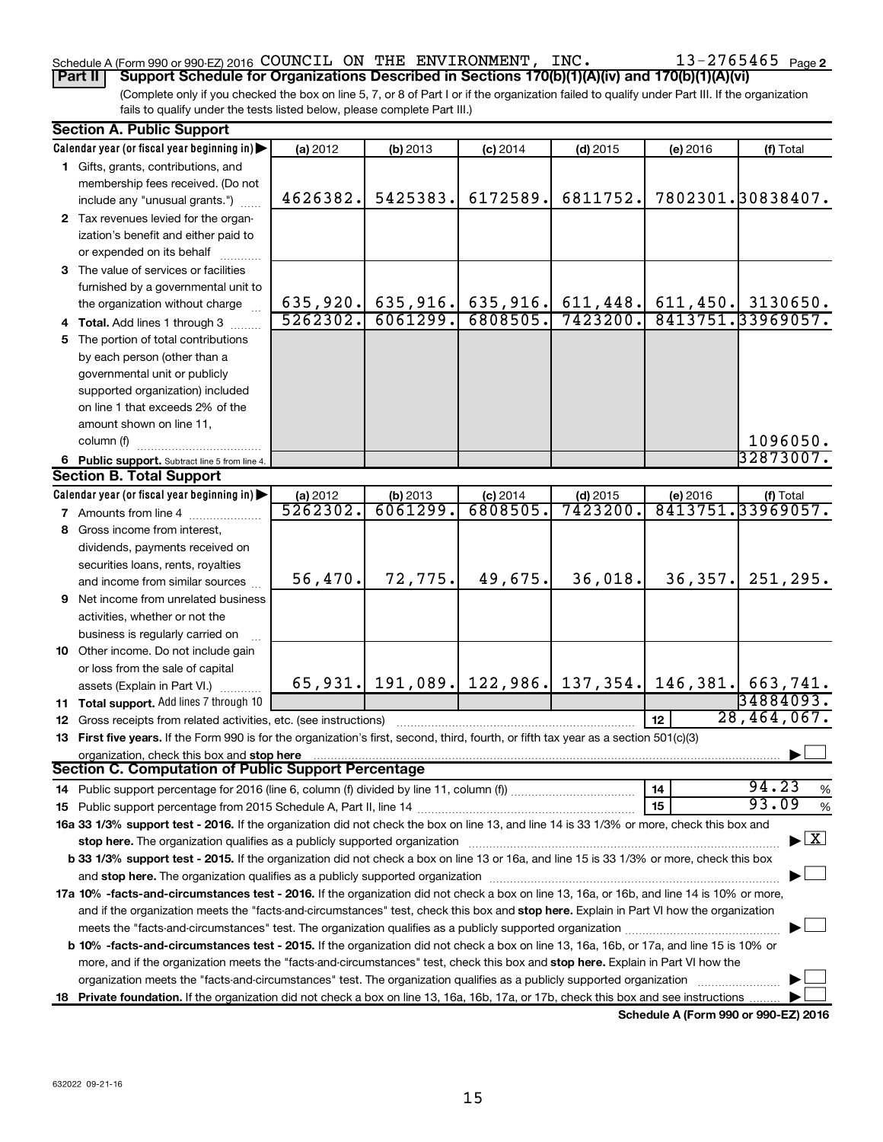# Schedule A (Form 990 or 990-EZ) 2016 Page COUNCIL ON THE ENVIRONMENT, INC. 13-2765465

(Complete only if you checked the box on line 5, 7, or 8 of Part I or if the organization failed to qualify under Part III. If the organization fails to qualify under the tests listed below, please complete Part III.) **Part II Support Schedule for Organizations Described in Sections 170(b)(1)(A)(iv) and 170(b)(1)(A)(vi)**

| <b>Section A. Public Support</b>                                                                                                                                                                                               |          |          |                                                                      |            |                 |                                          |
|--------------------------------------------------------------------------------------------------------------------------------------------------------------------------------------------------------------------------------|----------|----------|----------------------------------------------------------------------|------------|-----------------|------------------------------------------|
| Calendar year (or fiscal year beginning in)                                                                                                                                                                                    | (a) 2012 | (b) 2013 | $(c)$ 2014                                                           | $(d)$ 2015 | (e) 2016        | (f) Total                                |
| 1 Gifts, grants, contributions, and                                                                                                                                                                                            |          |          |                                                                      |            |                 |                                          |
| membership fees received. (Do not                                                                                                                                                                                              |          |          |                                                                      |            |                 |                                          |
| include any "unusual grants.")                                                                                                                                                                                                 | 4626382. | 5425383. | 6172589.                                                             | 6811752.   |                 | 7802301.30838407.                        |
| 2 Tax revenues levied for the organ-                                                                                                                                                                                           |          |          |                                                                      |            |                 |                                          |
| ization's benefit and either paid to                                                                                                                                                                                           |          |          |                                                                      |            |                 |                                          |
| or expended on its behalf                                                                                                                                                                                                      |          |          |                                                                      |            |                 |                                          |
| 3 The value of services or facilities                                                                                                                                                                                          |          |          |                                                                      |            |                 |                                          |
| furnished by a governmental unit to                                                                                                                                                                                            |          |          |                                                                      |            |                 |                                          |
| the organization without charge                                                                                                                                                                                                |          |          | $635,920.$ 635,916. 635,916. 611,448.                                |            |                 | $611, 450.$ 3130650.                     |
| 4 Total. Add lines 1 through 3                                                                                                                                                                                                 | 5262302. | 6061299. | 6808505.                                                             | 7423200.   |                 | 8413751.33969057.                        |
| 5 The portion of total contributions                                                                                                                                                                                           |          |          |                                                                      |            |                 |                                          |
| by each person (other than a                                                                                                                                                                                                   |          |          |                                                                      |            |                 |                                          |
| governmental unit or publicly                                                                                                                                                                                                  |          |          |                                                                      |            |                 |                                          |
| supported organization) included                                                                                                                                                                                               |          |          |                                                                      |            |                 |                                          |
| on line 1 that exceeds 2% of the                                                                                                                                                                                               |          |          |                                                                      |            |                 |                                          |
| amount shown on line 11,                                                                                                                                                                                                       |          |          |                                                                      |            |                 |                                          |
| column (f)                                                                                                                                                                                                                     |          |          |                                                                      |            |                 | 1096050.                                 |
| 6 Public support. Subtract line 5 from line 4.                                                                                                                                                                                 |          |          |                                                                      |            |                 | 32873007.                                |
| <b>Section B. Total Support</b>                                                                                                                                                                                                |          |          |                                                                      |            |                 |                                          |
| Calendar year (or fiscal year beginning in)                                                                                                                                                                                    | (a) 2012 | (b) 2013 | $(c)$ 2014                                                           | $(d)$ 2015 | (e) 2016        | (f) Total                                |
| 7 Amounts from line 4                                                                                                                                                                                                          | 5262302. | 6061299. | 6808505                                                              | 7423200    |                 | 8413751.33969057.                        |
| 8 Gross income from interest.                                                                                                                                                                                                  |          |          |                                                                      |            |                 |                                          |
| dividends, payments received on                                                                                                                                                                                                |          |          |                                                                      |            |                 |                                          |
| securities loans, rents, royalties                                                                                                                                                                                             |          |          |                                                                      |            |                 |                                          |
| and income from similar sources                                                                                                                                                                                                | 56,470.  | 72,775.  | 49,675.                                                              | 36,018.    | 36, 357.        | 251,295.                                 |
| <b>9</b> Net income from unrelated business                                                                                                                                                                                    |          |          |                                                                      |            |                 |                                          |
| activities, whether or not the                                                                                                                                                                                                 |          |          |                                                                      |            |                 |                                          |
| business is regularly carried on                                                                                                                                                                                               |          |          |                                                                      |            |                 |                                          |
| 10 Other income. Do not include gain                                                                                                                                                                                           |          |          |                                                                      |            |                 |                                          |
| or loss from the sale of capital                                                                                                                                                                                               |          |          |                                                                      |            |                 |                                          |
| assets (Explain in Part VI.)                                                                                                                                                                                                   |          |          | 65, 931.   191, 089.   122, 986.   137, 354.   146, 381.   663, 741. |            |                 |                                          |
| 11 Total support. Add lines 7 through 10                                                                                                                                                                                       |          |          |                                                                      |            |                 | 34884093.                                |
| <b>12</b> Gross receipts from related activities, etc. (see instructions)                                                                                                                                                      |          |          |                                                                      |            | 12 <sub>2</sub> | 28,464,067.                              |
| 13 First five years. If the Form 990 is for the organization's first, second, third, fourth, or fifth tax year as a section 501(c)(3)                                                                                          |          |          |                                                                      |            |                 |                                          |
| organization, check this box and stop here                                                                                                                                                                                     |          |          |                                                                      |            |                 |                                          |
| <b>Section C. Computation of Public Support Percentage</b>                                                                                                                                                                     |          |          |                                                                      |            |                 |                                          |
|                                                                                                                                                                                                                                |          |          |                                                                      |            | 14              | 94.23<br>$\%$                            |
|                                                                                                                                                                                                                                |          |          |                                                                      |            | 15              | 93.09<br>$\%$                            |
| 16a 33 1/3% support test - 2016. If the organization did not check the box on line 13, and line 14 is 33 1/3% or more, check this box and                                                                                      |          |          |                                                                      |            |                 |                                          |
| stop here. The organization qualifies as a publicly supported organization manufaction manufacture or manufacture or the organization manufacture or the organization of the state of the state of the state of the state or m |          |          |                                                                      |            |                 | $\blacktriangleright$ $\boxed{\text{X}}$ |
| b 33 1/3% support test - 2015. If the organization did not check a box on line 13 or 16a, and line 15 is 33 1/3% or more, check this box                                                                                       |          |          |                                                                      |            |                 |                                          |
|                                                                                                                                                                                                                                |          |          |                                                                      |            |                 |                                          |
| 17a 10% -facts-and-circumstances test - 2016. If the organization did not check a box on line 13, 16a, or 16b, and line 14 is 10% or more,                                                                                     |          |          |                                                                      |            |                 |                                          |
| and if the organization meets the "facts-and-circumstances" test, check this box and stop here. Explain in Part VI how the organization                                                                                        |          |          |                                                                      |            |                 |                                          |
|                                                                                                                                                                                                                                |          |          |                                                                      |            |                 |                                          |
| <b>b 10%</b> -facts-and-circumstances test - 2015. If the organization did not check a box on line 13, 16a, 16b, or 17a, and line 15 is 10% or                                                                                 |          |          |                                                                      |            |                 |                                          |
| more, and if the organization meets the "facts-and-circumstances" test, check this box and stop here. Explain in Part VI how the                                                                                               |          |          |                                                                      |            |                 |                                          |
| organization meets the "facts-and-circumstances" test. The organization qualifies as a publicly supported organization                                                                                                         |          |          |                                                                      |            |                 |                                          |
| 18 Private foundation. If the organization did not check a box on line 13, 16a, 16b, 17a, or 17b, check this box and see instructions                                                                                          |          |          |                                                                      |            |                 |                                          |
|                                                                                                                                                                                                                                |          |          |                                                                      |            |                 |                                          |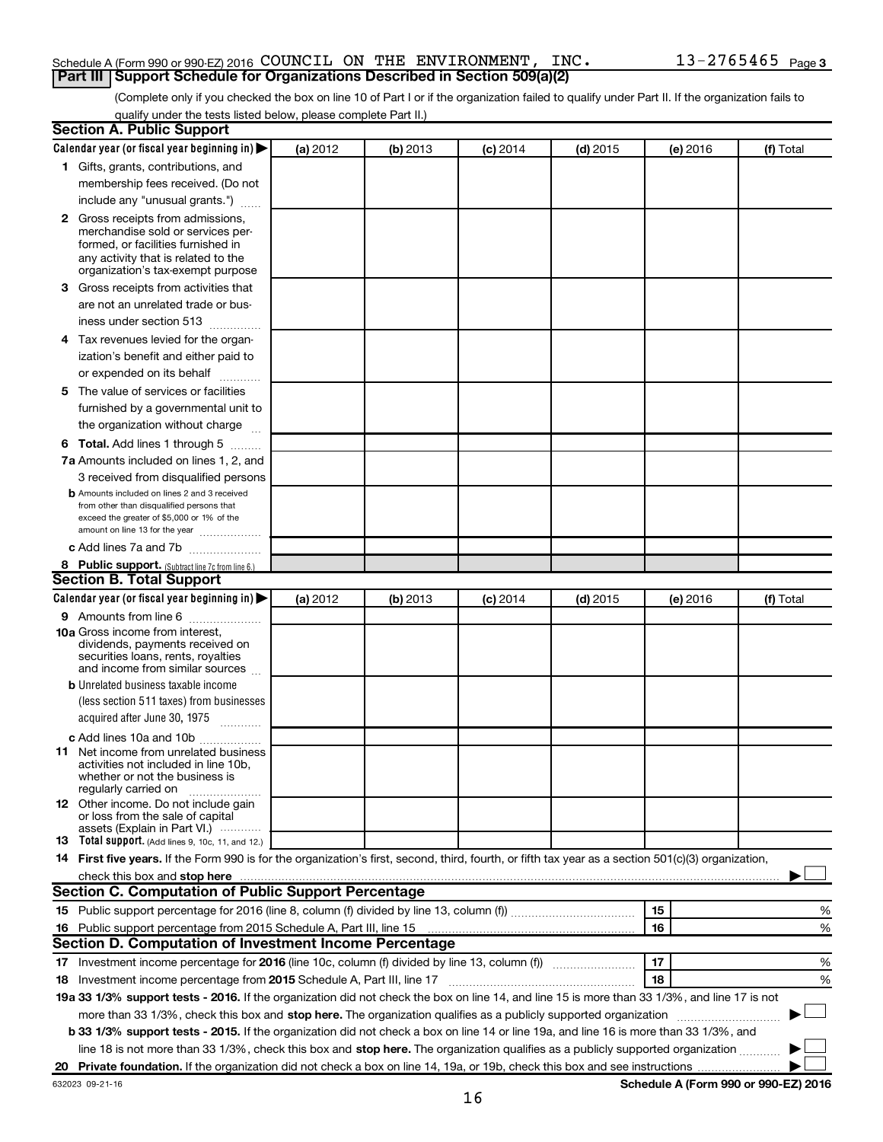#### Schedule A (Form 990 or 990-EZ) 2016 Page COUNCIL ON THE ENVIRONMENT, INC. 13-2765465 **Part III Support Schedule for Organizations Described in Section 509(a)(2)**

(Complete only if you checked the box on line 10 of Part I or if the organization failed to qualify under Part II. If the organization fails to qualify under the tests listed below, please complete Part II.)

| <b>Section A. Public Support</b>                                                                                                                                                                                               |          |          |            |            |          |                                      |
|--------------------------------------------------------------------------------------------------------------------------------------------------------------------------------------------------------------------------------|----------|----------|------------|------------|----------|--------------------------------------|
| Calendar year (or fiscal year beginning in)                                                                                                                                                                                    | (a) 2012 | (b) 2013 | $(c)$ 2014 | $(d)$ 2015 | (e) 2016 | (f) Total                            |
| 1 Gifts, grants, contributions, and                                                                                                                                                                                            |          |          |            |            |          |                                      |
| membership fees received. (Do not                                                                                                                                                                                              |          |          |            |            |          |                                      |
| include any "unusual grants.")                                                                                                                                                                                                 |          |          |            |            |          |                                      |
| 2 Gross receipts from admissions,<br>merchandise sold or services per-<br>formed, or facilities furnished in<br>any activity that is related to the<br>organization's tax-exempt purpose                                       |          |          |            |            |          |                                      |
| 3 Gross receipts from activities that                                                                                                                                                                                          |          |          |            |            |          |                                      |
| are not an unrelated trade or bus-<br>iness under section 513                                                                                                                                                                  |          |          |            |            |          |                                      |
| 4 Tax revenues levied for the organ-                                                                                                                                                                                           |          |          |            |            |          |                                      |
| ization's benefit and either paid to                                                                                                                                                                                           |          |          |            |            |          |                                      |
| or expended on its behalf                                                                                                                                                                                                      |          |          |            |            |          |                                      |
| 5 The value of services or facilities<br>furnished by a governmental unit to<br>the organization without charge                                                                                                                |          |          |            |            |          |                                      |
| <b>6 Total.</b> Add lines 1 through 5                                                                                                                                                                                          |          |          |            |            |          |                                      |
| 7a Amounts included on lines 1, 2, and                                                                                                                                                                                         |          |          |            |            |          |                                      |
| 3 received from disqualified persons                                                                                                                                                                                           |          |          |            |            |          |                                      |
| <b>b</b> Amounts included on lines 2 and 3 received<br>from other than disqualified persons that<br>exceed the greater of \$5,000 or 1% of the<br>amount on line 13 for the year                                               |          |          |            |            |          |                                      |
| c Add lines 7a and 7b                                                                                                                                                                                                          |          |          |            |            |          |                                      |
| 8 Public support. (Subtract line 7c from line 6.)                                                                                                                                                                              |          |          |            |            |          |                                      |
| <b>Section B. Total Support</b>                                                                                                                                                                                                |          |          |            |            |          |                                      |
| Calendar year (or fiscal year beginning in)                                                                                                                                                                                    | (a) 2012 | (b) 2013 | $(c)$ 2014 | $(d)$ 2015 | (e) 2016 | (f) Total                            |
| <b>9</b> Amounts from line 6<br><b>10a</b> Gross income from interest,<br>dividends, payments received on<br>securities loans, rents, royalties<br>and income from similar sources                                             |          |          |            |            |          |                                      |
| <b>b</b> Unrelated business taxable income                                                                                                                                                                                     |          |          |            |            |          |                                      |
| (less section 511 taxes) from businesses                                                                                                                                                                                       |          |          |            |            |          |                                      |
| acquired after June 30, 1975<br>$\overline{\phantom{a}}$                                                                                                                                                                       |          |          |            |            |          |                                      |
| c Add lines 10a and 10b                                                                                                                                                                                                        |          |          |            |            |          |                                      |
| <b>11</b> Net income from unrelated business<br>activities not included in line 10b.<br>whether or not the business is<br>regularly carried on                                                                                 |          |          |            |            |          |                                      |
| <b>12</b> Other income. Do not include gain<br>or loss from the sale of capital<br>assets (Explain in Part VI.)                                                                                                                |          |          |            |            |          |                                      |
| <b>13</b> Total support. (Add lines 9, 10c, 11, and 12.)                                                                                                                                                                       |          |          |            |            |          |                                      |
| 14 First five years. If the Form 990 is for the organization's first, second, third, fourth, or fifth tax year as a section 501(c)(3) organization,                                                                            |          |          |            |            |          |                                      |
| check this box and stop here with the content of the content of the state of the content of the state of the state of the content of the content of the content of the content of the content of the content of the content of |          |          |            |            |          |                                      |
| <b>Section C. Computation of Public Support Percentage</b>                                                                                                                                                                     |          |          |            |            |          |                                      |
|                                                                                                                                                                                                                                |          |          |            |            | 15       | %                                    |
| 16 Public support percentage from 2015 Schedule A, Part III, line 15                                                                                                                                                           |          |          |            |            | 16       | %                                    |
| Section D. Computation of Investment Income Percentage                                                                                                                                                                         |          |          |            |            |          |                                      |
|                                                                                                                                                                                                                                |          |          |            |            | 17       | %                                    |
| 18 Investment income percentage from 2015 Schedule A, Part III, line 17                                                                                                                                                        |          |          |            |            | 18       | %                                    |
| 19a 33 1/3% support tests - 2016. If the organization did not check the box on line 14, and line 15 is more than 33 1/3%, and line 17 is not                                                                                   |          |          |            |            |          |                                      |
| more than 33 1/3%, check this box and stop here. The organization qualifies as a publicly supported organization                                                                                                               |          |          |            |            |          |                                      |
| <b>b 33 1/3% support tests - 2015.</b> If the organization did not check a box on line 14 or line 19a, and line 16 is more than 33 1/3%, and                                                                                   |          |          |            |            |          |                                      |
| line 18 is not more than 33 1/3%, check this box and stop here. The organization qualifies as a publicly supported organization                                                                                                |          |          |            |            |          |                                      |
|                                                                                                                                                                                                                                |          |          |            |            |          |                                      |
| 632023 09-21-16                                                                                                                                                                                                                |          |          |            |            |          | Schedule A (Form 990 or 990-EZ) 2016 |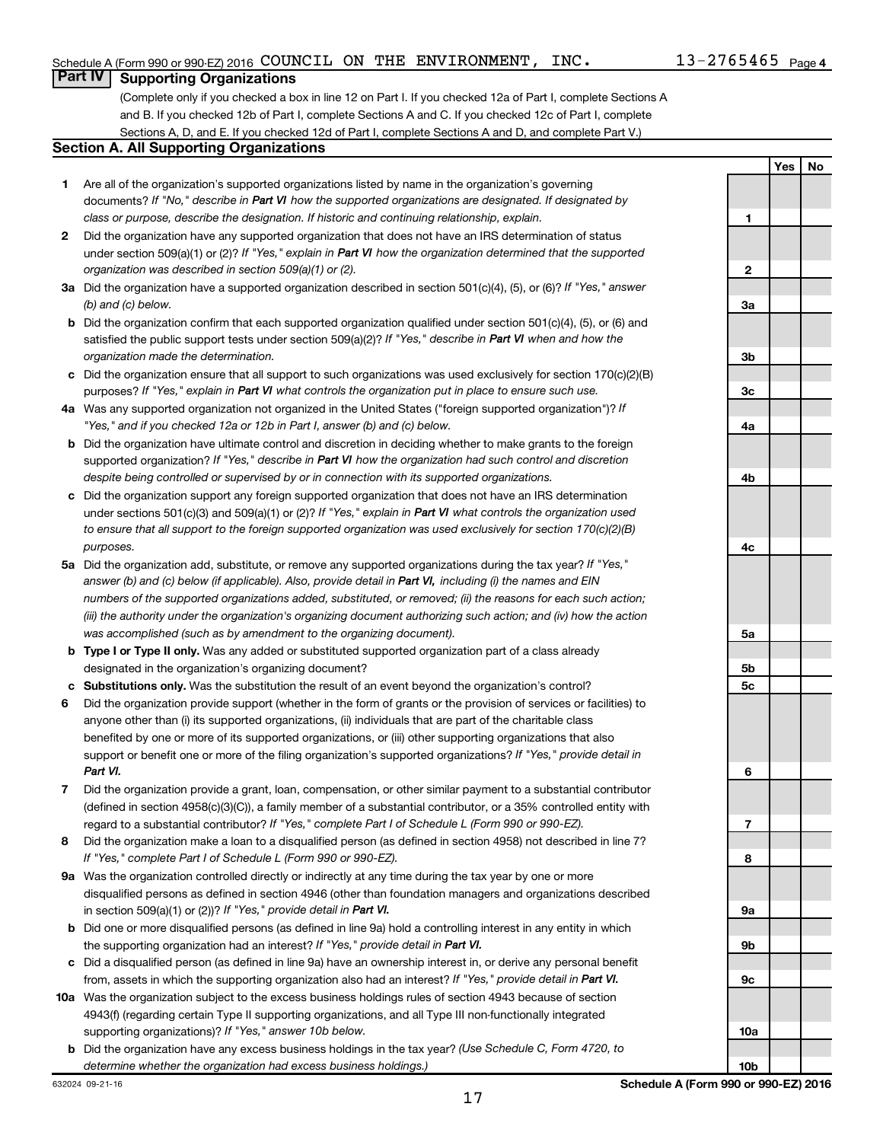**Yes No**

#### **Part IV Supporting Organizations**

(Complete only if you checked a box in line 12 on Part I. If you checked 12a of Part I, complete Sections A and B. If you checked 12b of Part I, complete Sections A and C. If you checked 12c of Part I, complete Sections A, D, and E. If you checked 12d of Part I, complete Sections A and D, and complete Part V.)

#### **Section A. All Supporting Organizations**

- **1** Are all of the organization's supported organizations listed by name in the organization's governing documents? If "No," describe in Part VI how the supported organizations are designated. If designated by *class or purpose, describe the designation. If historic and continuing relationship, explain.*
- **2** Did the organization have any supported organization that does not have an IRS determination of status under section 509(a)(1) or (2)? If "Yes," explain in Part VI how the organization determined that the supported *organization was described in section 509(a)(1) or (2).*
- **3a** Did the organization have a supported organization described in section 501(c)(4), (5), or (6)? If "Yes," answer *(b) and (c) below.*
- **b** Did the organization confirm that each supported organization qualified under section 501(c)(4), (5), or (6) and satisfied the public support tests under section 509(a)(2)? If "Yes," describe in Part VI when and how the *organization made the determination.*
- **c** Did the organization ensure that all support to such organizations was used exclusively for section 170(c)(2)(B) purposes? If "Yes," explain in Part VI what controls the organization put in place to ensure such use.
- **4 a** *If* Was any supported organization not organized in the United States ("foreign supported organization")? *"Yes," and if you checked 12a or 12b in Part I, answer (b) and (c) below.*
- **b** Did the organization have ultimate control and discretion in deciding whether to make grants to the foreign supported organization? If "Yes," describe in Part VI how the organization had such control and discretion *despite being controlled or supervised by or in connection with its supported organizations.*
- **c** Did the organization support any foreign supported organization that does not have an IRS determination under sections 501(c)(3) and 509(a)(1) or (2)? If "Yes," explain in Part VI what controls the organization used *to ensure that all support to the foreign supported organization was used exclusively for section 170(c)(2)(B) purposes.*
- **5a** Did the organization add, substitute, or remove any supported organizations during the tax year? If "Yes," answer (b) and (c) below (if applicable). Also, provide detail in Part VI, including (i) the names and EIN *numbers of the supported organizations added, substituted, or removed; (ii) the reasons for each such action; (iii) the authority under the organization's organizing document authorizing such action; and (iv) how the action was accomplished (such as by amendment to the organizing document).*
- **b Type I or Type II only.** Was any added or substituted supported organization part of a class already designated in the organization's organizing document?
- **c Substitutions only.**  Was the substitution the result of an event beyond the organization's control?
- **6** Did the organization provide support (whether in the form of grants or the provision of services or facilities) to support or benefit one or more of the filing organization's supported organizations? If "Yes," provide detail in anyone other than (i) its supported organizations, (ii) individuals that are part of the charitable class benefited by one or more of its supported organizations, or (iii) other supporting organizations that also *Part VI.*
- **7** Did the organization provide a grant, loan, compensation, or other similar payment to a substantial contributor regard to a substantial contributor? If "Yes," complete Part I of Schedule L (Form 990 or 990-EZ). (defined in section 4958(c)(3)(C)), a family member of a substantial contributor, or a 35% controlled entity with
- **8** Did the organization make a loan to a disqualified person (as defined in section 4958) not described in line 7? *If "Yes," complete Part I of Schedule L (Form 990 or 990-EZ).*
- **9 a** Was the organization controlled directly or indirectly at any time during the tax year by one or more in section 509(a)(1) or (2))? If "Yes," provide detail in Part VI. disqualified persons as defined in section 4946 (other than foundation managers and organizations described
- **b** Did one or more disqualified persons (as defined in line 9a) hold a controlling interest in any entity in which the supporting organization had an interest? If "Yes," provide detail in Part VI.
- **c** Did a disqualified person (as defined in line 9a) have an ownership interest in, or derive any personal benefit from, assets in which the supporting organization also had an interest? If "Yes," provide detail in Part VI.
- **10 a** Was the organization subject to the excess business holdings rules of section 4943 because of section supporting organizations)? If "Yes," answer 10b below. 4943(f) (regarding certain Type II supporting organizations, and all Type III non-functionally integrated
- **b** Did the organization have any excess business holdings in the tax year? (Use Schedule C, Form 4720, to *determine whether the organization had excess business holdings.)*

**1 2 3a 3b 3c 4a 4b 4c 5a 5b 5c 6 7 8 9a 9b 9c**

17

**10a**

**10b**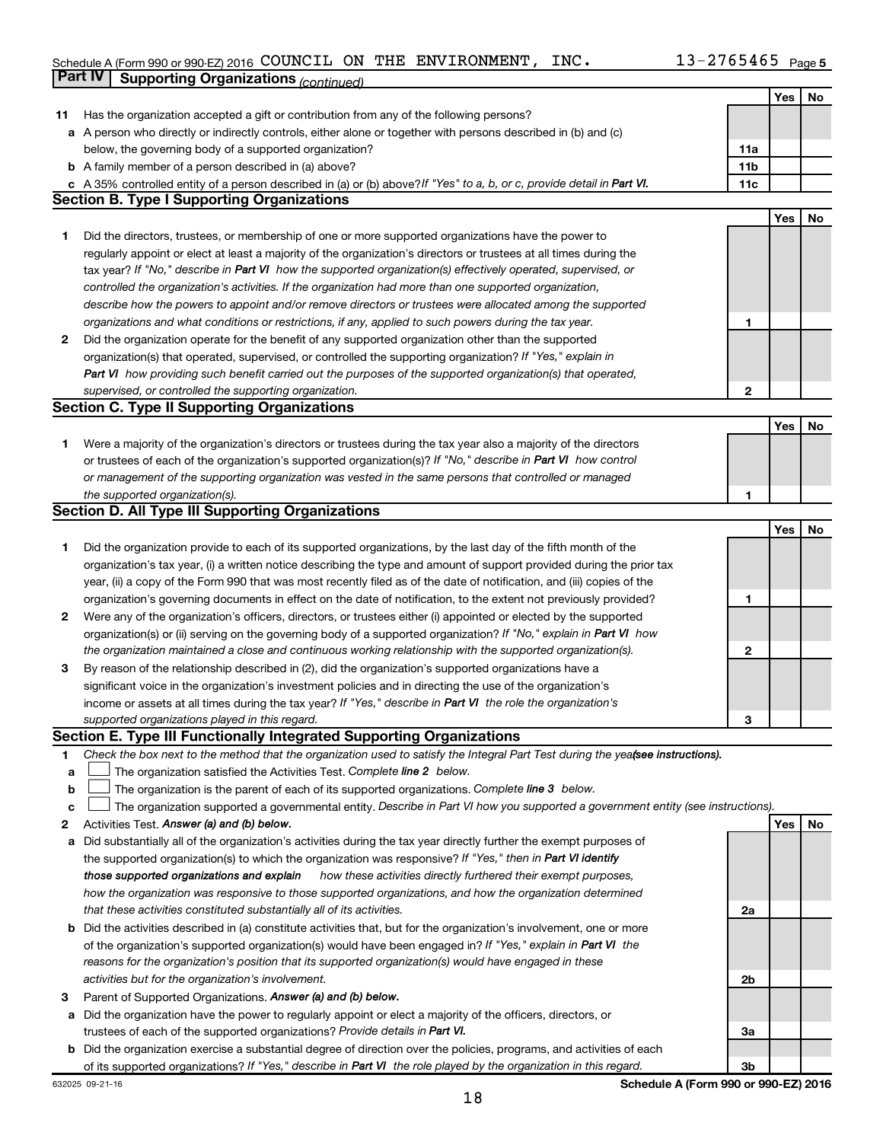## Schedule A (Form 990 or 990-EZ) 2016 Page COUNCIL ON THE ENVIRONMENT, INC. 13-2765465 **Part IV Supporting Organizations** *(continued)*

|    |                                                                                                                                 |              | Yes | No |
|----|---------------------------------------------------------------------------------------------------------------------------------|--------------|-----|----|
| 11 | Has the organization accepted a gift or contribution from any of the following persons?                                         |              |     |    |
|    | a A person who directly or indirectly controls, either alone or together with persons described in (b) and (c)                  |              |     |    |
|    | below, the governing body of a supported organization?                                                                          | 11a          |     |    |
|    | <b>b</b> A family member of a person described in (a) above?                                                                    | 11b          |     |    |
|    | c A 35% controlled entity of a person described in (a) or (b) above? If "Yes" to a, b, or c, provide detail in Part VI.         | 11c          |     |    |
|    | <b>Section B. Type I Supporting Organizations</b>                                                                               |              |     |    |
|    |                                                                                                                                 |              | Yes | No |
| 1  | Did the directors, trustees, or membership of one or more supported organizations have the power to                             |              |     |    |
|    | regularly appoint or elect at least a majority of the organization's directors or trustees at all times during the              |              |     |    |
|    | tax year? If "No," describe in Part VI how the supported organization(s) effectively operated, supervised, or                   |              |     |    |
|    | controlled the organization's activities. If the organization had more than one supported organization,                         |              |     |    |
|    | describe how the powers to appoint and/or remove directors or trustees were allocated among the supported                       |              |     |    |
|    | organizations and what conditions or restrictions, if any, applied to such powers during the tax year.                          | 1            |     |    |
| 2  | Did the organization operate for the benefit of any supported organization other than the supported                             |              |     |    |
|    | organization(s) that operated, supervised, or controlled the supporting organization? If "Yes," explain in                      |              |     |    |
|    | Part VI how providing such benefit carried out the purposes of the supported organization(s) that operated,                     |              |     |    |
|    | supervised, or controlled the supporting organization.                                                                          | 2            |     |    |
|    | <b>Section C. Type II Supporting Organizations</b>                                                                              |              |     |    |
|    |                                                                                                                                 |              | Yes | No |
| 1  | Were a majority of the organization's directors or trustees during the tax year also a majority of the directors                |              |     |    |
|    | or trustees of each of the organization's supported organization(s)? If "No," describe in Part VI how control                   |              |     |    |
|    | or management of the supporting organization was vested in the same persons that controlled or managed                          |              |     |    |
|    | the supported organization(s).                                                                                                  | 1            |     |    |
|    | <b>Section D. All Type III Supporting Organizations</b>                                                                         |              |     |    |
|    |                                                                                                                                 |              | Yes | No |
| 1  | Did the organization provide to each of its supported organizations, by the last day of the fifth month of the                  |              |     |    |
|    | organization's tax year, (i) a written notice describing the type and amount of support provided during the prior tax           |              |     |    |
|    | year, (ii) a copy of the Form 990 that was most recently filed as of the date of notification, and (iii) copies of the          |              |     |    |
|    | organization's governing documents in effect on the date of notification, to the extent not previously provided?                | 1            |     |    |
| 2  | Were any of the organization's officers, directors, or trustees either (i) appointed or elected by the supported                |              |     |    |
|    | organization(s) or (ii) serving on the governing body of a supported organization? If "No," explain in Part VI how              |              |     |    |
|    | the organization maintained a close and continuous working relationship with the supported organization(s).                     | $\mathbf{2}$ |     |    |
| 3  | By reason of the relationship described in (2), did the organization's supported organizations have a                           |              |     |    |
|    | significant voice in the organization's investment policies and in directing the use of the organization's                      |              |     |    |
|    | income or assets at all times during the tax year? If "Yes," describe in Part VI the role the organization's                    |              |     |    |
|    | supported organizations played in this regard.                                                                                  | 3            |     |    |
|    | Section E. Type III Functionally Integrated Supporting Organizations                                                            |              |     |    |
| 1  | Check the box next to the method that the organization used to satisfy the Integral Part Test during the yealsee instructions). |              |     |    |
| a  | The organization satisfied the Activities Test. Complete line 2 below.                                                          |              |     |    |
| b  | The organization is the parent of each of its supported organizations. Complete line 3 below.                                   |              |     |    |
| c  | The organization supported a governmental entity. Describe in Part VI how you supported a government entity (see instructions). |              |     |    |
| 2  | Activities Test. Answer (a) and (b) below.                                                                                      |              | Yes | No |
| a  | Did substantially all of the organization's activities during the tax year directly further the exempt purposes of              |              |     |    |
|    | the supported organization(s) to which the organization was responsive? If "Yes," then in Part VI identify                      |              |     |    |
|    | how these activities directly furthered their exempt purposes,<br>those supported organizations and explain                     |              |     |    |
|    | how the organization was responsive to those supported organizations, and how the organization determined                       |              |     |    |
|    | that these activities constituted substantially all of its activities.                                                          | 2a           |     |    |
|    | <b>b</b> Did the activities described in (a) constitute activities that, but for the organization's involvement, one or more    |              |     |    |
|    | of the organization's supported organization(s) would have been engaged in? If "Yes," explain in Part VI the                    |              |     |    |
|    | reasons for the organization's position that its supported organization(s) would have engaged in these                          |              |     |    |
|    | activities but for the organization's involvement.                                                                              | 2b           |     |    |
| з  | Parent of Supported Organizations. Answer (a) and (b) below.                                                                    |              |     |    |
| а  | Did the organization have the power to regularly appoint or elect a majority of the officers, directors, or                     |              |     |    |
|    | trustees of each of the supported organizations? Provide details in Part VI.                                                    | За           |     |    |
|    | <b>b</b> Did the organization exercise a substantial degree of direction over the policies, programs, and activities of each    |              |     |    |
|    | of its supported organizations? If "Yes," describe in Part VI the role played by the organization in this regard.               | 3b           |     |    |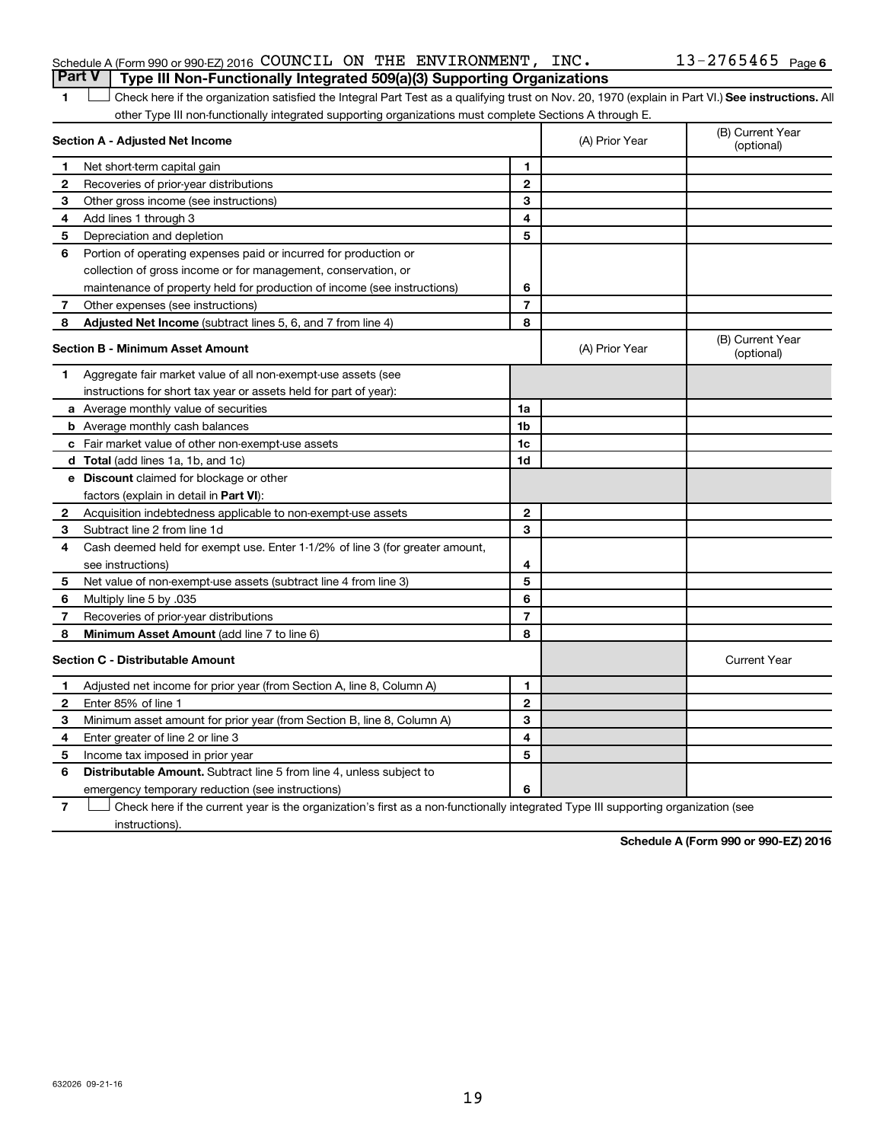|  | Schedule A (Form 990 or 990-EZ) 2016 COUNCIL ON THE ENVIRONMENT, INC.                 |  |  | $13 - 2765465$ Page |  |
|--|---------------------------------------------------------------------------------------|--|--|---------------------|--|
|  | <b>Part V</b> Type III Non-Functionally Integrated 509(a)(3) Supporting Organizations |  |  |                     |  |
|  |                                                                                       |  |  |                     |  |

1 **Letter See instructions.** All Check here if the organization satisfied the Integral Part Test as a qualifying trust on Nov. 20, 1970 (explain in Part VI.) See instructions. All other Type III non-functionally integrated supporting organizations must complete Sections A through E.

| Section A - Adjusted Net Income |                                                                              | (A) Prior Year | (B) Current Year<br>(optional) |                                |
|---------------------------------|------------------------------------------------------------------------------|----------------|--------------------------------|--------------------------------|
| 1                               | Net short-term capital gain                                                  | 1              |                                |                                |
| 2                               | Recoveries of prior-year distributions                                       | $\overline{2}$ |                                |                                |
| 3                               | Other gross income (see instructions)                                        | 3              |                                |                                |
| 4                               | Add lines 1 through 3                                                        | 4              |                                |                                |
| 5                               | Depreciation and depletion                                                   | 5              |                                |                                |
| 6                               | Portion of operating expenses paid or incurred for production or             |                |                                |                                |
|                                 | collection of gross income or for management, conservation, or               |                |                                |                                |
|                                 | maintenance of property held for production of income (see instructions)     | 6              |                                |                                |
| 7                               | Other expenses (see instructions)                                            | $\overline{7}$ |                                |                                |
| 8                               | Adjusted Net Income (subtract lines 5, 6, and 7 from line 4)                 | 8              |                                |                                |
|                                 | <b>Section B - Minimum Asset Amount</b>                                      |                | (A) Prior Year                 | (B) Current Year<br>(optional) |
| 1.                              | Aggregate fair market value of all non-exempt-use assets (see                |                |                                |                                |
|                                 | instructions for short tax year or assets held for part of year):            |                |                                |                                |
|                                 | a Average monthly value of securities                                        | 1a             |                                |                                |
|                                 | <b>b</b> Average monthly cash balances                                       | 1 <sub>b</sub> |                                |                                |
|                                 | c Fair market value of other non-exempt-use assets                           | 1c             |                                |                                |
|                                 | d Total (add lines 1a, 1b, and 1c)                                           | 1d             |                                |                                |
|                                 | e Discount claimed for blockage or other                                     |                |                                |                                |
|                                 | factors (explain in detail in Part VI):                                      |                |                                |                                |
| 2                               | Acquisition indebtedness applicable to non-exempt-use assets                 | $\mathbf{2}$   |                                |                                |
| З                               | Subtract line 2 from line 1d                                                 | 3              |                                |                                |
| 4                               | Cash deemed held for exempt use. Enter 1-1/2% of line 3 (for greater amount, |                |                                |                                |
|                                 | see instructions)                                                            | 4              |                                |                                |
| 5                               | Net value of non-exempt-use assets (subtract line 4 from line 3)             | 5              |                                |                                |
| 6                               | Multiply line 5 by .035                                                      | 6              |                                |                                |
| 7                               | Recoveries of prior-year distributions                                       | $\overline{7}$ |                                |                                |
| 8                               | Minimum Asset Amount (add line 7 to line 6)                                  | 8              |                                |                                |
|                                 | <b>Section C - Distributable Amount</b>                                      |                |                                | <b>Current Year</b>            |
| 1                               | Adjusted net income for prior year (from Section A, line 8, Column A)        | 1              |                                |                                |
| $\mathbf{2}$                    | Enter 85% of line 1                                                          | $\mathbf{2}$   |                                |                                |
| 3                               | Minimum asset amount for prior year (from Section B, line 8, Column A)       | 3              |                                |                                |
| 4                               | Enter greater of line 2 or line 3                                            | 4              |                                |                                |
| 5                               | Income tax imposed in prior year                                             | 5              |                                |                                |
| 6                               | Distributable Amount. Subtract line 5 from line 4, unless subject to         |                |                                |                                |
|                                 | emergency temporary reduction (see instructions)                             | 6              |                                |                                |
|                                 |                                                                              |                |                                |                                |

**7** Let Check here if the current year is the organization's first as a non-functionally integrated Type III supporting organization (see instructions).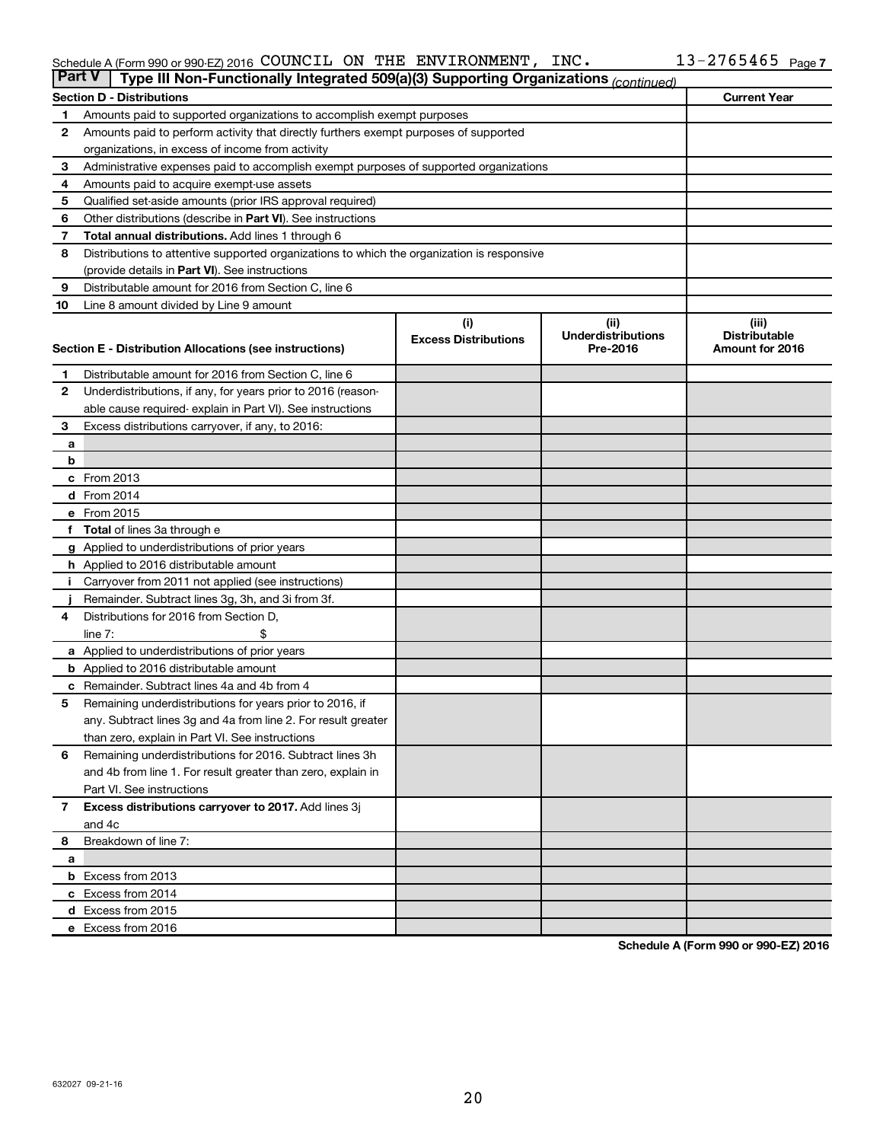#### Schedule A (Form 990 or 990-EZ) 2016 COUNCIL ON THE ENVIRONMENT, INC.  $13-2765465$  Page COUNCIL ON THE ENVIRONMENT, INC. 13-2765465

|                | <b>Part V</b><br>Type III Non-Functionally Integrated 509(a)(3) Supporting Organizations (continued) |                             |                                       |                                         |  |  |  |  |  |
|----------------|------------------------------------------------------------------------------------------------------|-----------------------------|---------------------------------------|-----------------------------------------|--|--|--|--|--|
|                | <b>Section D - Distributions</b>                                                                     |                             |                                       | <b>Current Year</b>                     |  |  |  |  |  |
| 1              | Amounts paid to supported organizations to accomplish exempt purposes                                |                             |                                       |                                         |  |  |  |  |  |
| $\mathbf{2}$   | Amounts paid to perform activity that directly furthers exempt purposes of supported                 |                             |                                       |                                         |  |  |  |  |  |
|                | organizations, in excess of income from activity                                                     |                             |                                       |                                         |  |  |  |  |  |
| 3              | Administrative expenses paid to accomplish exempt purposes of supported organizations                |                             |                                       |                                         |  |  |  |  |  |
| 4              | Amounts paid to acquire exempt-use assets                                                            |                             |                                       |                                         |  |  |  |  |  |
| 5              | Qualified set-aside amounts (prior IRS approval required)                                            |                             |                                       |                                         |  |  |  |  |  |
| 6              | Other distributions (describe in <b>Part VI</b> ). See instructions                                  |                             |                                       |                                         |  |  |  |  |  |
| 7              | <b>Total annual distributions.</b> Add lines 1 through 6                                             |                             |                                       |                                         |  |  |  |  |  |
| 8              | Distributions to attentive supported organizations to which the organization is responsive           |                             |                                       |                                         |  |  |  |  |  |
|                | (provide details in Part VI). See instructions                                                       |                             |                                       |                                         |  |  |  |  |  |
| 9              | Distributable amount for 2016 from Section C, line 6                                                 |                             |                                       |                                         |  |  |  |  |  |
| 10             | Line 8 amount divided by Line 9 amount                                                               |                             |                                       |                                         |  |  |  |  |  |
|                |                                                                                                      | (i)                         | (ii)                                  | (iii)                                   |  |  |  |  |  |
|                | Section E - Distribution Allocations (see instructions)                                              | <b>Excess Distributions</b> | <b>Underdistributions</b><br>Pre-2016 | <b>Distributable</b><br>Amount for 2016 |  |  |  |  |  |
|                |                                                                                                      |                             |                                       |                                         |  |  |  |  |  |
| 1              | Distributable amount for 2016 from Section C, line 6                                                 |                             |                                       |                                         |  |  |  |  |  |
| $\mathbf{2}$   | Underdistributions, if any, for years prior to 2016 (reason-                                         |                             |                                       |                                         |  |  |  |  |  |
|                | able cause required- explain in Part VI). See instructions                                           |                             |                                       |                                         |  |  |  |  |  |
| 3              | Excess distributions carryover, if any, to 2016:                                                     |                             |                                       |                                         |  |  |  |  |  |
| а              |                                                                                                      |                             |                                       |                                         |  |  |  |  |  |
| b              |                                                                                                      |                             |                                       |                                         |  |  |  |  |  |
|                | c From 2013                                                                                          |                             |                                       |                                         |  |  |  |  |  |
|                | <b>d</b> From 2014                                                                                   |                             |                                       |                                         |  |  |  |  |  |
|                | e From 2015                                                                                          |                             |                                       |                                         |  |  |  |  |  |
|                | f Total of lines 3a through e                                                                        |                             |                                       |                                         |  |  |  |  |  |
|                | <b>g</b> Applied to underdistributions of prior years                                                |                             |                                       |                                         |  |  |  |  |  |
|                | h Applied to 2016 distributable amount                                                               |                             |                                       |                                         |  |  |  |  |  |
| Ť.             | Carryover from 2011 not applied (see instructions)                                                   |                             |                                       |                                         |  |  |  |  |  |
|                | Remainder. Subtract lines 3g, 3h, and 3i from 3f.<br>Distributions for 2016 from Section D,          |                             |                                       |                                         |  |  |  |  |  |
| 4              | line $7:$                                                                                            |                             |                                       |                                         |  |  |  |  |  |
|                | a Applied to underdistributions of prior years                                                       |                             |                                       |                                         |  |  |  |  |  |
|                | <b>b</b> Applied to 2016 distributable amount                                                        |                             |                                       |                                         |  |  |  |  |  |
| с              | Remainder. Subtract lines 4a and 4b from 4                                                           |                             |                                       |                                         |  |  |  |  |  |
| 5              | Remaining underdistributions for years prior to 2016, if                                             |                             |                                       |                                         |  |  |  |  |  |
|                | any. Subtract lines 3g and 4a from line 2. For result greater                                        |                             |                                       |                                         |  |  |  |  |  |
|                | than zero, explain in Part VI. See instructions                                                      |                             |                                       |                                         |  |  |  |  |  |
| 6              | Remaining underdistributions for 2016. Subtract lines 3h                                             |                             |                                       |                                         |  |  |  |  |  |
|                | and 4b from line 1. For result greater than zero, explain in                                         |                             |                                       |                                         |  |  |  |  |  |
|                | Part VI. See instructions                                                                            |                             |                                       |                                         |  |  |  |  |  |
| $\overline{7}$ | Excess distributions carryover to 2017. Add lines 3j                                                 |                             |                                       |                                         |  |  |  |  |  |
|                | and 4c                                                                                               |                             |                                       |                                         |  |  |  |  |  |
| 8              | Breakdown of line 7:                                                                                 |                             |                                       |                                         |  |  |  |  |  |
| а              |                                                                                                      |                             |                                       |                                         |  |  |  |  |  |
|                | <b>b</b> Excess from 2013                                                                            |                             |                                       |                                         |  |  |  |  |  |
|                | c Excess from 2014                                                                                   |                             |                                       |                                         |  |  |  |  |  |
|                | d Excess from 2015                                                                                   |                             |                                       |                                         |  |  |  |  |  |
|                | e Excess from 2016                                                                                   |                             |                                       |                                         |  |  |  |  |  |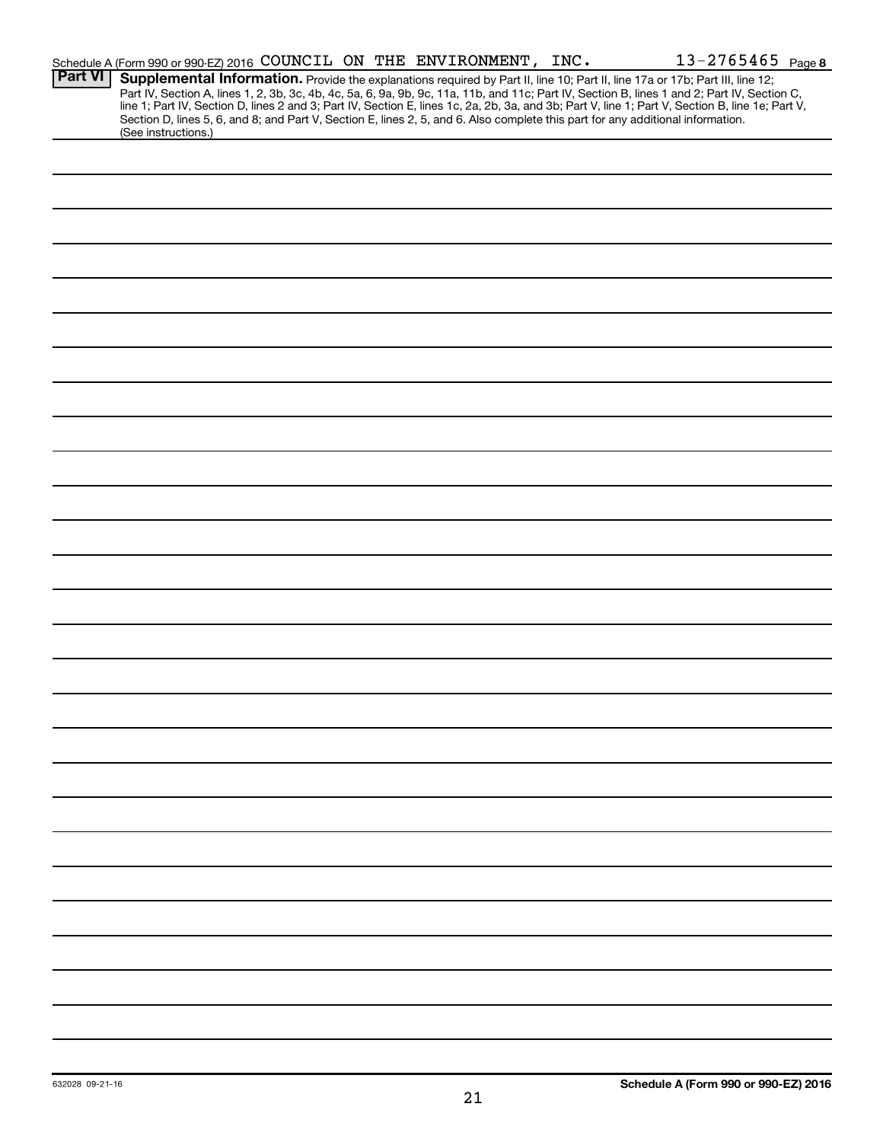|                | Schedule A (Form 990 or 990-EZ) 2016 COUNCIL ON THE ENVIRONMENT, INC.                                                                                                                                                                                                                                                                                                                                                                                                                                                                                                                       |  |  | $13 - 2765465$ Page 8 |  |
|----------------|---------------------------------------------------------------------------------------------------------------------------------------------------------------------------------------------------------------------------------------------------------------------------------------------------------------------------------------------------------------------------------------------------------------------------------------------------------------------------------------------------------------------------------------------------------------------------------------------|--|--|-----------------------|--|
| <b>Part VI</b> | Supplemental Information. Provide the explanations required by Part II, line 10; Part II, line 17a or 17b; Part III, line 12;<br>Part IV, Section A, lines 1, 2, 3b, 3c, 4b, 4c, 5a, 6, 9a, 9b, 9c, 11a, 11b, and 11c; Part IV, Section B, lines 1 and 2; Part IV, Section C,<br>line 1; Part IV, Section D, lines 2 and 3; Part IV, Section E, lines 1c, 2a, 2b, 3a, and 3b; Part V, line 1; Part V, Section B, line 1e; Part V,<br>Section D, lines 5, 6, and 8; and Part V, Section E, lines 2, 5, and 6. Also complete this part for any additional information.<br>(See instructions.) |  |  |                       |  |
|                |                                                                                                                                                                                                                                                                                                                                                                                                                                                                                                                                                                                             |  |  |                       |  |
|                |                                                                                                                                                                                                                                                                                                                                                                                                                                                                                                                                                                                             |  |  |                       |  |
|                |                                                                                                                                                                                                                                                                                                                                                                                                                                                                                                                                                                                             |  |  |                       |  |
|                |                                                                                                                                                                                                                                                                                                                                                                                                                                                                                                                                                                                             |  |  |                       |  |
|                |                                                                                                                                                                                                                                                                                                                                                                                                                                                                                                                                                                                             |  |  |                       |  |
|                |                                                                                                                                                                                                                                                                                                                                                                                                                                                                                                                                                                                             |  |  |                       |  |
|                |                                                                                                                                                                                                                                                                                                                                                                                                                                                                                                                                                                                             |  |  |                       |  |
|                |                                                                                                                                                                                                                                                                                                                                                                                                                                                                                                                                                                                             |  |  |                       |  |
|                |                                                                                                                                                                                                                                                                                                                                                                                                                                                                                                                                                                                             |  |  |                       |  |
|                |                                                                                                                                                                                                                                                                                                                                                                                                                                                                                                                                                                                             |  |  |                       |  |
|                |                                                                                                                                                                                                                                                                                                                                                                                                                                                                                                                                                                                             |  |  |                       |  |
|                |                                                                                                                                                                                                                                                                                                                                                                                                                                                                                                                                                                                             |  |  |                       |  |
|                |                                                                                                                                                                                                                                                                                                                                                                                                                                                                                                                                                                                             |  |  |                       |  |
|                |                                                                                                                                                                                                                                                                                                                                                                                                                                                                                                                                                                                             |  |  |                       |  |
|                |                                                                                                                                                                                                                                                                                                                                                                                                                                                                                                                                                                                             |  |  |                       |  |
|                |                                                                                                                                                                                                                                                                                                                                                                                                                                                                                                                                                                                             |  |  |                       |  |
|                |                                                                                                                                                                                                                                                                                                                                                                                                                                                                                                                                                                                             |  |  |                       |  |
|                |                                                                                                                                                                                                                                                                                                                                                                                                                                                                                                                                                                                             |  |  |                       |  |
|                |                                                                                                                                                                                                                                                                                                                                                                                                                                                                                                                                                                                             |  |  |                       |  |
|                |                                                                                                                                                                                                                                                                                                                                                                                                                                                                                                                                                                                             |  |  |                       |  |
|                |                                                                                                                                                                                                                                                                                                                                                                                                                                                                                                                                                                                             |  |  |                       |  |
|                |                                                                                                                                                                                                                                                                                                                                                                                                                                                                                                                                                                                             |  |  |                       |  |
|                |                                                                                                                                                                                                                                                                                                                                                                                                                                                                                                                                                                                             |  |  |                       |  |
|                |                                                                                                                                                                                                                                                                                                                                                                                                                                                                                                                                                                                             |  |  |                       |  |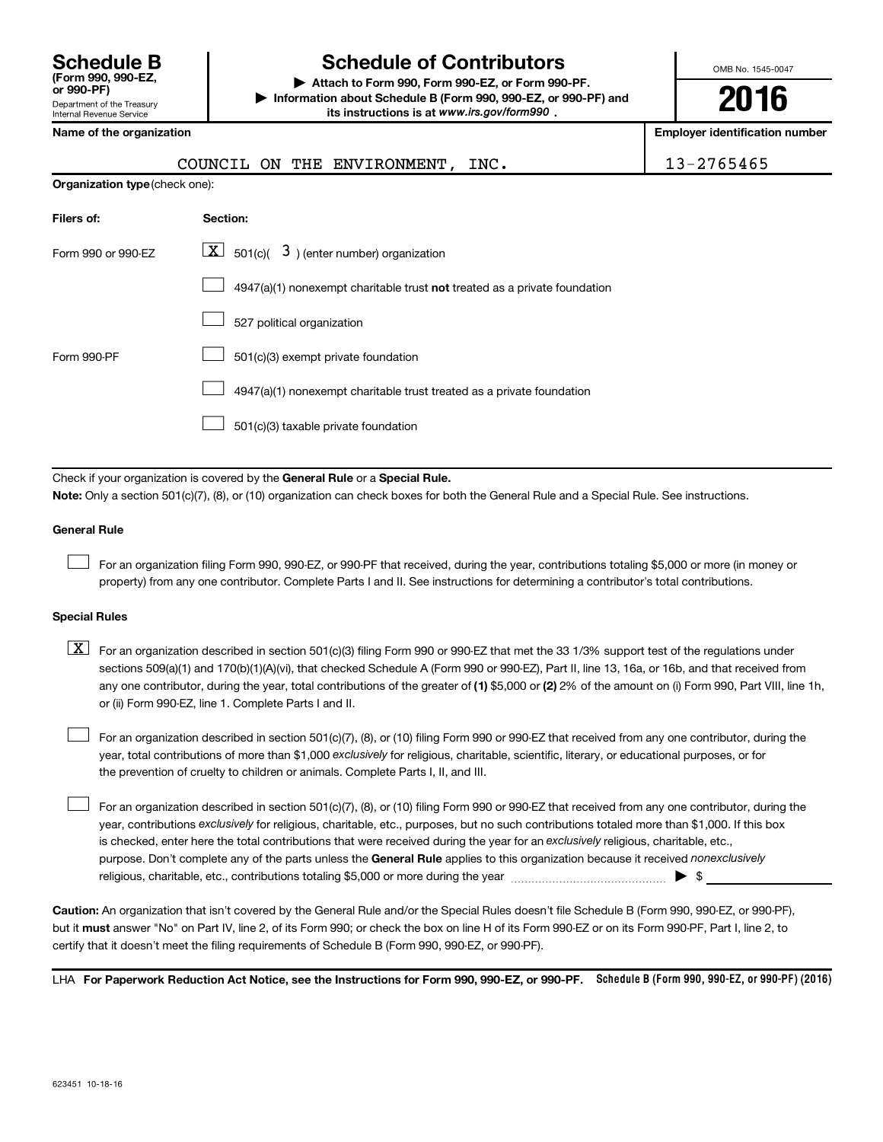| <b>Schedule B</b><br>(Form 990, 990-EZ.<br>or 990-PF)         |
|---------------------------------------------------------------|
| Department of the Treasury<br><b>Internal Revenue Service</b> |

# **Schedule of Contributors**

**or 990-PF) | Attach to Form 990, Form 990-EZ, or Form 990-PF. | Information about Schedule B (Form 990, 990-EZ, or 990-PF) and** its instructions is at www.irs.gov/form990.

OMB No. 1545-0047

**2016**

| Name of the organization              |                                                                                                                                           | <b>Employer identification number</b> |
|---------------------------------------|-------------------------------------------------------------------------------------------------------------------------------------------|---------------------------------------|
|                                       | COUNCIL ON THE ENVIRONMENT, INC.                                                                                                          | 13-2765465                            |
| <b>Organization type (check one):</b> |                                                                                                                                           |                                       |
| Filers of:                            | Section:                                                                                                                                  |                                       |
| Form 990 or 990-EZ                    | $\underline{X}$ 501(c)( 3) (enter number) organization                                                                                    |                                       |
|                                       | 4947(a)(1) nonexempt charitable trust not treated as a private foundation                                                                 |                                       |
|                                       | 527 political organization                                                                                                                |                                       |
| Form 990-PF                           | 501(c)(3) exempt private foundation                                                                                                       |                                       |
|                                       | 4947(a)(1) nonexempt charitable trust treated as a private foundation                                                                     |                                       |
|                                       | 501(c)(3) taxable private foundation                                                                                                      |                                       |
|                                       |                                                                                                                                           |                                       |
|                                       | Check if your organization is covered by the General Rule or a Special Rule.                                                              |                                       |
|                                       | Note: Only a section 501(c)(7), (8), or (10) organization can check boxes for both the General Rule and a Special Rule. See instructions. |                                       |

#### **General Rule**

 $\Box$ 

For an organization filing Form 990, 990-EZ, or 990-PF that received, during the year, contributions totaling \$5,000 or more (in money or property) from any one contributor. Complete Parts I and II. See instructions for determining a contributor's total contributions.

#### **Special Rules**

any one contributor, during the year, total contributions of the greater of **(1)** \$5,000 or **(2)** 2% of the amount on (i) Form 990, Part VIII, line 1h,  $\boxed{\text{X}}$  For an organization described in section 501(c)(3) filing Form 990 or 990-EZ that met the 33 1/3% support test of the regulations under sections 509(a)(1) and 170(b)(1)(A)(vi), that checked Schedule A (Form 990 or 990-EZ), Part II, line 13, 16a, or 16b, and that received from or (ii) Form 990-EZ, line 1. Complete Parts I and II.

year, total contributions of more than \$1,000 *exclusively* for religious, charitable, scientific, literary, or educational purposes, or for For an organization described in section 501(c)(7), (8), or (10) filing Form 990 or 990-EZ that received from any one contributor, during the the prevention of cruelty to children or animals. Complete Parts I, II, and III.  $\Box$ 

purpose. Don't complete any of the parts unless the General Rule applies to this organization because it received nonexclusively year, contributions exclusively for religious, charitable, etc., purposes, but no such contributions totaled more than \$1,000. If this box is checked, enter here the total contributions that were received during the year for an exclusively religious, charitable, etc., For an organization described in section 501(c)(7), (8), or (10) filing Form 990 or 990-EZ that received from any one contributor, during the religious, charitable, etc., contributions totaling \$5,000 or more during the year  $\ldots$  $\ldots$  $\ldots$  $\ldots$  $\ldots$  $\ldots$  $\Box$ 

**Caution:**  An organization that isn't covered by the General Rule and/or the Special Rules doesn't file Schedule B (Form 990, 990-EZ, or 990-PF),  **must** but it answer "No" on Part IV, line 2, of its Form 990; or check the box on line H of its Form 990-EZ or on its Form 990-PF, Part I, line 2, to certify that it doesn't meet the filing requirements of Schedule B (Form 990, 990-EZ, or 990-PF).

LHA For Paperwork Reduction Act Notice, see the Instructions for Form 990, 990-EZ, or 990-PF. Schedule B (Form 990, 990-EZ, or 990-PF) (2016)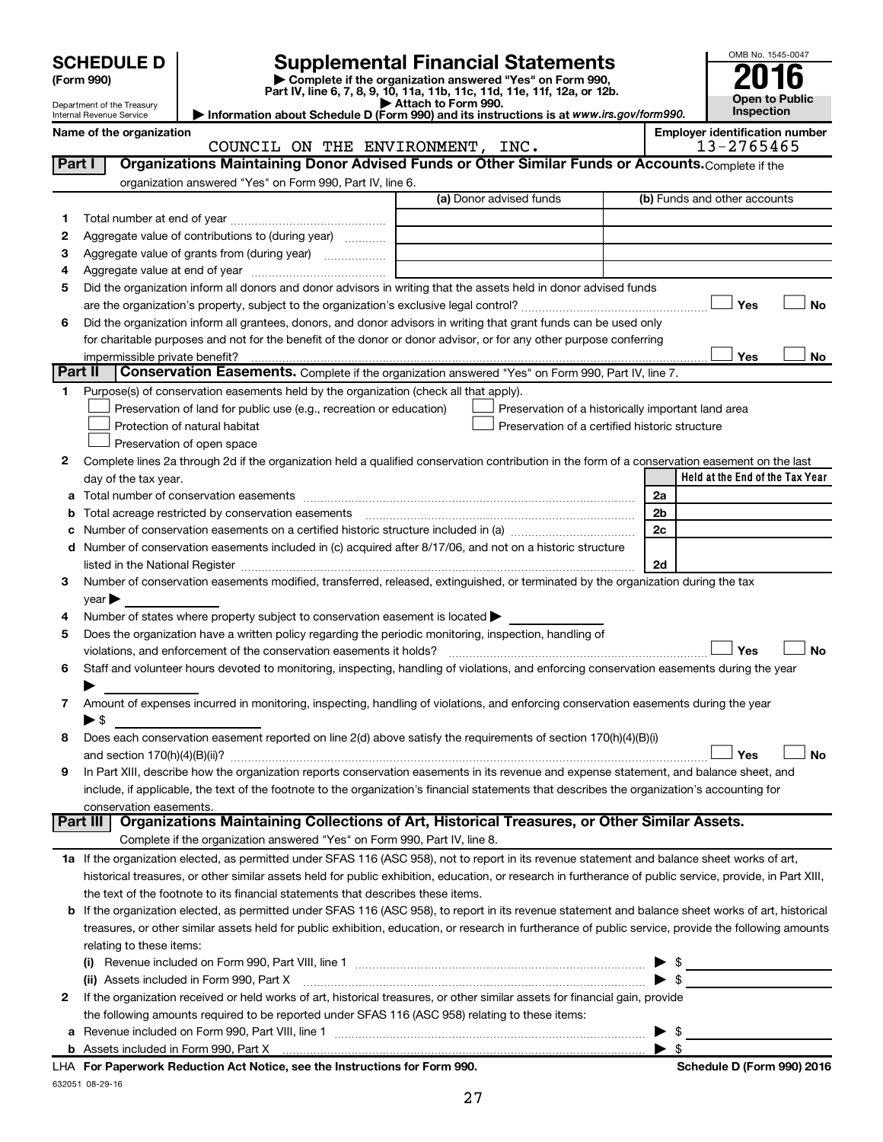|        | <b>SCHEDULE D</b>                                                                                                                                                                                                                                                                                          |                                  | <b>Supplemental Financial Statements</b>                                                                                             |                                 | OMB No. 1545-0047                     |  |
|--------|------------------------------------------------------------------------------------------------------------------------------------------------------------------------------------------------------------------------------------------------------------------------------------------------------------|----------------------------------|--------------------------------------------------------------------------------------------------------------------------------------|---------------------------------|---------------------------------------|--|
|        | (Form 990)                                                                                                                                                                                                                                                                                                 |                                  | Complete if the organization answered "Yes" on Form 990,<br>Part IV, line 6, 7, 8, 9, 10, 11a, 11b, 11c, 11d, 11e, 11f, 12a, or 12b. |                                 |                                       |  |
|        | Department of the Treasury<br>Internal Revenue Service                                                                                                                                                                                                                                                     | Attach to Form 990.              | Information about Schedule D (Form 990) and its instructions is at www.irs.gov/form990.                                              |                                 | <b>Open to Public</b><br>Inspection   |  |
|        | Name of the organization                                                                                                                                                                                                                                                                                   |                                  |                                                                                                                                      |                                 | <b>Employer identification number</b> |  |
|        |                                                                                                                                                                                                                                                                                                            | COUNCIL ON THE ENVIRONMENT, INC. |                                                                                                                                      |                                 | 13-2765465                            |  |
|        | Organizations Maintaining Donor Advised Funds or Other Similar Funds or Accounts. Complete if the<br>Part I                                                                                                                                                                                                |                                  |                                                                                                                                      |                                 |                                       |  |
|        | organization answered "Yes" on Form 990, Part IV, line 6.                                                                                                                                                                                                                                                  |                                  |                                                                                                                                      |                                 |                                       |  |
|        |                                                                                                                                                                                                                                                                                                            |                                  | (a) Donor advised funds                                                                                                              |                                 | (b) Funds and other accounts          |  |
| 1      | Aggregate value of contributions to (during year)                                                                                                                                                                                                                                                          |                                  |                                                                                                                                      |                                 |                                       |  |
| 2<br>з |                                                                                                                                                                                                                                                                                                            |                                  |                                                                                                                                      |                                 |                                       |  |
| 4      |                                                                                                                                                                                                                                                                                                            |                                  |                                                                                                                                      |                                 |                                       |  |
| 5      | Did the organization inform all donors and donor advisors in writing that the assets held in donor advised funds                                                                                                                                                                                           |                                  |                                                                                                                                      |                                 |                                       |  |
|        |                                                                                                                                                                                                                                                                                                            |                                  |                                                                                                                                      |                                 | Yes<br><b>No</b>                      |  |
| 6      | Did the organization inform all grantees, donors, and donor advisors in writing that grant funds can be used only                                                                                                                                                                                          |                                  |                                                                                                                                      |                                 |                                       |  |
|        | for charitable purposes and not for the benefit of the donor or donor advisor, or for any other purpose conferring                                                                                                                                                                                         |                                  |                                                                                                                                      |                                 |                                       |  |
|        | Conservation Easements. Complete if the organization answered "Yes" on Form 990, Part IV, line 7.<br>Part II                                                                                                                                                                                               |                                  |                                                                                                                                      |                                 | Yes<br>No                             |  |
| 1.     | Purpose(s) of conservation easements held by the organization (check all that apply).                                                                                                                                                                                                                      |                                  |                                                                                                                                      |                                 |                                       |  |
|        | Preservation of land for public use (e.g., recreation or education)                                                                                                                                                                                                                                        |                                  | Preservation of a historically important land area                                                                                   |                                 |                                       |  |
|        | Protection of natural habitat                                                                                                                                                                                                                                                                              |                                  | Preservation of a certified historic structure                                                                                       |                                 |                                       |  |
|        | Preservation of open space                                                                                                                                                                                                                                                                                 |                                  |                                                                                                                                      |                                 |                                       |  |
| 2      | Complete lines 2a through 2d if the organization held a qualified conservation contribution in the form of a conservation easement on the last                                                                                                                                                             |                                  |                                                                                                                                      |                                 |                                       |  |
|        | day of the tax year.                                                                                                                                                                                                                                                                                       |                                  |                                                                                                                                      |                                 | Held at the End of the Tax Year       |  |
| a      |                                                                                                                                                                                                                                                                                                            |                                  |                                                                                                                                      | 2a                              |                                       |  |
| b      |                                                                                                                                                                                                                                                                                                            |                                  |                                                                                                                                      | 2b                              |                                       |  |
| с      |                                                                                                                                                                                                                                                                                                            |                                  |                                                                                                                                      | 2c                              |                                       |  |
|        | d Number of conservation easements included in (c) acquired after 8/17/06, and not on a historic structure                                                                                                                                                                                                 |                                  |                                                                                                                                      | 2d                              |                                       |  |
| 3      | Number of conservation easements modified, transferred, released, extinguished, or terminated by the organization during the tax                                                                                                                                                                           |                                  |                                                                                                                                      |                                 |                                       |  |
|        | $year \triangleright$                                                                                                                                                                                                                                                                                      |                                  |                                                                                                                                      |                                 |                                       |  |
| 4      | Number of states where property subject to conservation easement is located $\blacktriangleright$                                                                                                                                                                                                          |                                  |                                                                                                                                      |                                 |                                       |  |
| 5      | Does the organization have a written policy regarding the periodic monitoring, inspection, handling of                                                                                                                                                                                                     |                                  |                                                                                                                                      |                                 |                                       |  |
|        |                                                                                                                                                                                                                                                                                                            |                                  |                                                                                                                                      |                                 | Yes<br>No                             |  |
| 6      | Staff and volunteer hours devoted to monitoring, inspecting, handling of violations, and enforcing conservation easements during the year                                                                                                                                                                  |                                  |                                                                                                                                      |                                 |                                       |  |
|        |                                                                                                                                                                                                                                                                                                            |                                  |                                                                                                                                      |                                 |                                       |  |
| 7      | Amount of expenses incurred in monitoring, inspecting, handling of violations, and enforcing conservation easements during the year<br>▶ \$                                                                                                                                                                |                                  |                                                                                                                                      |                                 |                                       |  |
| 8      | Does each conservation easement reported on line 2(d) above satisfy the requirements of section 170(h)(4)(B)(i)                                                                                                                                                                                            |                                  |                                                                                                                                      |                                 |                                       |  |
|        |                                                                                                                                                                                                                                                                                                            |                                  |                                                                                                                                      |                                 | Yes<br>No                             |  |
| 9      | In Part XIII, describe how the organization reports conservation easements in its revenue and expense statement, and balance sheet, and                                                                                                                                                                    |                                  |                                                                                                                                      |                                 |                                       |  |
|        | include, if applicable, the text of the footnote to the organization's financial statements that describes the organization's accounting for                                                                                                                                                               |                                  |                                                                                                                                      |                                 |                                       |  |
|        | conservation easements.                                                                                                                                                                                                                                                                                    |                                  |                                                                                                                                      |                                 |                                       |  |
|        | Organizations Maintaining Collections of Art, Historical Treasures, or Other Similar Assets.<br>Part III                                                                                                                                                                                                   |                                  |                                                                                                                                      |                                 |                                       |  |
|        | Complete if the organization answered "Yes" on Form 990, Part IV, line 8.                                                                                                                                                                                                                                  |                                  |                                                                                                                                      |                                 |                                       |  |
|        | 1a If the organization elected, as permitted under SFAS 116 (ASC 958), not to report in its revenue statement and balance sheet works of art,<br>historical treasures, or other similar assets held for public exhibition, education, or research in furtherance of public service, provide, in Part XIII, |                                  |                                                                                                                                      |                                 |                                       |  |
|        | the text of the footnote to its financial statements that describes these items.                                                                                                                                                                                                                           |                                  |                                                                                                                                      |                                 |                                       |  |
|        | <b>b</b> If the organization elected, as permitted under SFAS 116 (ASC 958), to report in its revenue statement and balance sheet works of art, historical                                                                                                                                                 |                                  |                                                                                                                                      |                                 |                                       |  |
|        | treasures, or other similar assets held for public exhibition, education, or research in furtherance of public service, provide the following amounts                                                                                                                                                      |                                  |                                                                                                                                      |                                 |                                       |  |
|        | relating to these items:                                                                                                                                                                                                                                                                                   |                                  |                                                                                                                                      |                                 |                                       |  |
|        |                                                                                                                                                                                                                                                                                                            |                                  |                                                                                                                                      |                                 |                                       |  |
|        | (ii) Assets included in Form 990, Part X                                                                                                                                                                                                                                                                   |                                  |                                                                                                                                      |                                 | \$                                    |  |
| 2      | If the organization received or held works of art, historical treasures, or other similar assets for financial gain, provide                                                                                                                                                                               |                                  |                                                                                                                                      |                                 |                                       |  |
|        | the following amounts required to be reported under SFAS 116 (ASC 958) relating to these items:                                                                                                                                                                                                            |                                  |                                                                                                                                      |                                 |                                       |  |
| а      |                                                                                                                                                                                                                                                                                                            |                                  |                                                                                                                                      | - \$<br>$\blacktriangleright$ s |                                       |  |
|        |                                                                                                                                                                                                                                                                                                            |                                  |                                                                                                                                      |                                 |                                       |  |

632051 08-29-16 **For Paperwork Reduction Act Notice, see the Instructions for Form 990. Schedule D (Form 990) 2016** LHA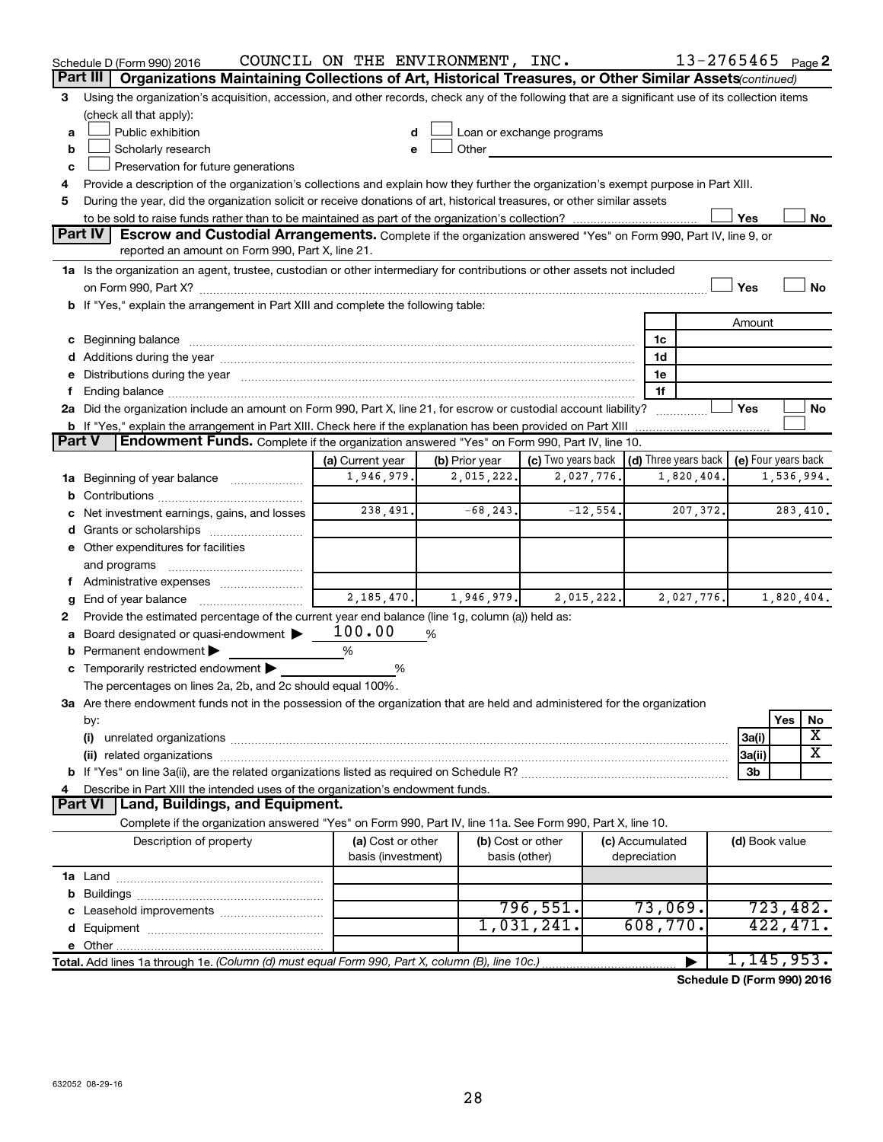| Part III<br>Organizations Maintaining Collections of Art, Historical Treasures, or Other Similar Assets(continued)<br>Using the organization's acquisition, accession, and other records, check any of the following that are a significant use of its collection items<br>3<br>(check all that apply):<br>Public exhibition<br>Loan or exchange programs<br>a<br>Scholarly research<br>Other<br>b<br>е<br>Preservation for future generations<br>c<br>Provide a description of the organization's collections and explain how they further the organization's exempt purpose in Part XIII.<br>4<br>During the year, did the organization solicit or receive donations of art, historical treasures, or other similar assets<br>5<br>Yes<br>No<br>Part IV<br>Escrow and Custodial Arrangements. Complete if the organization answered "Yes" on Form 990, Part IV, line 9, or<br>reported an amount on Form 990, Part X, line 21.<br>1a Is the organization an agent, trustee, custodian or other intermediary for contributions or other assets not included<br><b>No</b><br>Yes<br>b If "Yes," explain the arrangement in Part XIII and complete the following table:<br>Amount<br>c Beginning balance measurements and the contract of the contract of the contract of the contract of the contract of the contract of the contract of the contract of the contract of the contract of the contract of the contr<br>1c<br>1d<br>e Distributions during the year manufactured and an account of the year manufactured and account of the year manufactured and account of the USA of the Distributions during the year<br>1e<br>1f<br>f.<br>2a Did the organization include an amount on Form 990, Part X, line 21, for escrow or custodial account liability?<br>Yes<br>No<br><b>b</b> If "Yes," explain the arrangement in Part XIII. Check here if the explanation has been provided on Part XIII<br><b>Part V</b><br>Endowment Funds. Complete if the organization answered "Yes" on Form 990, Part IV, line 10.<br>(d) Three years back   (e) Four years back<br>(a) Current year<br>(c) Two years back<br>(b) Prior year<br>1,946,979.<br>2,015,222.<br>2,027,776.<br>1,820,404.<br>1,536,994.<br>1a Beginning of year balance<br>b<br>238,491.<br>$-12,554.$<br>$-68, 243.$<br>207,372.<br>283,410.<br>c Net investment earnings, gains, and losses<br>Grants or scholarships<br>d<br>e Other expenditures for facilities<br>and programs<br>f Administrative expenses<br>2,185,470.<br>1,946,979.<br>2,015,222.<br>2,027,776.<br>1,820,404.<br>g<br>Provide the estimated percentage of the current year end balance (line 1g, column (a)) held as:<br>2<br>100.00<br>Board designated or quasi-endowment<br>%<br>a<br>Permanent endowment ><br>%<br>b<br>c Temporarily restricted endowment $\blacktriangleright$<br>%<br>The percentages on lines 2a, 2b, and 2c should equal 100%.<br>3a Are there endowment funds not in the possession of the organization that are held and administered for the organization<br>Yes<br>by:<br>No<br>X<br>(i)<br>3a(i)<br>$\overline{\text{X}}$<br>3a(ii)<br>3b<br>Describe in Part XIII the intended uses of the organization's endowment funds.<br>4<br>Part VI   Land, Buildings, and Equipment.<br>Complete if the organization answered "Yes" on Form 990, Part IV, line 11a. See Form 990, Part X, line 10.<br>(a) Cost or other<br>(b) Cost or other<br>Description of property<br>(c) Accumulated<br>(d) Book value<br>basis (investment)<br>basis (other)<br>depreciation<br>73,069.<br>723,482.<br>796,551.<br>1,031,241.<br>608,770.<br>422, 471.<br>1, 145, 953.<br>Total. Add lines 1a through 1e. (Column (d) must equal Form 990, Part X, column (B), line 10c.) | Schedule D (Form 990) 2016 | COUNCIL ON THE ENVIRONMENT, INC. |  | $13 - 2765465$ Page 2 |  |
|--------------------------------------------------------------------------------------------------------------------------------------------------------------------------------------------------------------------------------------------------------------------------------------------------------------------------------------------------------------------------------------------------------------------------------------------------------------------------------------------------------------------------------------------------------------------------------------------------------------------------------------------------------------------------------------------------------------------------------------------------------------------------------------------------------------------------------------------------------------------------------------------------------------------------------------------------------------------------------------------------------------------------------------------------------------------------------------------------------------------------------------------------------------------------------------------------------------------------------------------------------------------------------------------------------------------------------------------------------------------------------------------------------------------------------------------------------------------------------------------------------------------------------------------------------------------------------------------------------------------------------------------------------------------------------------------------------------------------------------------------------------------------------------------------------------------------------------------------------------------------------------------------------------------------------------------------------------------------------------------------------------------------------------------------------------------------------------------------------------------------------------------------------------------------------------------------------------------------------------------------------------------------------------------------------------------------------------------------------------------------------------------------------------------------------------------------------------------------------------------------------------------------------------------------------------------------------------------------------------------------------------------------------------------------------------------------------------------------------------------------------------------------------------------------------------------------------------------------------------------------------------------------------------------------------------------------------------------------------------------------------------------------------------------------------------------------------------------------------------------------------------------------------------------------------------------------------------------------------------------------------------------------------------------------------------------------------------------------------------------------------------------------------------------------------------------------------------------------------------------------------------------------------------------------------------------------------------------------------------------------------------------------------------------------------------------------------------------------------|----------------------------|----------------------------------|--|-----------------------|--|
|                                                                                                                                                                                                                                                                                                                                                                                                                                                                                                                                                                                                                                                                                                                                                                                                                                                                                                                                                                                                                                                                                                                                                                                                                                                                                                                                                                                                                                                                                                                                                                                                                                                                                                                                                                                                                                                                                                                                                                                                                                                                                                                                                                                                                                                                                                                                                                                                                                                                                                                                                                                                                                                                                                                                                                                                                                                                                                                                                                                                                                                                                                                                                                                                                                                                                                                                                                                                                                                                                                                                                                                                                                                                                                                                |                            |                                  |  |                       |  |
|                                                                                                                                                                                                                                                                                                                                                                                                                                                                                                                                                                                                                                                                                                                                                                                                                                                                                                                                                                                                                                                                                                                                                                                                                                                                                                                                                                                                                                                                                                                                                                                                                                                                                                                                                                                                                                                                                                                                                                                                                                                                                                                                                                                                                                                                                                                                                                                                                                                                                                                                                                                                                                                                                                                                                                                                                                                                                                                                                                                                                                                                                                                                                                                                                                                                                                                                                                                                                                                                                                                                                                                                                                                                                                                                |                            |                                  |  |                       |  |
|                                                                                                                                                                                                                                                                                                                                                                                                                                                                                                                                                                                                                                                                                                                                                                                                                                                                                                                                                                                                                                                                                                                                                                                                                                                                                                                                                                                                                                                                                                                                                                                                                                                                                                                                                                                                                                                                                                                                                                                                                                                                                                                                                                                                                                                                                                                                                                                                                                                                                                                                                                                                                                                                                                                                                                                                                                                                                                                                                                                                                                                                                                                                                                                                                                                                                                                                                                                                                                                                                                                                                                                                                                                                                                                                |                            |                                  |  |                       |  |
|                                                                                                                                                                                                                                                                                                                                                                                                                                                                                                                                                                                                                                                                                                                                                                                                                                                                                                                                                                                                                                                                                                                                                                                                                                                                                                                                                                                                                                                                                                                                                                                                                                                                                                                                                                                                                                                                                                                                                                                                                                                                                                                                                                                                                                                                                                                                                                                                                                                                                                                                                                                                                                                                                                                                                                                                                                                                                                                                                                                                                                                                                                                                                                                                                                                                                                                                                                                                                                                                                                                                                                                                                                                                                                                                |                            |                                  |  |                       |  |
|                                                                                                                                                                                                                                                                                                                                                                                                                                                                                                                                                                                                                                                                                                                                                                                                                                                                                                                                                                                                                                                                                                                                                                                                                                                                                                                                                                                                                                                                                                                                                                                                                                                                                                                                                                                                                                                                                                                                                                                                                                                                                                                                                                                                                                                                                                                                                                                                                                                                                                                                                                                                                                                                                                                                                                                                                                                                                                                                                                                                                                                                                                                                                                                                                                                                                                                                                                                                                                                                                                                                                                                                                                                                                                                                |                            |                                  |  |                       |  |
|                                                                                                                                                                                                                                                                                                                                                                                                                                                                                                                                                                                                                                                                                                                                                                                                                                                                                                                                                                                                                                                                                                                                                                                                                                                                                                                                                                                                                                                                                                                                                                                                                                                                                                                                                                                                                                                                                                                                                                                                                                                                                                                                                                                                                                                                                                                                                                                                                                                                                                                                                                                                                                                                                                                                                                                                                                                                                                                                                                                                                                                                                                                                                                                                                                                                                                                                                                                                                                                                                                                                                                                                                                                                                                                                |                            |                                  |  |                       |  |
|                                                                                                                                                                                                                                                                                                                                                                                                                                                                                                                                                                                                                                                                                                                                                                                                                                                                                                                                                                                                                                                                                                                                                                                                                                                                                                                                                                                                                                                                                                                                                                                                                                                                                                                                                                                                                                                                                                                                                                                                                                                                                                                                                                                                                                                                                                                                                                                                                                                                                                                                                                                                                                                                                                                                                                                                                                                                                                                                                                                                                                                                                                                                                                                                                                                                                                                                                                                                                                                                                                                                                                                                                                                                                                                                |                            |                                  |  |                       |  |
|                                                                                                                                                                                                                                                                                                                                                                                                                                                                                                                                                                                                                                                                                                                                                                                                                                                                                                                                                                                                                                                                                                                                                                                                                                                                                                                                                                                                                                                                                                                                                                                                                                                                                                                                                                                                                                                                                                                                                                                                                                                                                                                                                                                                                                                                                                                                                                                                                                                                                                                                                                                                                                                                                                                                                                                                                                                                                                                                                                                                                                                                                                                                                                                                                                                                                                                                                                                                                                                                                                                                                                                                                                                                                                                                |                            |                                  |  |                       |  |
|                                                                                                                                                                                                                                                                                                                                                                                                                                                                                                                                                                                                                                                                                                                                                                                                                                                                                                                                                                                                                                                                                                                                                                                                                                                                                                                                                                                                                                                                                                                                                                                                                                                                                                                                                                                                                                                                                                                                                                                                                                                                                                                                                                                                                                                                                                                                                                                                                                                                                                                                                                                                                                                                                                                                                                                                                                                                                                                                                                                                                                                                                                                                                                                                                                                                                                                                                                                                                                                                                                                                                                                                                                                                                                                                |                            |                                  |  |                       |  |
|                                                                                                                                                                                                                                                                                                                                                                                                                                                                                                                                                                                                                                                                                                                                                                                                                                                                                                                                                                                                                                                                                                                                                                                                                                                                                                                                                                                                                                                                                                                                                                                                                                                                                                                                                                                                                                                                                                                                                                                                                                                                                                                                                                                                                                                                                                                                                                                                                                                                                                                                                                                                                                                                                                                                                                                                                                                                                                                                                                                                                                                                                                                                                                                                                                                                                                                                                                                                                                                                                                                                                                                                                                                                                                                                |                            |                                  |  |                       |  |
|                                                                                                                                                                                                                                                                                                                                                                                                                                                                                                                                                                                                                                                                                                                                                                                                                                                                                                                                                                                                                                                                                                                                                                                                                                                                                                                                                                                                                                                                                                                                                                                                                                                                                                                                                                                                                                                                                                                                                                                                                                                                                                                                                                                                                                                                                                                                                                                                                                                                                                                                                                                                                                                                                                                                                                                                                                                                                                                                                                                                                                                                                                                                                                                                                                                                                                                                                                                                                                                                                                                                                                                                                                                                                                                                |                            |                                  |  |                       |  |
|                                                                                                                                                                                                                                                                                                                                                                                                                                                                                                                                                                                                                                                                                                                                                                                                                                                                                                                                                                                                                                                                                                                                                                                                                                                                                                                                                                                                                                                                                                                                                                                                                                                                                                                                                                                                                                                                                                                                                                                                                                                                                                                                                                                                                                                                                                                                                                                                                                                                                                                                                                                                                                                                                                                                                                                                                                                                                                                                                                                                                                                                                                                                                                                                                                                                                                                                                                                                                                                                                                                                                                                                                                                                                                                                |                            |                                  |  |                       |  |
|                                                                                                                                                                                                                                                                                                                                                                                                                                                                                                                                                                                                                                                                                                                                                                                                                                                                                                                                                                                                                                                                                                                                                                                                                                                                                                                                                                                                                                                                                                                                                                                                                                                                                                                                                                                                                                                                                                                                                                                                                                                                                                                                                                                                                                                                                                                                                                                                                                                                                                                                                                                                                                                                                                                                                                                                                                                                                                                                                                                                                                                                                                                                                                                                                                                                                                                                                                                                                                                                                                                                                                                                                                                                                                                                |                            |                                  |  |                       |  |
|                                                                                                                                                                                                                                                                                                                                                                                                                                                                                                                                                                                                                                                                                                                                                                                                                                                                                                                                                                                                                                                                                                                                                                                                                                                                                                                                                                                                                                                                                                                                                                                                                                                                                                                                                                                                                                                                                                                                                                                                                                                                                                                                                                                                                                                                                                                                                                                                                                                                                                                                                                                                                                                                                                                                                                                                                                                                                                                                                                                                                                                                                                                                                                                                                                                                                                                                                                                                                                                                                                                                                                                                                                                                                                                                |                            |                                  |  |                       |  |
|                                                                                                                                                                                                                                                                                                                                                                                                                                                                                                                                                                                                                                                                                                                                                                                                                                                                                                                                                                                                                                                                                                                                                                                                                                                                                                                                                                                                                                                                                                                                                                                                                                                                                                                                                                                                                                                                                                                                                                                                                                                                                                                                                                                                                                                                                                                                                                                                                                                                                                                                                                                                                                                                                                                                                                                                                                                                                                                                                                                                                                                                                                                                                                                                                                                                                                                                                                                                                                                                                                                                                                                                                                                                                                                                |                            |                                  |  |                       |  |
|                                                                                                                                                                                                                                                                                                                                                                                                                                                                                                                                                                                                                                                                                                                                                                                                                                                                                                                                                                                                                                                                                                                                                                                                                                                                                                                                                                                                                                                                                                                                                                                                                                                                                                                                                                                                                                                                                                                                                                                                                                                                                                                                                                                                                                                                                                                                                                                                                                                                                                                                                                                                                                                                                                                                                                                                                                                                                                                                                                                                                                                                                                                                                                                                                                                                                                                                                                                                                                                                                                                                                                                                                                                                                                                                |                            |                                  |  |                       |  |
|                                                                                                                                                                                                                                                                                                                                                                                                                                                                                                                                                                                                                                                                                                                                                                                                                                                                                                                                                                                                                                                                                                                                                                                                                                                                                                                                                                                                                                                                                                                                                                                                                                                                                                                                                                                                                                                                                                                                                                                                                                                                                                                                                                                                                                                                                                                                                                                                                                                                                                                                                                                                                                                                                                                                                                                                                                                                                                                                                                                                                                                                                                                                                                                                                                                                                                                                                                                                                                                                                                                                                                                                                                                                                                                                |                            |                                  |  |                       |  |
|                                                                                                                                                                                                                                                                                                                                                                                                                                                                                                                                                                                                                                                                                                                                                                                                                                                                                                                                                                                                                                                                                                                                                                                                                                                                                                                                                                                                                                                                                                                                                                                                                                                                                                                                                                                                                                                                                                                                                                                                                                                                                                                                                                                                                                                                                                                                                                                                                                                                                                                                                                                                                                                                                                                                                                                                                                                                                                                                                                                                                                                                                                                                                                                                                                                                                                                                                                                                                                                                                                                                                                                                                                                                                                                                |                            |                                  |  |                       |  |
|                                                                                                                                                                                                                                                                                                                                                                                                                                                                                                                                                                                                                                                                                                                                                                                                                                                                                                                                                                                                                                                                                                                                                                                                                                                                                                                                                                                                                                                                                                                                                                                                                                                                                                                                                                                                                                                                                                                                                                                                                                                                                                                                                                                                                                                                                                                                                                                                                                                                                                                                                                                                                                                                                                                                                                                                                                                                                                                                                                                                                                                                                                                                                                                                                                                                                                                                                                                                                                                                                                                                                                                                                                                                                                                                |                            |                                  |  |                       |  |
|                                                                                                                                                                                                                                                                                                                                                                                                                                                                                                                                                                                                                                                                                                                                                                                                                                                                                                                                                                                                                                                                                                                                                                                                                                                                                                                                                                                                                                                                                                                                                                                                                                                                                                                                                                                                                                                                                                                                                                                                                                                                                                                                                                                                                                                                                                                                                                                                                                                                                                                                                                                                                                                                                                                                                                                                                                                                                                                                                                                                                                                                                                                                                                                                                                                                                                                                                                                                                                                                                                                                                                                                                                                                                                                                |                            |                                  |  |                       |  |
|                                                                                                                                                                                                                                                                                                                                                                                                                                                                                                                                                                                                                                                                                                                                                                                                                                                                                                                                                                                                                                                                                                                                                                                                                                                                                                                                                                                                                                                                                                                                                                                                                                                                                                                                                                                                                                                                                                                                                                                                                                                                                                                                                                                                                                                                                                                                                                                                                                                                                                                                                                                                                                                                                                                                                                                                                                                                                                                                                                                                                                                                                                                                                                                                                                                                                                                                                                                                                                                                                                                                                                                                                                                                                                                                |                            |                                  |  |                       |  |
|                                                                                                                                                                                                                                                                                                                                                                                                                                                                                                                                                                                                                                                                                                                                                                                                                                                                                                                                                                                                                                                                                                                                                                                                                                                                                                                                                                                                                                                                                                                                                                                                                                                                                                                                                                                                                                                                                                                                                                                                                                                                                                                                                                                                                                                                                                                                                                                                                                                                                                                                                                                                                                                                                                                                                                                                                                                                                                                                                                                                                                                                                                                                                                                                                                                                                                                                                                                                                                                                                                                                                                                                                                                                                                                                |                            |                                  |  |                       |  |
|                                                                                                                                                                                                                                                                                                                                                                                                                                                                                                                                                                                                                                                                                                                                                                                                                                                                                                                                                                                                                                                                                                                                                                                                                                                                                                                                                                                                                                                                                                                                                                                                                                                                                                                                                                                                                                                                                                                                                                                                                                                                                                                                                                                                                                                                                                                                                                                                                                                                                                                                                                                                                                                                                                                                                                                                                                                                                                                                                                                                                                                                                                                                                                                                                                                                                                                                                                                                                                                                                                                                                                                                                                                                                                                                |                            |                                  |  |                       |  |
|                                                                                                                                                                                                                                                                                                                                                                                                                                                                                                                                                                                                                                                                                                                                                                                                                                                                                                                                                                                                                                                                                                                                                                                                                                                                                                                                                                                                                                                                                                                                                                                                                                                                                                                                                                                                                                                                                                                                                                                                                                                                                                                                                                                                                                                                                                                                                                                                                                                                                                                                                                                                                                                                                                                                                                                                                                                                                                                                                                                                                                                                                                                                                                                                                                                                                                                                                                                                                                                                                                                                                                                                                                                                                                                                |                            |                                  |  |                       |  |
|                                                                                                                                                                                                                                                                                                                                                                                                                                                                                                                                                                                                                                                                                                                                                                                                                                                                                                                                                                                                                                                                                                                                                                                                                                                                                                                                                                                                                                                                                                                                                                                                                                                                                                                                                                                                                                                                                                                                                                                                                                                                                                                                                                                                                                                                                                                                                                                                                                                                                                                                                                                                                                                                                                                                                                                                                                                                                                                                                                                                                                                                                                                                                                                                                                                                                                                                                                                                                                                                                                                                                                                                                                                                                                                                |                            |                                  |  |                       |  |
|                                                                                                                                                                                                                                                                                                                                                                                                                                                                                                                                                                                                                                                                                                                                                                                                                                                                                                                                                                                                                                                                                                                                                                                                                                                                                                                                                                                                                                                                                                                                                                                                                                                                                                                                                                                                                                                                                                                                                                                                                                                                                                                                                                                                                                                                                                                                                                                                                                                                                                                                                                                                                                                                                                                                                                                                                                                                                                                                                                                                                                                                                                                                                                                                                                                                                                                                                                                                                                                                                                                                                                                                                                                                                                                                |                            |                                  |  |                       |  |
|                                                                                                                                                                                                                                                                                                                                                                                                                                                                                                                                                                                                                                                                                                                                                                                                                                                                                                                                                                                                                                                                                                                                                                                                                                                                                                                                                                                                                                                                                                                                                                                                                                                                                                                                                                                                                                                                                                                                                                                                                                                                                                                                                                                                                                                                                                                                                                                                                                                                                                                                                                                                                                                                                                                                                                                                                                                                                                                                                                                                                                                                                                                                                                                                                                                                                                                                                                                                                                                                                                                                                                                                                                                                                                                                |                            |                                  |  |                       |  |
|                                                                                                                                                                                                                                                                                                                                                                                                                                                                                                                                                                                                                                                                                                                                                                                                                                                                                                                                                                                                                                                                                                                                                                                                                                                                                                                                                                                                                                                                                                                                                                                                                                                                                                                                                                                                                                                                                                                                                                                                                                                                                                                                                                                                                                                                                                                                                                                                                                                                                                                                                                                                                                                                                                                                                                                                                                                                                                                                                                                                                                                                                                                                                                                                                                                                                                                                                                                                                                                                                                                                                                                                                                                                                                                                |                            |                                  |  |                       |  |
|                                                                                                                                                                                                                                                                                                                                                                                                                                                                                                                                                                                                                                                                                                                                                                                                                                                                                                                                                                                                                                                                                                                                                                                                                                                                                                                                                                                                                                                                                                                                                                                                                                                                                                                                                                                                                                                                                                                                                                                                                                                                                                                                                                                                                                                                                                                                                                                                                                                                                                                                                                                                                                                                                                                                                                                                                                                                                                                                                                                                                                                                                                                                                                                                                                                                                                                                                                                                                                                                                                                                                                                                                                                                                                                                |                            |                                  |  |                       |  |
|                                                                                                                                                                                                                                                                                                                                                                                                                                                                                                                                                                                                                                                                                                                                                                                                                                                                                                                                                                                                                                                                                                                                                                                                                                                                                                                                                                                                                                                                                                                                                                                                                                                                                                                                                                                                                                                                                                                                                                                                                                                                                                                                                                                                                                                                                                                                                                                                                                                                                                                                                                                                                                                                                                                                                                                                                                                                                                                                                                                                                                                                                                                                                                                                                                                                                                                                                                                                                                                                                                                                                                                                                                                                                                                                |                            |                                  |  |                       |  |
|                                                                                                                                                                                                                                                                                                                                                                                                                                                                                                                                                                                                                                                                                                                                                                                                                                                                                                                                                                                                                                                                                                                                                                                                                                                                                                                                                                                                                                                                                                                                                                                                                                                                                                                                                                                                                                                                                                                                                                                                                                                                                                                                                                                                                                                                                                                                                                                                                                                                                                                                                                                                                                                                                                                                                                                                                                                                                                                                                                                                                                                                                                                                                                                                                                                                                                                                                                                                                                                                                                                                                                                                                                                                                                                                |                            |                                  |  |                       |  |
|                                                                                                                                                                                                                                                                                                                                                                                                                                                                                                                                                                                                                                                                                                                                                                                                                                                                                                                                                                                                                                                                                                                                                                                                                                                                                                                                                                                                                                                                                                                                                                                                                                                                                                                                                                                                                                                                                                                                                                                                                                                                                                                                                                                                                                                                                                                                                                                                                                                                                                                                                                                                                                                                                                                                                                                                                                                                                                                                                                                                                                                                                                                                                                                                                                                                                                                                                                                                                                                                                                                                                                                                                                                                                                                                |                            |                                  |  |                       |  |
|                                                                                                                                                                                                                                                                                                                                                                                                                                                                                                                                                                                                                                                                                                                                                                                                                                                                                                                                                                                                                                                                                                                                                                                                                                                                                                                                                                                                                                                                                                                                                                                                                                                                                                                                                                                                                                                                                                                                                                                                                                                                                                                                                                                                                                                                                                                                                                                                                                                                                                                                                                                                                                                                                                                                                                                                                                                                                                                                                                                                                                                                                                                                                                                                                                                                                                                                                                                                                                                                                                                                                                                                                                                                                                                                |                            |                                  |  |                       |  |
|                                                                                                                                                                                                                                                                                                                                                                                                                                                                                                                                                                                                                                                                                                                                                                                                                                                                                                                                                                                                                                                                                                                                                                                                                                                                                                                                                                                                                                                                                                                                                                                                                                                                                                                                                                                                                                                                                                                                                                                                                                                                                                                                                                                                                                                                                                                                                                                                                                                                                                                                                                                                                                                                                                                                                                                                                                                                                                                                                                                                                                                                                                                                                                                                                                                                                                                                                                                                                                                                                                                                                                                                                                                                                                                                |                            |                                  |  |                       |  |
|                                                                                                                                                                                                                                                                                                                                                                                                                                                                                                                                                                                                                                                                                                                                                                                                                                                                                                                                                                                                                                                                                                                                                                                                                                                                                                                                                                                                                                                                                                                                                                                                                                                                                                                                                                                                                                                                                                                                                                                                                                                                                                                                                                                                                                                                                                                                                                                                                                                                                                                                                                                                                                                                                                                                                                                                                                                                                                                                                                                                                                                                                                                                                                                                                                                                                                                                                                                                                                                                                                                                                                                                                                                                                                                                |                            |                                  |  |                       |  |
|                                                                                                                                                                                                                                                                                                                                                                                                                                                                                                                                                                                                                                                                                                                                                                                                                                                                                                                                                                                                                                                                                                                                                                                                                                                                                                                                                                                                                                                                                                                                                                                                                                                                                                                                                                                                                                                                                                                                                                                                                                                                                                                                                                                                                                                                                                                                                                                                                                                                                                                                                                                                                                                                                                                                                                                                                                                                                                                                                                                                                                                                                                                                                                                                                                                                                                                                                                                                                                                                                                                                                                                                                                                                                                                                |                            |                                  |  |                       |  |
|                                                                                                                                                                                                                                                                                                                                                                                                                                                                                                                                                                                                                                                                                                                                                                                                                                                                                                                                                                                                                                                                                                                                                                                                                                                                                                                                                                                                                                                                                                                                                                                                                                                                                                                                                                                                                                                                                                                                                                                                                                                                                                                                                                                                                                                                                                                                                                                                                                                                                                                                                                                                                                                                                                                                                                                                                                                                                                                                                                                                                                                                                                                                                                                                                                                                                                                                                                                                                                                                                                                                                                                                                                                                                                                                |                            |                                  |  |                       |  |
|                                                                                                                                                                                                                                                                                                                                                                                                                                                                                                                                                                                                                                                                                                                                                                                                                                                                                                                                                                                                                                                                                                                                                                                                                                                                                                                                                                                                                                                                                                                                                                                                                                                                                                                                                                                                                                                                                                                                                                                                                                                                                                                                                                                                                                                                                                                                                                                                                                                                                                                                                                                                                                                                                                                                                                                                                                                                                                                                                                                                                                                                                                                                                                                                                                                                                                                                                                                                                                                                                                                                                                                                                                                                                                                                |                            |                                  |  |                       |  |
|                                                                                                                                                                                                                                                                                                                                                                                                                                                                                                                                                                                                                                                                                                                                                                                                                                                                                                                                                                                                                                                                                                                                                                                                                                                                                                                                                                                                                                                                                                                                                                                                                                                                                                                                                                                                                                                                                                                                                                                                                                                                                                                                                                                                                                                                                                                                                                                                                                                                                                                                                                                                                                                                                                                                                                                                                                                                                                                                                                                                                                                                                                                                                                                                                                                                                                                                                                                                                                                                                                                                                                                                                                                                                                                                |                            |                                  |  |                       |  |
|                                                                                                                                                                                                                                                                                                                                                                                                                                                                                                                                                                                                                                                                                                                                                                                                                                                                                                                                                                                                                                                                                                                                                                                                                                                                                                                                                                                                                                                                                                                                                                                                                                                                                                                                                                                                                                                                                                                                                                                                                                                                                                                                                                                                                                                                                                                                                                                                                                                                                                                                                                                                                                                                                                                                                                                                                                                                                                                                                                                                                                                                                                                                                                                                                                                                                                                                                                                                                                                                                                                                                                                                                                                                                                                                |                            |                                  |  |                       |  |
|                                                                                                                                                                                                                                                                                                                                                                                                                                                                                                                                                                                                                                                                                                                                                                                                                                                                                                                                                                                                                                                                                                                                                                                                                                                                                                                                                                                                                                                                                                                                                                                                                                                                                                                                                                                                                                                                                                                                                                                                                                                                                                                                                                                                                                                                                                                                                                                                                                                                                                                                                                                                                                                                                                                                                                                                                                                                                                                                                                                                                                                                                                                                                                                                                                                                                                                                                                                                                                                                                                                                                                                                                                                                                                                                |                            |                                  |  |                       |  |
|                                                                                                                                                                                                                                                                                                                                                                                                                                                                                                                                                                                                                                                                                                                                                                                                                                                                                                                                                                                                                                                                                                                                                                                                                                                                                                                                                                                                                                                                                                                                                                                                                                                                                                                                                                                                                                                                                                                                                                                                                                                                                                                                                                                                                                                                                                                                                                                                                                                                                                                                                                                                                                                                                                                                                                                                                                                                                                                                                                                                                                                                                                                                                                                                                                                                                                                                                                                                                                                                                                                                                                                                                                                                                                                                |                            |                                  |  |                       |  |
|                                                                                                                                                                                                                                                                                                                                                                                                                                                                                                                                                                                                                                                                                                                                                                                                                                                                                                                                                                                                                                                                                                                                                                                                                                                                                                                                                                                                                                                                                                                                                                                                                                                                                                                                                                                                                                                                                                                                                                                                                                                                                                                                                                                                                                                                                                                                                                                                                                                                                                                                                                                                                                                                                                                                                                                                                                                                                                                                                                                                                                                                                                                                                                                                                                                                                                                                                                                                                                                                                                                                                                                                                                                                                                                                |                            |                                  |  |                       |  |
|                                                                                                                                                                                                                                                                                                                                                                                                                                                                                                                                                                                                                                                                                                                                                                                                                                                                                                                                                                                                                                                                                                                                                                                                                                                                                                                                                                                                                                                                                                                                                                                                                                                                                                                                                                                                                                                                                                                                                                                                                                                                                                                                                                                                                                                                                                                                                                                                                                                                                                                                                                                                                                                                                                                                                                                                                                                                                                                                                                                                                                                                                                                                                                                                                                                                                                                                                                                                                                                                                                                                                                                                                                                                                                                                |                            |                                  |  |                       |  |
|                                                                                                                                                                                                                                                                                                                                                                                                                                                                                                                                                                                                                                                                                                                                                                                                                                                                                                                                                                                                                                                                                                                                                                                                                                                                                                                                                                                                                                                                                                                                                                                                                                                                                                                                                                                                                                                                                                                                                                                                                                                                                                                                                                                                                                                                                                                                                                                                                                                                                                                                                                                                                                                                                                                                                                                                                                                                                                                                                                                                                                                                                                                                                                                                                                                                                                                                                                                                                                                                                                                                                                                                                                                                                                                                |                            |                                  |  |                       |  |
|                                                                                                                                                                                                                                                                                                                                                                                                                                                                                                                                                                                                                                                                                                                                                                                                                                                                                                                                                                                                                                                                                                                                                                                                                                                                                                                                                                                                                                                                                                                                                                                                                                                                                                                                                                                                                                                                                                                                                                                                                                                                                                                                                                                                                                                                                                                                                                                                                                                                                                                                                                                                                                                                                                                                                                                                                                                                                                                                                                                                                                                                                                                                                                                                                                                                                                                                                                                                                                                                                                                                                                                                                                                                                                                                |                            |                                  |  |                       |  |
|                                                                                                                                                                                                                                                                                                                                                                                                                                                                                                                                                                                                                                                                                                                                                                                                                                                                                                                                                                                                                                                                                                                                                                                                                                                                                                                                                                                                                                                                                                                                                                                                                                                                                                                                                                                                                                                                                                                                                                                                                                                                                                                                                                                                                                                                                                                                                                                                                                                                                                                                                                                                                                                                                                                                                                                                                                                                                                                                                                                                                                                                                                                                                                                                                                                                                                                                                                                                                                                                                                                                                                                                                                                                                                                                |                            |                                  |  |                       |  |
|                                                                                                                                                                                                                                                                                                                                                                                                                                                                                                                                                                                                                                                                                                                                                                                                                                                                                                                                                                                                                                                                                                                                                                                                                                                                                                                                                                                                                                                                                                                                                                                                                                                                                                                                                                                                                                                                                                                                                                                                                                                                                                                                                                                                                                                                                                                                                                                                                                                                                                                                                                                                                                                                                                                                                                                                                                                                                                                                                                                                                                                                                                                                                                                                                                                                                                                                                                                                                                                                                                                                                                                                                                                                                                                                |                            |                                  |  |                       |  |
|                                                                                                                                                                                                                                                                                                                                                                                                                                                                                                                                                                                                                                                                                                                                                                                                                                                                                                                                                                                                                                                                                                                                                                                                                                                                                                                                                                                                                                                                                                                                                                                                                                                                                                                                                                                                                                                                                                                                                                                                                                                                                                                                                                                                                                                                                                                                                                                                                                                                                                                                                                                                                                                                                                                                                                                                                                                                                                                                                                                                                                                                                                                                                                                                                                                                                                                                                                                                                                                                                                                                                                                                                                                                                                                                |                            |                                  |  |                       |  |
|                                                                                                                                                                                                                                                                                                                                                                                                                                                                                                                                                                                                                                                                                                                                                                                                                                                                                                                                                                                                                                                                                                                                                                                                                                                                                                                                                                                                                                                                                                                                                                                                                                                                                                                                                                                                                                                                                                                                                                                                                                                                                                                                                                                                                                                                                                                                                                                                                                                                                                                                                                                                                                                                                                                                                                                                                                                                                                                                                                                                                                                                                                                                                                                                                                                                                                                                                                                                                                                                                                                                                                                                                                                                                                                                |                            |                                  |  |                       |  |
|                                                                                                                                                                                                                                                                                                                                                                                                                                                                                                                                                                                                                                                                                                                                                                                                                                                                                                                                                                                                                                                                                                                                                                                                                                                                                                                                                                                                                                                                                                                                                                                                                                                                                                                                                                                                                                                                                                                                                                                                                                                                                                                                                                                                                                                                                                                                                                                                                                                                                                                                                                                                                                                                                                                                                                                                                                                                                                                                                                                                                                                                                                                                                                                                                                                                                                                                                                                                                                                                                                                                                                                                                                                                                                                                |                            |                                  |  |                       |  |
|                                                                                                                                                                                                                                                                                                                                                                                                                                                                                                                                                                                                                                                                                                                                                                                                                                                                                                                                                                                                                                                                                                                                                                                                                                                                                                                                                                                                                                                                                                                                                                                                                                                                                                                                                                                                                                                                                                                                                                                                                                                                                                                                                                                                                                                                                                                                                                                                                                                                                                                                                                                                                                                                                                                                                                                                                                                                                                                                                                                                                                                                                                                                                                                                                                                                                                                                                                                                                                                                                                                                                                                                                                                                                                                                |                            |                                  |  |                       |  |

**Schedule D (Form 990) 2016**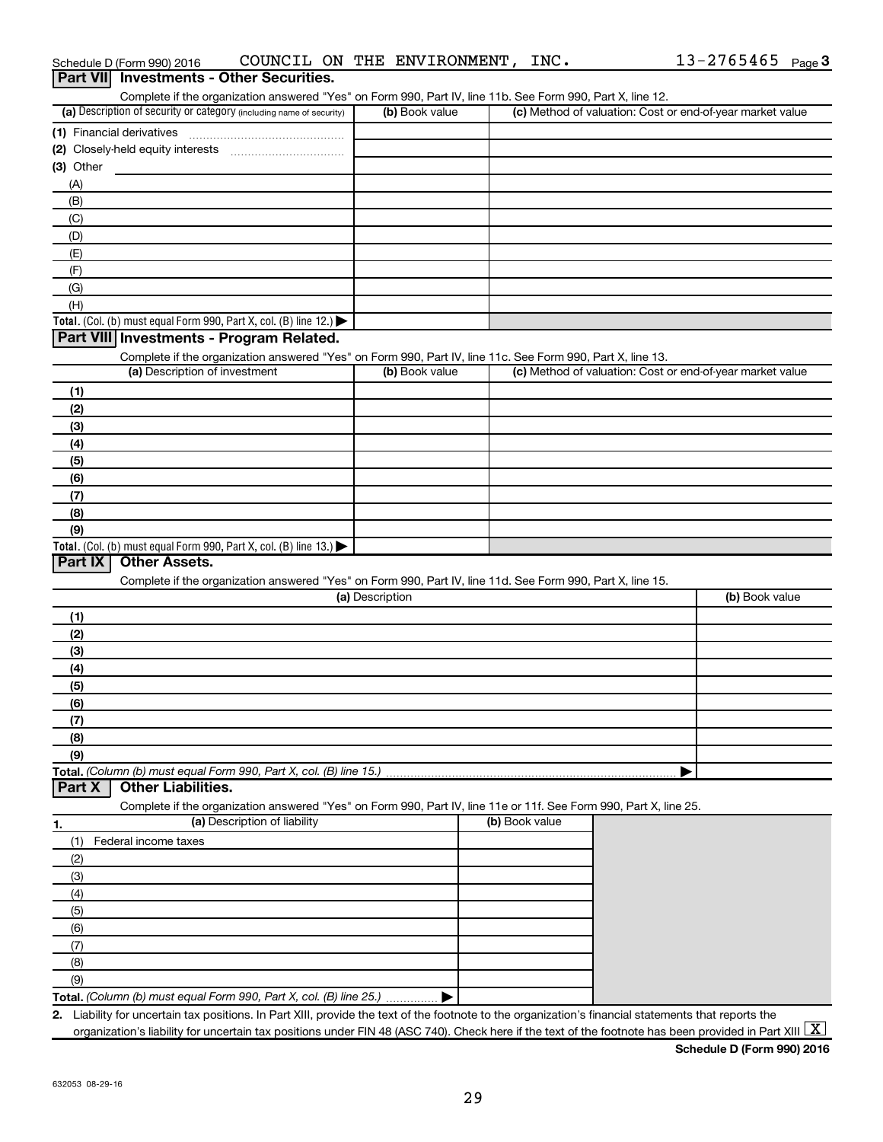|                                                                                                                   |                 | Complete if the organization answered "Yes" on Form 990, Part IV, line 11b. See Form 990, Part X, line 12. |                                                           |
|-------------------------------------------------------------------------------------------------------------------|-----------------|------------------------------------------------------------------------------------------------------------|-----------------------------------------------------------|
| (a) Description of security or category (including name of security)                                              | (b) Book value  |                                                                                                            | (c) Method of valuation: Cost or end-of-year market value |
| (1) Financial derivatives                                                                                         |                 |                                                                                                            |                                                           |
|                                                                                                                   |                 |                                                                                                            |                                                           |
| $(3)$ Other                                                                                                       |                 |                                                                                                            |                                                           |
| (A)                                                                                                               |                 |                                                                                                            |                                                           |
| (B)                                                                                                               |                 |                                                                                                            |                                                           |
| (C)                                                                                                               |                 |                                                                                                            |                                                           |
| (D)                                                                                                               |                 |                                                                                                            |                                                           |
| (E)                                                                                                               |                 |                                                                                                            |                                                           |
| (F)                                                                                                               |                 |                                                                                                            |                                                           |
| (G)                                                                                                               |                 |                                                                                                            |                                                           |
| (H)                                                                                                               |                 |                                                                                                            |                                                           |
| Total. (Col. (b) must equal Form 990, Part X, col. (B) line 12.)                                                  |                 |                                                                                                            |                                                           |
| Part VIII Investments - Program Related.                                                                          |                 |                                                                                                            |                                                           |
| Complete if the organization answered "Yes" on Form 990, Part IV, line 11c. See Form 990, Part X, line 13.        |                 |                                                                                                            |                                                           |
| (a) Description of investment                                                                                     | (b) Book value  |                                                                                                            | (c) Method of valuation: Cost or end-of-year market value |
| (1)                                                                                                               |                 |                                                                                                            |                                                           |
| (2)                                                                                                               |                 |                                                                                                            |                                                           |
| (3)                                                                                                               |                 |                                                                                                            |                                                           |
| (4)                                                                                                               |                 |                                                                                                            |                                                           |
| (5)                                                                                                               |                 |                                                                                                            |                                                           |
| (6)                                                                                                               |                 |                                                                                                            |                                                           |
| (7)                                                                                                               |                 |                                                                                                            |                                                           |
| (8)                                                                                                               |                 |                                                                                                            |                                                           |
| (9)                                                                                                               |                 |                                                                                                            |                                                           |
|                                                                                                                   |                 |                                                                                                            |                                                           |
| Total. (Col. (b) must equal Form 990, Part X, col. (B) line 13.) $\blacktriangleright$                            |                 |                                                                                                            |                                                           |
|                                                                                                                   |                 |                                                                                                            |                                                           |
| <b>Other Assets.</b>                                                                                              |                 |                                                                                                            |                                                           |
| Complete if the organization answered "Yes" on Form 990, Part IV, line 11d. See Form 990, Part X, line 15.        |                 |                                                                                                            |                                                           |
|                                                                                                                   | (a) Description |                                                                                                            | (b) Book value                                            |
| (1)                                                                                                               |                 |                                                                                                            |                                                           |
| (2)                                                                                                               |                 |                                                                                                            |                                                           |
| (3)                                                                                                               |                 |                                                                                                            |                                                           |
| (4)                                                                                                               |                 |                                                                                                            |                                                           |
| (5)                                                                                                               |                 |                                                                                                            |                                                           |
| (6)                                                                                                               |                 |                                                                                                            |                                                           |
| (7)                                                                                                               |                 |                                                                                                            |                                                           |
| (8)                                                                                                               |                 |                                                                                                            |                                                           |
| (9)                                                                                                               |                 |                                                                                                            |                                                           |
|                                                                                                                   |                 |                                                                                                            |                                                           |
| <b>Other Liabilities.</b>                                                                                         |                 |                                                                                                            |                                                           |
| Complete if the organization answered "Yes" on Form 990, Part IV, line 11e or 11f. See Form 990, Part X, line 25. |                 |                                                                                                            |                                                           |
| (a) Description of liability                                                                                      |                 | (b) Book value                                                                                             |                                                           |
| Federal income taxes<br>(1)                                                                                       |                 |                                                                                                            |                                                           |
| (2)                                                                                                               |                 |                                                                                                            |                                                           |
| (3)                                                                                                               |                 |                                                                                                            |                                                           |
| (4)                                                                                                               |                 |                                                                                                            |                                                           |
|                                                                                                                   |                 |                                                                                                            |                                                           |
| (5)                                                                                                               |                 |                                                                                                            |                                                           |
| (6)                                                                                                               |                 |                                                                                                            |                                                           |
| Part IX<br>Total. (Column (b) must equal Form 990, Part X, col. (B) line 15.)<br>Part X<br>(7)                    |                 |                                                                                                            |                                                           |
| (8)<br>(9)                                                                                                        |                 |                                                                                                            |                                                           |

Schedule D (Form 990) 2016  $\hbox{\tt COUNCIL ON THE ENVIRONMENT}$ ,  $\hbox{\tt INC.} \hbox{\tt 13-2765465}$   $\hbox{\tt Page}$ 

organization's liability for uncertain tax positions under FIN 48 (ASC 740). Check here if the text of the footnote has been provided in Part XIII  $\boxed{\text{X}}$ 

**Schedule D (Form 990) 2016**

13-2765465 Page 3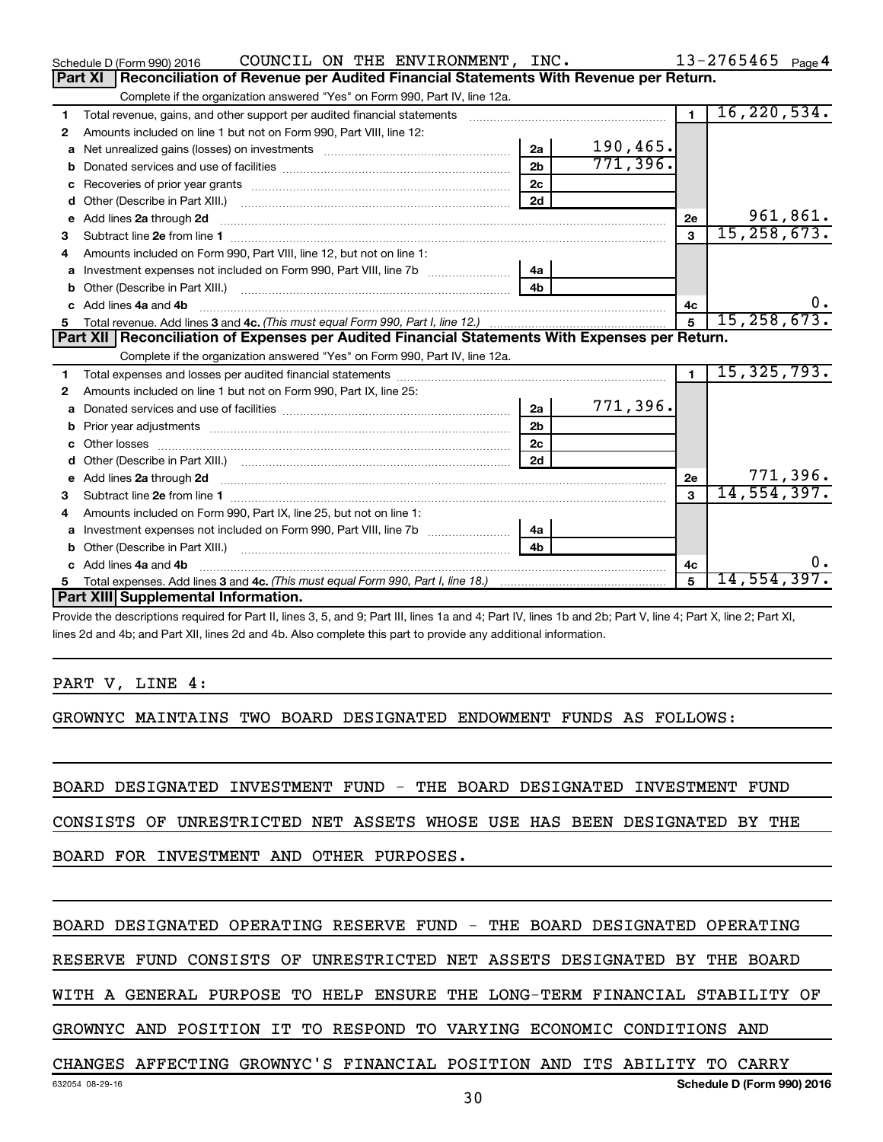|    | COUNCIL ON THE ENVIRONMENT, INC.<br>Schedule D (Form 990) 2016                                                                                                                                                                      |                |          |                | $13 - 2765465$ Page 4 |
|----|-------------------------------------------------------------------------------------------------------------------------------------------------------------------------------------------------------------------------------------|----------------|----------|----------------|-----------------------|
|    | Reconciliation of Revenue per Audited Financial Statements With Revenue per Return.<br>Part XI                                                                                                                                      |                |          |                |                       |
|    | Complete if the organization answered "Yes" on Form 990, Part IV, line 12a.                                                                                                                                                         |                |          |                |                       |
| 1  | Total revenue, gains, and other support per audited financial statements                                                                                                                                                            |                |          | $\blacksquare$ | 16, 220, 534.         |
| 2  | Amounts included on line 1 but not on Form 990, Part VIII, line 12:                                                                                                                                                                 |                |          |                |                       |
| a  |                                                                                                                                                                                                                                     | 2a             | 190,465. |                |                       |
|    |                                                                                                                                                                                                                                     | 2 <sub>b</sub> | 771,396. |                |                       |
|    |                                                                                                                                                                                                                                     | 2c             |          |                |                       |
|    |                                                                                                                                                                                                                                     | 2d             |          |                |                       |
| e  | Add lines 2a through 2d                                                                                                                                                                                                             |                |          | 2е             | 961,861.              |
| З  |                                                                                                                                                                                                                                     |                |          | $\mathbf{a}$   | 15, 258, 673.         |
|    | Amounts included on Form 990, Part VIII, line 12, but not on line 1:                                                                                                                                                                |                |          |                |                       |
| a  |                                                                                                                                                                                                                                     | 4a             |          |                |                       |
|    |                                                                                                                                                                                                                                     | 4 <sub>b</sub> |          |                |                       |
| C. | Add lines 4a and 4b                                                                                                                                                                                                                 |                |          | 4c             | 0.                    |
| 5. |                                                                                                                                                                                                                                     |                |          | 5              | 15, 258, 673.         |
|    | Part XII   Reconciliation of Expenses per Audited Financial Statements With Expenses per Return.                                                                                                                                    |                |          |                |                       |
|    | Complete if the organization answered "Yes" on Form 990, Part IV, line 12a.                                                                                                                                                         |                |          |                |                       |
| 1. |                                                                                                                                                                                                                                     |                |          | $\blacksquare$ | 15,325,793.           |
| 2  | Amounts included on line 1 but not on Form 990, Part IX, line 25:                                                                                                                                                                   |                |          |                |                       |
| a  |                                                                                                                                                                                                                                     | 2a             | 771,396. |                |                       |
|    |                                                                                                                                                                                                                                     | 2 <sub>b</sub> |          |                |                       |
|    |                                                                                                                                                                                                                                     | 2 <sub>c</sub> |          |                |                       |
|    |                                                                                                                                                                                                                                     | 2d             |          |                |                       |
| е  | Add lines 2a through 2d <b>contained a contained a contained a contained a</b> contained a contact the set of the set of the set of the set of the set of the set of the set of the set of the set of the set of the set of the set |                |          | 2е             | 771,396.              |
| 3  |                                                                                                                                                                                                                                     |                |          | 3              | 14, 554, 397.         |
| 4  | Amounts included on Form 990, Part IX, line 25, but not on line 1:                                                                                                                                                                  |                |          |                |                       |
|    | Investment expenses not included on Form 990, Part VIII, line 7b [1000000000000000000000000000000000                                                                                                                                | 4a             |          |                |                       |
|    |                                                                                                                                                                                                                                     |                |          |                |                       |
|    | c Add lines 4a and 4b                                                                                                                                                                                                               |                |          | 4c             | 0.                    |
| 5  |                                                                                                                                                                                                                                     |                |          | $\overline{5}$ | 14,554,397.           |
|    | Part XIII Supplemental Information.                                                                                                                                                                                                 |                |          |                |                       |
|    | Provide the descriptions required for Part II, lines 3, 5, and 9; Part III, lines 1a and 4; Part IV, lines 1b and 2b; Part V, line 4; Part X, line 2; Part XI,                                                                      |                |          |                |                       |
|    | lines 2d and 4b; and Part XII, lines 2d and 4b. Also complete this part to provide any additional information.                                                                                                                      |                |          |                |                       |

#### PART V, LINE 4:

GROWNYC MAINTAINS TWO BOARD DESIGNATED ENDOWMENT FUNDS AS FOLLOWS:

BOARD DESIGNATED INVESTMENT FUND - THE BOARD DESIGNATED INVESTMENT FUND

CONSISTS OF UNRESTRICTED NET ASSETS WHOSE USE HAS BEEN DESIGNATED BY THE

BOARD FOR INVESTMENT AND OTHER PURPOSES.

#### BOARD DESIGNATED OPERATING RESERVE FUND - THE BOARD DESIGNATED OPERATING

RESERVE FUND CONSISTS OF UNRESTRICTED NET ASSETS DESIGNATED BY THE BOARD

WITH A GENERAL PURPOSE TO HELP ENSURE THE LONG-TERM FINANCIAL STABILITY OF

GROWNYC AND POSITION IT TO RESPOND TO VARYING ECONOMIC CONDITIONS AND

# CHANGES AFFECTING GROWNYC'S FINANCIAL POSITION AND ITS ABILITY TO CARRY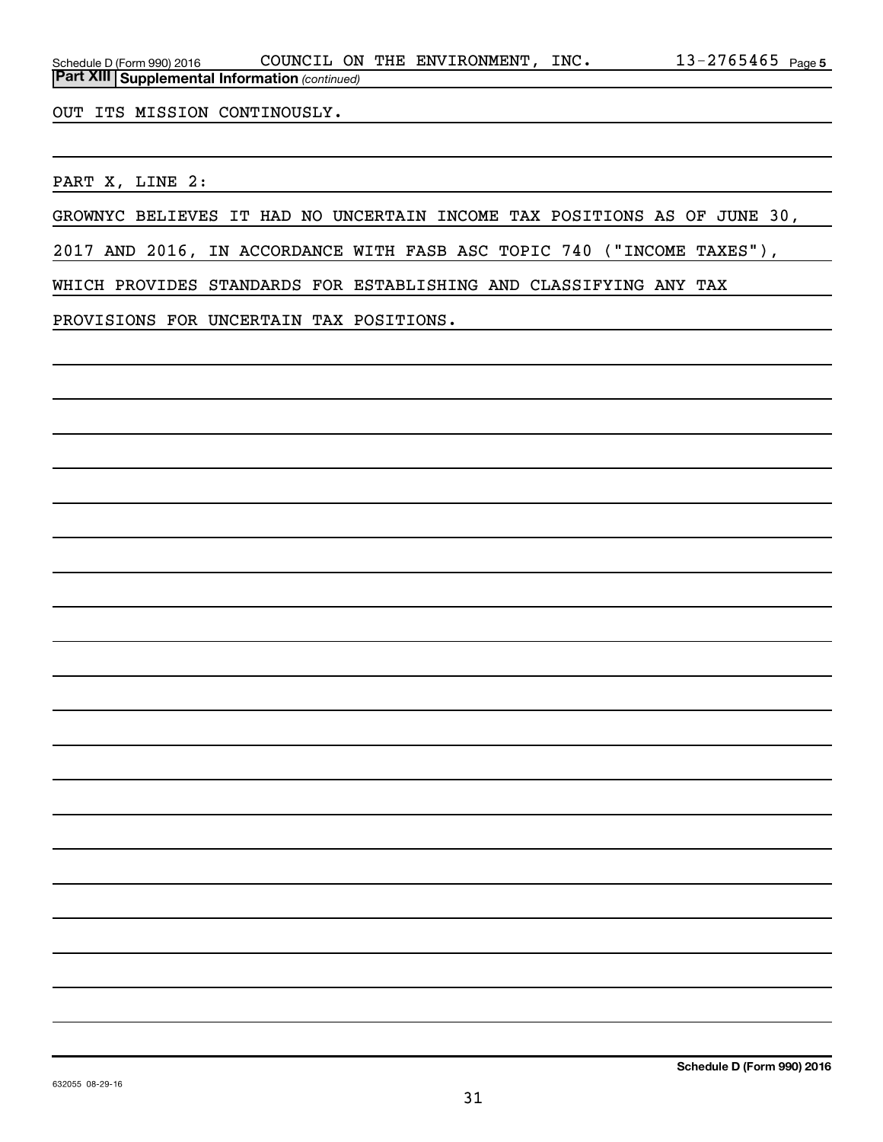OUT ITS MISSION CONTINOUSLY.

PART X, LINE 2:

GROWNYC BELIEVES IT HAD NO UNCERTAIN INCOME TAX POSITIONS AS OF JUNE 30,

2017 AND 2016, IN ACCORDANCE WITH FASB ASC TOPIC 740 ("INCOME TAXES"),

WHICH PROVIDES STANDARDS FOR ESTABLISHING AND CLASSIFYING ANY TAX

PROVISIONS FOR UNCERTAIN TAX POSITIONS.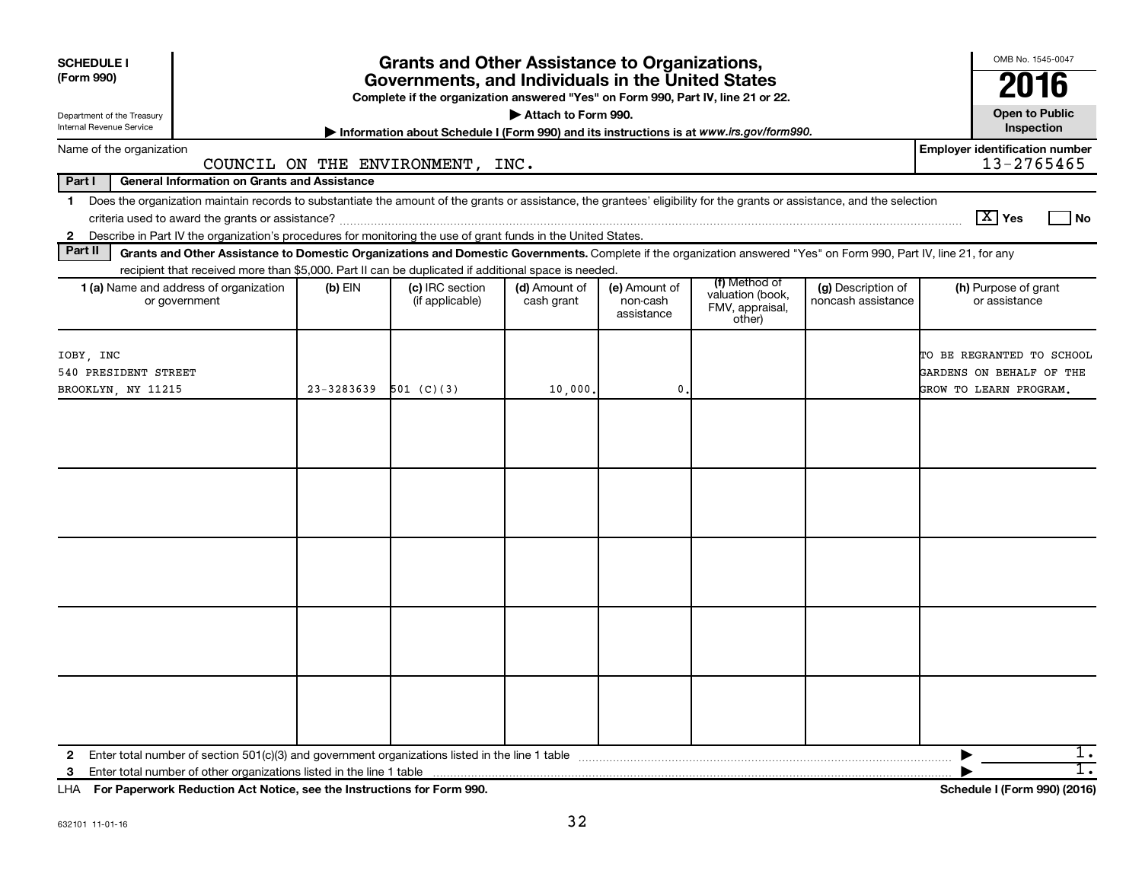| <b>SCHEDULE I</b><br>(Form 990)<br>Department of the Treasury<br>Internal Revenue Service |                                                                                                                                                                            | OMB No. 1545-0047<br>2016<br><b>Open to Public</b><br>Inspection |                                                                                         |                             |                                         |                                                                |                                          |                                                                                 |      |
|-------------------------------------------------------------------------------------------|----------------------------------------------------------------------------------------------------------------------------------------------------------------------------|------------------------------------------------------------------|-----------------------------------------------------------------------------------------|-----------------------------|-----------------------------------------|----------------------------------------------------------------|------------------------------------------|---------------------------------------------------------------------------------|------|
| Name of the organization                                                                  |                                                                                                                                                                            |                                                                  | Information about Schedule I (Form 990) and its instructions is at www.irs.gov/form990. |                             |                                         |                                                                |                                          | <b>Employer identification number</b>                                           |      |
| Part I                                                                                    | <b>General Information on Grants and Assistance</b>                                                                                                                        |                                                                  | COUNCIL ON THE ENVIRONMENT, INC.                                                        |                             |                                         |                                                                |                                          | 13-2765465                                                                      |      |
|                                                                                           | 1 Does the organization maintain records to substantiate the amount of the grants or assistance, the grantees' eligibility for the grants or assistance, and the selection |                                                                  |                                                                                         |                             |                                         |                                                                |                                          |                                                                                 |      |
|                                                                                           |                                                                                                                                                                            |                                                                  |                                                                                         |                             |                                         |                                                                |                                          | $\boxed{\text{X}}$ Yes                                                          | l No |
| $\mathbf{2}$                                                                              | Describe in Part IV the organization's procedures for monitoring the use of grant funds in the United States.                                                              |                                                                  |                                                                                         |                             |                                         |                                                                |                                          |                                                                                 |      |
| Part II                                                                                   | Grants and Other Assistance to Domestic Organizations and Domestic Governments. Complete if the organization answered "Yes" on Form 990, Part IV, line 21, for any         |                                                                  |                                                                                         |                             |                                         |                                                                |                                          |                                                                                 |      |
|                                                                                           | recipient that received more than \$5,000. Part II can be duplicated if additional space is needed.                                                                        |                                                                  |                                                                                         |                             |                                         |                                                                |                                          |                                                                                 |      |
|                                                                                           | <b>1 (a)</b> Name and address of organization<br>or government                                                                                                             | $(b)$ EIN                                                        | (c) IRC section<br>(if applicable)                                                      | (d) Amount of<br>cash grant | (e) Amount of<br>non-cash<br>assistance | (f) Method of<br>valuation (book,<br>FMV, appraisal,<br>other) | (g) Description of<br>noncash assistance | (h) Purpose of grant<br>or assistance                                           |      |
| IOBY, INC<br>540 PRESIDENT STREET<br>BROOKLYN, NY 11215                                   |                                                                                                                                                                            | $23 - 3283639$                                                   | 501 (C)(3)                                                                              | 10,000                      | 0.                                      |                                                                |                                          | TO BE REGRANTED TO SCHOOL<br>GARDENS ON BEHALF OF THE<br>GROW TO LEARN PROGRAM. |      |
|                                                                                           |                                                                                                                                                                            |                                                                  |                                                                                         |                             |                                         |                                                                |                                          |                                                                                 |      |
| $\mathbf{2}$<br>3                                                                         | LHA For Paperwork Reduction Act Notice, see the Instructions for Form 990.                                                                                                 |                                                                  |                                                                                         |                             |                                         |                                                                |                                          | Schedule I (Form 990) (2016)                                                    | 1.   |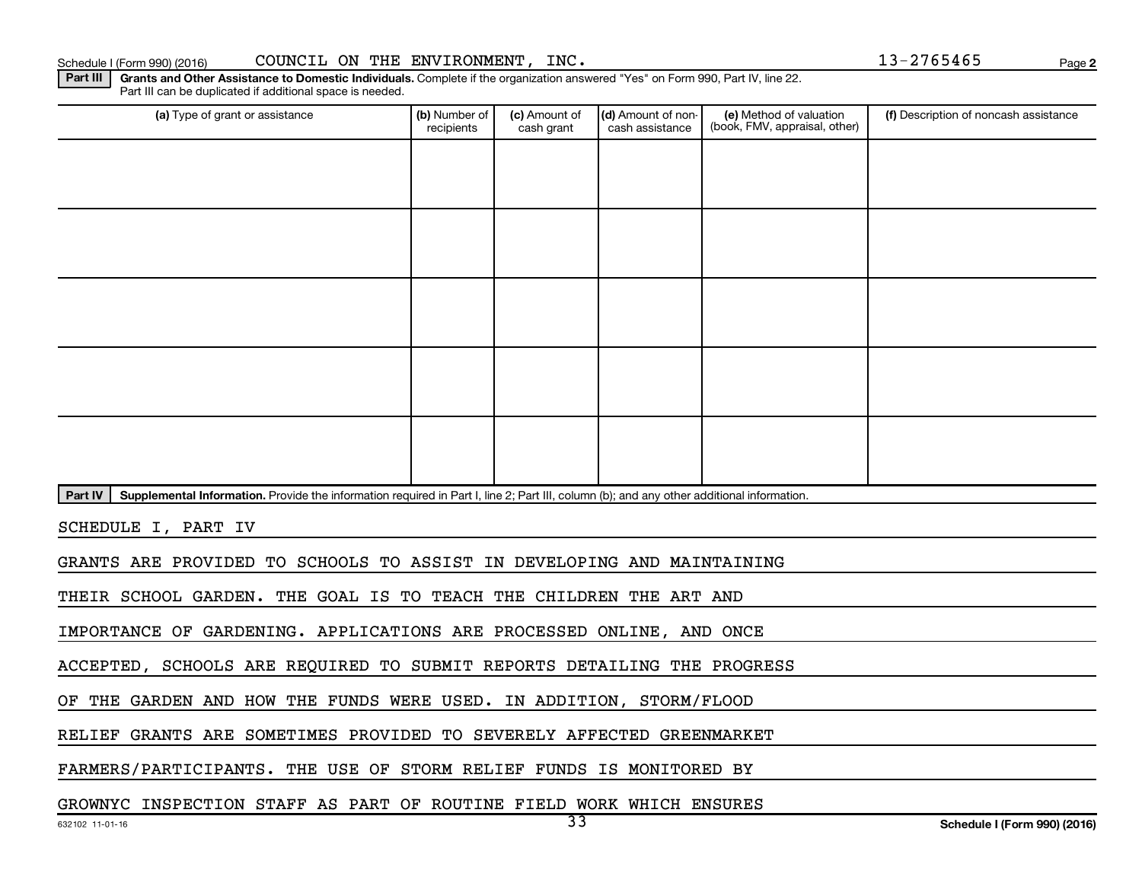**2**

Part III | Grants and Other Assistance to Domestic Individuals. Complete if the organization answered "Yes" on Form 990, Part IV, line 22. Part III can be duplicated if additional space is needed.

| (a) Type of grant or assistance                                                                                                                      | (b) Number of<br>recipients                                            | (c) Amount of<br>cash grant | (d) Amount of non-<br>cash assistance | (e) Method of valuation<br>(book, FMV, appraisal, other) | (f) Description of noncash assistance |  |  |  |  |
|------------------------------------------------------------------------------------------------------------------------------------------------------|------------------------------------------------------------------------|-----------------------------|---------------------------------------|----------------------------------------------------------|---------------------------------------|--|--|--|--|
|                                                                                                                                                      |                                                                        |                             |                                       |                                                          |                                       |  |  |  |  |
|                                                                                                                                                      |                                                                        |                             |                                       |                                                          |                                       |  |  |  |  |
|                                                                                                                                                      |                                                                        |                             |                                       |                                                          |                                       |  |  |  |  |
|                                                                                                                                                      |                                                                        |                             |                                       |                                                          |                                       |  |  |  |  |
|                                                                                                                                                      |                                                                        |                             |                                       |                                                          |                                       |  |  |  |  |
|                                                                                                                                                      |                                                                        |                             |                                       |                                                          |                                       |  |  |  |  |
|                                                                                                                                                      |                                                                        |                             |                                       |                                                          |                                       |  |  |  |  |
|                                                                                                                                                      |                                                                        |                             |                                       |                                                          |                                       |  |  |  |  |
|                                                                                                                                                      |                                                                        |                             |                                       |                                                          |                                       |  |  |  |  |
|                                                                                                                                                      |                                                                        |                             |                                       |                                                          |                                       |  |  |  |  |
| Part IV<br>Supplemental Information. Provide the information required in Part I, line 2; Part III, column (b); and any other additional information. |                                                                        |                             |                                       |                                                          |                                       |  |  |  |  |
| SCHEDULE I, PART IV                                                                                                                                  |                                                                        |                             |                                       |                                                          |                                       |  |  |  |  |
|                                                                                                                                                      | GRANTS ARE PROVIDED TO SCHOOLS TO ASSIST IN DEVELOPING AND MAINTAINING |                             |                                       |                                                          |                                       |  |  |  |  |

THEIR SCHOOL GARDEN. THE GOAL IS TO TEACH THE CHILDREN THE ART AND

IMPORTANCE OF GARDENING. APPLICATIONS ARE PROCESSED ONLINE, AND ONCE

ACCEPTED, SCHOOLS ARE REQUIRED TO SUBMIT REPORTS DETAILING THE PROGRESS

OF THE GARDEN AND HOW THE FUNDS WERE USED. IN ADDITION, STORM/FLOOD

RELIEF GRANTS ARE SOMETIMES PROVIDED TO SEVERELY AFFECTED GREENMARKET

FARMERS/PARTICIPANTS. THE USE OF STORM RELIEF FUNDS IS MONITORED BY

GROWNYC INSPECTION STAFF AS PART OF ROUTINE FIELD WORK WHICH ENSURES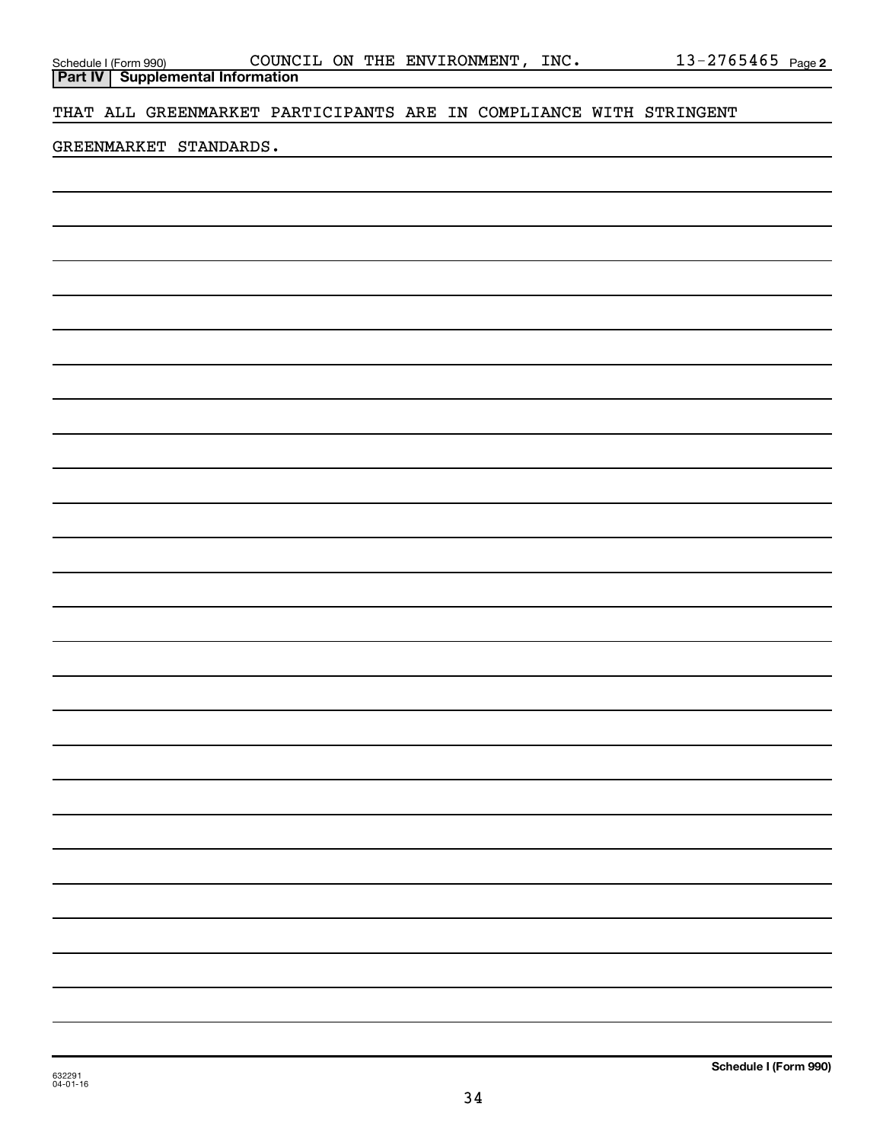**Part IV Supplemental Information**

THAT ALL GREENMARKET PARTICIPANTS ARE IN COMPLIANCE WITH STRINGENT

### GREENMARKET STANDARDS.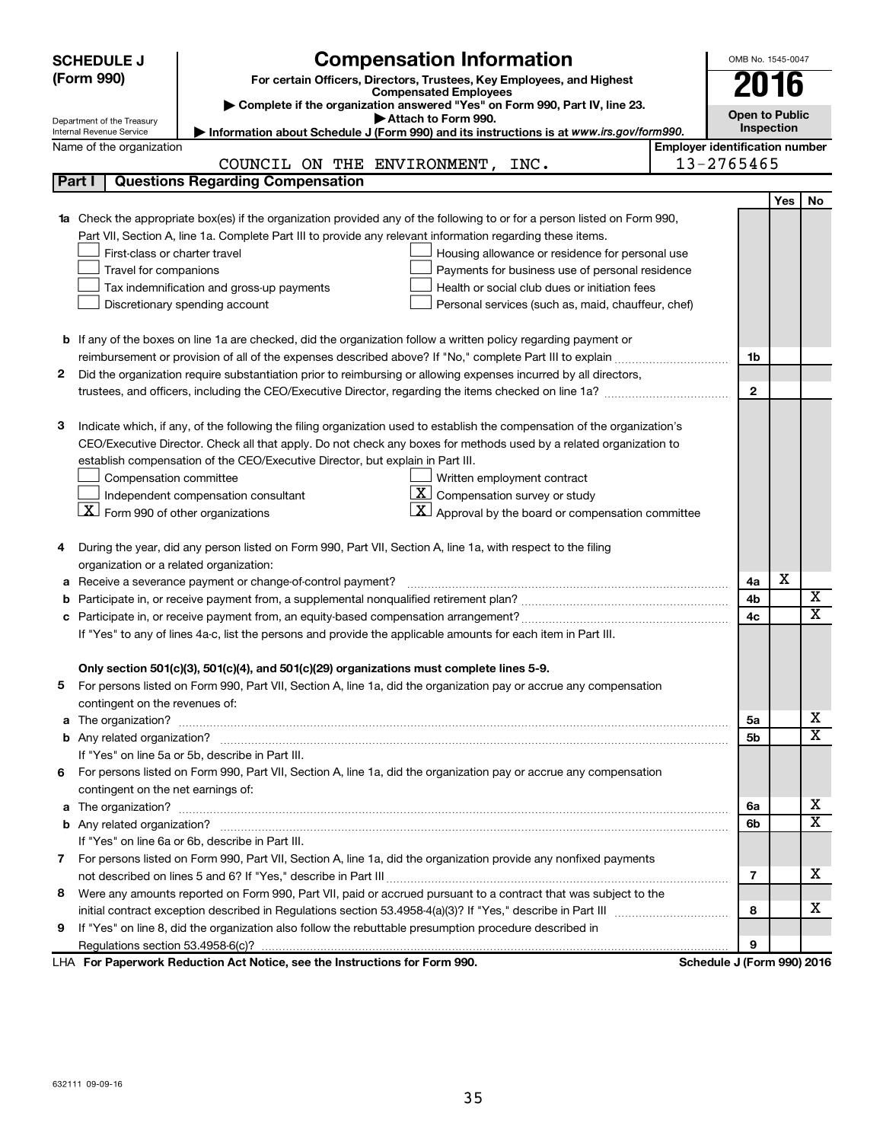|        | <b>SCHEDULE J</b>                              | <b>Compensation Information</b>                                                                                                                                                                                                     |                                       | OMB No. 1545-0047          |     |             |
|--------|------------------------------------------------|-------------------------------------------------------------------------------------------------------------------------------------------------------------------------------------------------------------------------------------|---------------------------------------|----------------------------|-----|-------------|
|        | (Form 990)                                     | For certain Officers, Directors, Trustees, Key Employees, and Highest                                                                                                                                                               |                                       | 2016                       |     |             |
|        |                                                | <b>Compensated Employees</b>                                                                                                                                                                                                        |                                       |                            |     |             |
|        | Department of the Treasury                     | Complete if the organization answered "Yes" on Form 990, Part IV, line 23.<br>Attach to Form 990.                                                                                                                                   |                                       | <b>Open to Public</b>      |     |             |
|        | Internal Revenue Service                       | Information about Schedule J (Form 990) and its instructions is at www.irs.gov/form990.                                                                                                                                             |                                       | Inspection                 |     |             |
|        | Name of the organization                       |                                                                                                                                                                                                                                     | <b>Employer identification number</b> |                            |     |             |
|        |                                                | COUNCIL ON THE ENVIRONMENT, INC.                                                                                                                                                                                                    |                                       | 13-2765465                 |     |             |
|        | Part I                                         | <b>Questions Regarding Compensation</b>                                                                                                                                                                                             |                                       |                            |     |             |
|        |                                                |                                                                                                                                                                                                                                     |                                       |                            | Yes | No          |
|        |                                                | 1a Check the appropriate box(es) if the organization provided any of the following to or for a person listed on Form 990,                                                                                                           |                                       |                            |     |             |
|        |                                                | Part VII, Section A, line 1a. Complete Part III to provide any relevant information regarding these items.                                                                                                                          |                                       |                            |     |             |
|        | First-class or charter travel                  | Housing allowance or residence for personal use                                                                                                                                                                                     |                                       |                            |     |             |
|        | Travel for companions                          | Payments for business use of personal residence                                                                                                                                                                                     |                                       |                            |     |             |
|        |                                                | Tax indemnification and gross-up payments<br>Health or social club dues or initiation fees                                                                                                                                          |                                       |                            |     |             |
|        |                                                | Discretionary spending account<br>Personal services (such as, maid, chauffeur, chef)                                                                                                                                                |                                       |                            |     |             |
|        |                                                |                                                                                                                                                                                                                                     |                                       |                            |     |             |
|        |                                                | <b>b</b> If any of the boxes on line 1a are checked, did the organization follow a written policy regarding payment or                                                                                                              |                                       |                            |     |             |
|        |                                                |                                                                                                                                                                                                                                     |                                       | 1b                         |     |             |
| 2      |                                                | Did the organization require substantiation prior to reimbursing or allowing expenses incurred by all directors,                                                                                                                    |                                       |                            |     |             |
|        |                                                | trustees, and officers, including the CEO/Executive Director, regarding the items checked on line 1a?                                                                                                                               |                                       | $\mathbf{2}$               |     |             |
|        |                                                |                                                                                                                                                                                                                                     |                                       |                            |     |             |
| З      |                                                | Indicate which, if any, of the following the filing organization used to establish the compensation of the organization's                                                                                                           |                                       |                            |     |             |
|        |                                                | CEO/Executive Director. Check all that apply. Do not check any boxes for methods used by a related organization to                                                                                                                  |                                       |                            |     |             |
|        |                                                | establish compensation of the CEO/Executive Director, but explain in Part III.                                                                                                                                                      |                                       |                            |     |             |
|        | Compensation committee                         | Written employment contract                                                                                                                                                                                                         |                                       |                            |     |             |
|        |                                                | $ \mathbf{X} $ Compensation survey or study<br>Independent compensation consultant                                                                                                                                                  |                                       |                            |     |             |
|        | $ \mathbf{X} $ Form 990 of other organizations | $ \mathbf{X} $ Approval by the board or compensation committee                                                                                                                                                                      |                                       |                            |     |             |
|        |                                                | During the year, did any person listed on Form 990, Part VII, Section A, line 1a, with respect to the filing                                                                                                                        |                                       |                            |     |             |
| 4      | organization or a related organization:        |                                                                                                                                                                                                                                     |                                       |                            |     |             |
|        |                                                | Receive a severance payment or change-of-control payment?                                                                                                                                                                           |                                       | 4a                         | х   |             |
| а<br>b |                                                |                                                                                                                                                                                                                                     |                                       | 4b                         |     | х           |
|        |                                                |                                                                                                                                                                                                                                     |                                       | 4c                         |     | $\mathbf x$ |
|        |                                                | If "Yes" to any of lines 4a-c, list the persons and provide the applicable amounts for each item in Part III.                                                                                                                       |                                       |                            |     |             |
|        |                                                |                                                                                                                                                                                                                                     |                                       |                            |     |             |
|        |                                                | Only section 501(c)(3), 501(c)(4), and 501(c)(29) organizations must complete lines 5-9.                                                                                                                                            |                                       |                            |     |             |
|        |                                                | For persons listed on Form 990, Part VII, Section A, line 1a, did the organization pay or accrue any compensation                                                                                                                   |                                       |                            |     |             |
|        | contingent on the revenues of:                 |                                                                                                                                                                                                                                     |                                       |                            |     |             |
|        |                                                | a The organization? <b>contracts</b> and contracts are contracted and contract and contract and contract and contract and contract and contract and contract and contract and contract and contract and contract and contract and c |                                       | 5а                         |     | х           |
|        |                                                |                                                                                                                                                                                                                                     |                                       | 5b                         |     | x           |
|        |                                                | If "Yes" on line 5a or 5b, describe in Part III.                                                                                                                                                                                    |                                       |                            |     |             |
|        |                                                | 6 For persons listed on Form 990, Part VII, Section A, line 1a, did the organization pay or accrue any compensation                                                                                                                 |                                       |                            |     |             |
|        | contingent on the net earnings of:             |                                                                                                                                                                                                                                     |                                       |                            |     |             |
|        |                                                |                                                                                                                                                                                                                                     |                                       | 6a                         |     | х           |
|        |                                                |                                                                                                                                                                                                                                     |                                       | 6b                         |     | x           |
|        |                                                | If "Yes" on line 6a or 6b, describe in Part III.                                                                                                                                                                                    |                                       |                            |     |             |
|        |                                                | 7 For persons listed on Form 990, Part VII, Section A, line 1a, did the organization provide any nonfixed payments                                                                                                                  |                                       |                            |     |             |
|        |                                                |                                                                                                                                                                                                                                     |                                       | 7                          |     | х           |
| 8      |                                                | Were any amounts reported on Form 990, Part VII, paid or accrued pursuant to a contract that was subject to the                                                                                                                     |                                       |                            |     |             |
|        |                                                |                                                                                                                                                                                                                                     |                                       | 8                          |     | х           |
| 9      |                                                | If "Yes" on line 8, did the organization also follow the rebuttable presumption procedure described in                                                                                                                              |                                       |                            |     |             |
|        |                                                |                                                                                                                                                                                                                                     |                                       | 9                          |     |             |
|        |                                                | LHA For Paperwork Reduction Act Notice, see the Instructions for Form 990.                                                                                                                                                          |                                       | Schedule J (Form 990) 2016 |     |             |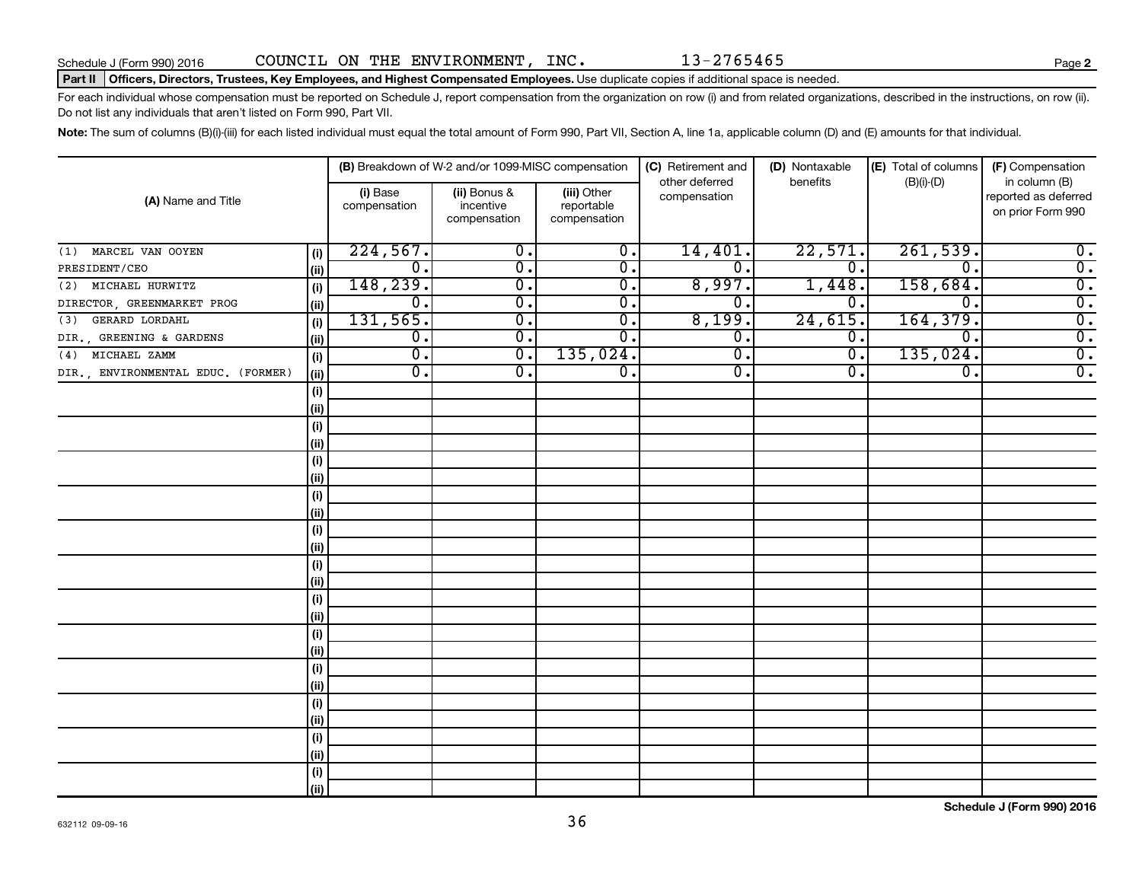**2**

#### Part II | Officers, Directors, Trustees, Key Employees, and Highest Compensated Employees. Use duplicate copies if additional space is needed.

For each individual whose compensation must be reported on Schedule J, report compensation from the organization on row (i) and from related organizations, described in the instructions, on row (ii). Do not list any individuals that aren't listed on Form 990, Part VII.

Note: The sum of columns (B)(i)-(iii) for each listed individual must equal the total amount of Form 990, Part VII, Section A, line 1a, applicable column (D) and (E) amounts for that individual.

|                                    |      |                          | (B) Breakdown of W-2 and/or 1099-MISC compensation |                                           | (C) Retirement and             | (D) Nontaxable              | (E) Total of columns | (F) Compensation                                           |
|------------------------------------|------|--------------------------|----------------------------------------------------|-------------------------------------------|--------------------------------|-----------------------------|----------------------|------------------------------------------------------------|
| (A) Name and Title                 |      | (i) Base<br>compensation | (ii) Bonus &<br>incentive<br>compensation          | (iii) Other<br>reportable<br>compensation | other deferred<br>compensation | benefits                    | $(B)(i)-(D)$         | in column (B)<br>reported as deferred<br>on prior Form 990 |
| MARCEL VAN OOYEN<br>(1)            | (i)  | 224,567.                 | $\overline{\mathbf{0}}$ .                          | $\overline{0}$ .                          | 14,401.                        | 22,571.                     | 261,539.             | $0$ .                                                      |
| PRESIDENT/CEO                      | (ii) | $\overline{0}$ .         | $\overline{0}$ .                                   | $\overline{0}$ .                          | $\overline{0}$                 | $\overline{0}$ .            | $\overline{0}$ .     | $\overline{0}$ .                                           |
| MICHAEL HURWITZ<br>(2)             | (i)  | 148,239.                 | $\overline{0}$ .                                   | $\overline{0}$ .                          | 8,997.                         | 1,448.                      | 158,684.             | $\overline{\mathbf{0}}$ .                                  |
| DIRECTOR, GREENMARKET PROG         | (ii) | $\overline{0}$ .         | σ.                                                 | $\overline{0}$ .                          | $\mathbf 0$ .                  | $\overline{0}$ .            | $\overline{0}$ .     | $\overline{\mathbf{0}}$ .                                  |
| GERARD LORDAHL<br>(3)              | (i)  | 131,565.                 | $\overline{0}$ .                                   | $\overline{0}$ .                          | 8,199.                         | 24,615.                     | 164, 379.            | $\overline{\mathbf{0}}$ .                                  |
| DIR., GREENING & GARDENS           | (i)  | $\overline{0}$ .         | $\overline{0}$ .                                   | 0.                                        | $0 \, .$                       | $\overline{0}$ .            | σ.                   | $\overline{\mathbf{0}}$ .                                  |
| MICHAEL ZAMM<br>(4)                | (i)  | σ.                       | $\overline{0}$ .                                   | 135,024.                                  | $\overline{0}$ .               | $\overline{\mathfrak{o}}$ . | 135,024.             | $\overline{\mathbf{0}}$ .                                  |
| DIR., ENVIRONMENTAL EDUC. (FORMER) | (ii) | $\overline{0}$ .         | 0.                                                 | 0.                                        | $\overline{0}$ .               | О.                          | σ.                   | $\overline{0}$ .                                           |
|                                    | (i)  |                          |                                                    |                                           |                                |                             |                      |                                                            |
|                                    | (i)  |                          |                                                    |                                           |                                |                             |                      |                                                            |
|                                    | (i)  |                          |                                                    |                                           |                                |                             |                      |                                                            |
|                                    | (i)  |                          |                                                    |                                           |                                |                             |                      |                                                            |
|                                    | (i)  |                          |                                                    |                                           |                                |                             |                      |                                                            |
|                                    | (ii) |                          |                                                    |                                           |                                |                             |                      |                                                            |
|                                    | (i)  |                          |                                                    |                                           |                                |                             |                      |                                                            |
|                                    | (ii) |                          |                                                    |                                           |                                |                             |                      |                                                            |
|                                    | (i)  |                          |                                                    |                                           |                                |                             |                      |                                                            |
|                                    | (ii) |                          |                                                    |                                           |                                |                             |                      |                                                            |
|                                    | (i)  |                          |                                                    |                                           |                                |                             |                      |                                                            |
|                                    | (ii) |                          |                                                    |                                           |                                |                             |                      |                                                            |
|                                    | (i)  |                          |                                                    |                                           |                                |                             |                      |                                                            |
|                                    | (ii) |                          |                                                    |                                           |                                |                             |                      |                                                            |
|                                    | (i)  |                          |                                                    |                                           |                                |                             |                      |                                                            |
|                                    | (ii) |                          |                                                    |                                           |                                |                             |                      |                                                            |
|                                    | (i)  |                          |                                                    |                                           |                                |                             |                      |                                                            |
|                                    | (ii) |                          |                                                    |                                           |                                |                             |                      |                                                            |
|                                    | (i)  |                          |                                                    |                                           |                                |                             |                      |                                                            |
|                                    | (ii) |                          |                                                    |                                           |                                |                             |                      |                                                            |
|                                    | (i)  |                          |                                                    |                                           |                                |                             |                      |                                                            |
|                                    | (ii) |                          |                                                    |                                           |                                |                             |                      |                                                            |
|                                    | (i)  |                          |                                                    |                                           |                                |                             |                      |                                                            |
|                                    | (ii) |                          |                                                    |                                           |                                |                             |                      |                                                            |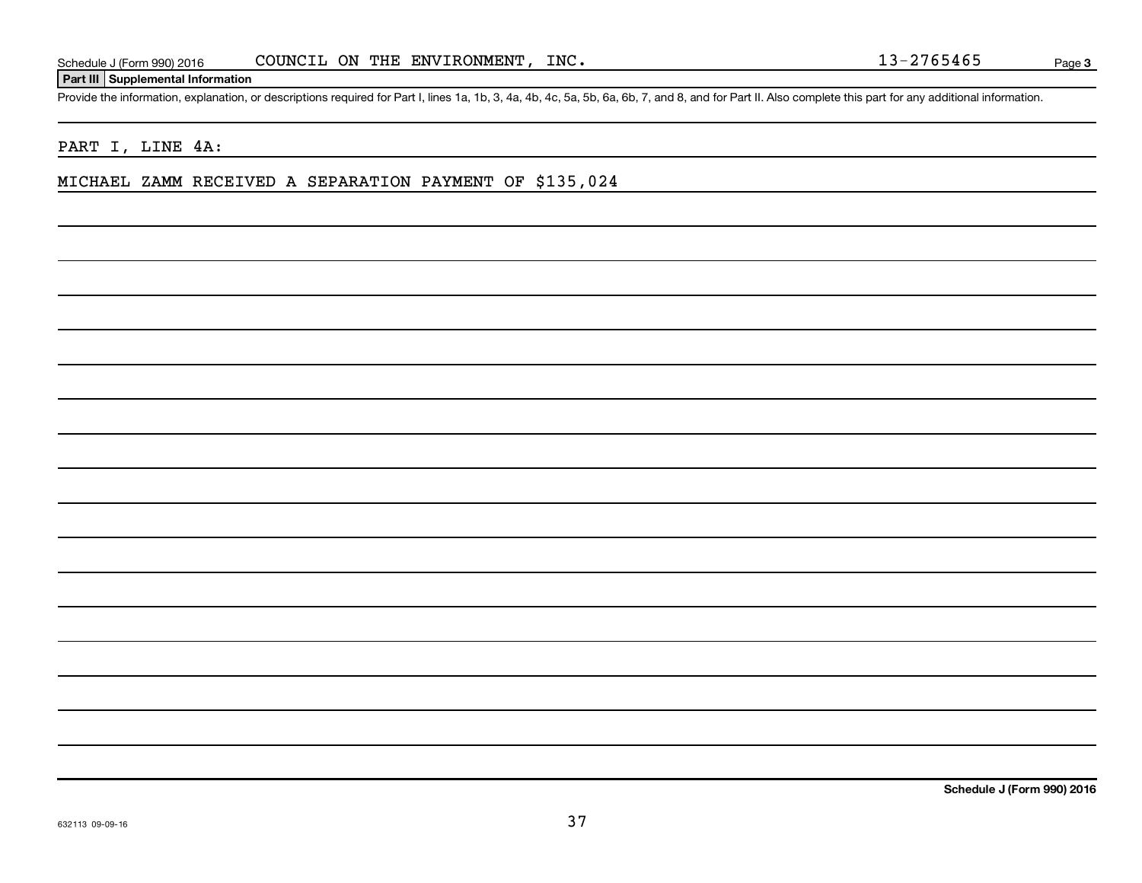#### **Part III Supplemental Information**

Provide the information, explanation, or descriptions required for Part I, lines 1a, 1b, 3, 4a, 4b, 4c, 5a, 5b, 6a, 6b, 7, and 8, and for Part II. Also complete this part for any additional information.

#### PART I, LINE 4A:

#### MICHAEL ZAMM RECEIVED A SEPARATION PAYMENT OF \$135,024

**Schedule J (Form 990) 2016**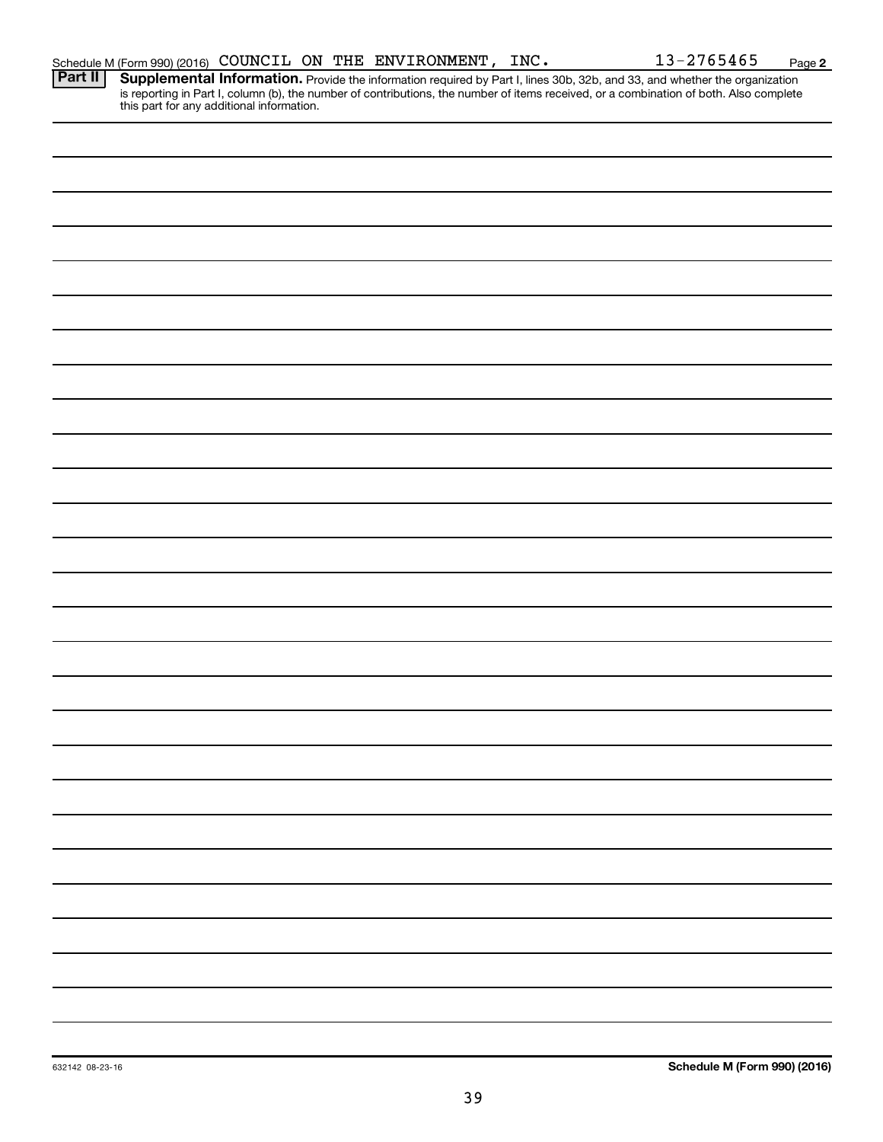| Schedule M (Form 990) (2016) COUNCIL ON THE ENVIRONMENT, |  |  |  | INC. | $-2765465$<br>$12-$ | Page |  |
|----------------------------------------------------------|--|--|--|------|---------------------|------|--|
|----------------------------------------------------------|--|--|--|------|---------------------|------|--|

**2**

Provide the information required by Part I, lines 30b, 32b, and 33, and whether the organization is reporting in Part I, column (b), the number of contributions, the number of items received, or a combination of both. Also complete this part for any additional information. **Part II Supplemental Information.**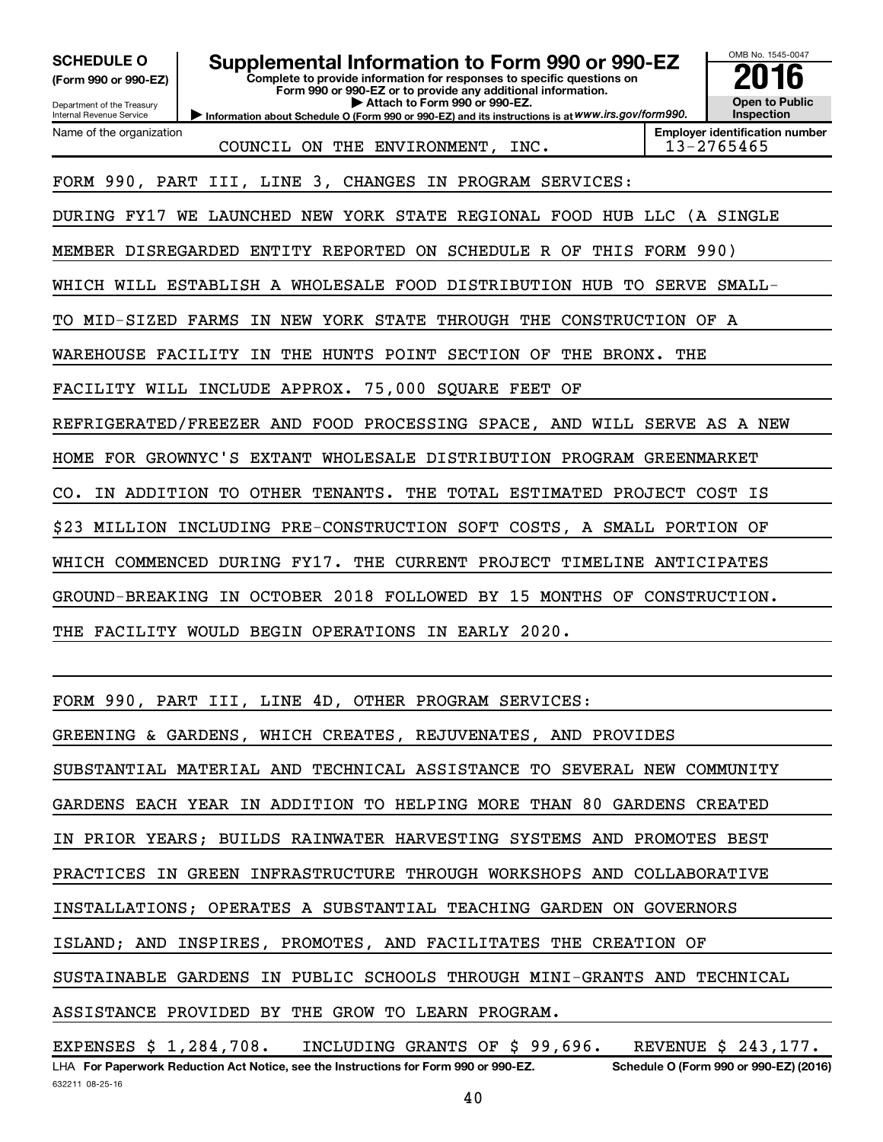OMB No. 1545-0047 Department of the Treasury Internal Revenue Service **Information about Schedule O (Form 990 or 990-EZ) and its instructions is at WWW.irs.gov/form990. Complete to provide information for responses to specific questions on Form 990 or 990-EZ or to provide any additional information. | Attach to Form 990 or 990-EZ. (Form 990 or 990-EZ) Open to Public Inspection Employer identification number** Name of the organization **SCHEDULE O Supplemental Information to Form 990 or 990-EZ 2016** COUNCIL ON THE ENVIRONMENT, INC. 13-2765465 FORM 990, PART III, LINE 3, CHANGES IN PROGRAM SERVICES: DURING FY17 WE LAUNCHED NEW YORK STATE REGIONAL FOOD HUB LLC (A SINGLE MEMBER DISREGARDED ENTITY REPORTED ON SCHEDULE R OF THIS FORM 990) WHICH WILL ESTABLISH A WHOLESALE FOOD DISTRIBUTION HUB TO SERVE SMALL-TO MID-SIZED FARMS IN NEW YORK STATE THROUGH THE CONSTRUCTION OF A WAREHOUSE FACILITY IN THE HUNTS POINT SECTION OF THE BRONX. THE FACILITY WILL INCLUDE APPROX. 75,000 SQUARE FEET OF REFRIGERATED/FREEZER AND FOOD PROCESSING SPACE, AND WILL SERVE AS A NEW HOME FOR GROWNYC'S EXTANT WHOLESALE DISTRIBUTION PROGRAM GREENMARKET CO. IN ADDITION TO OTHER TENANTS. THE TOTAL ESTIMATED PROJECT COST IS \$23 MILLION INCLUDING PRE-CONSTRUCTION SOFT COSTS, A SMALL PORTION OF WHICH COMMENCED DURING FY17. THE CURRENT PROJECT TIMELINE ANTICIPATES GROUND-BREAKING IN OCTOBER 2018 FOLLOWED BY 15 MONTHS OF CONSTRUCTION. THE FACILITY WOULD BEGIN OPERATIONS IN EARLY 2020. FORM 990, PART III, LINE 4D, OTHER PROGRAM SERVICES: GREENING & GARDENS, WHICH CREATES, REJUVENATES, AND PROVIDES

SUBSTANTIAL MATERIAL AND TECHNICAL ASSISTANCE TO SEVERAL NEW COMMUNITY

GARDENS EACH YEAR IN ADDITION TO HELPING MORE THAN 80 GARDENS CREATED

IN PRIOR YEARS; BUILDS RAINWATER HARVESTING SYSTEMS AND PROMOTES BEST

PRACTICES IN GREEN INFRASTRUCTURE THROUGH WORKSHOPS AND COLLABORATIVE

INSTALLATIONS; OPERATES A SUBSTANTIAL TEACHING GARDEN ON GOVERNORS

ISLAND; AND INSPIRES, PROMOTES, AND FACILITATES THE CREATION OF

SUSTAINABLE GARDENS IN PUBLIC SCHOOLS THROUGH MINI-GRANTS AND TECHNICAL

ASSISTANCE PROVIDED BY THE GROW TO LEARN PROGRAM.

632211 08-25-16 LHA For Paperwork Reduction Act Notice, see the Instructions for Form 990 or 990-EZ. Schedule O (Form 990 or 990-EZ) (2016) EXPENSES \$ 1,284,708. INCLUDING GRANTS OF \$ 99,696. REVENUE \$ 243,177.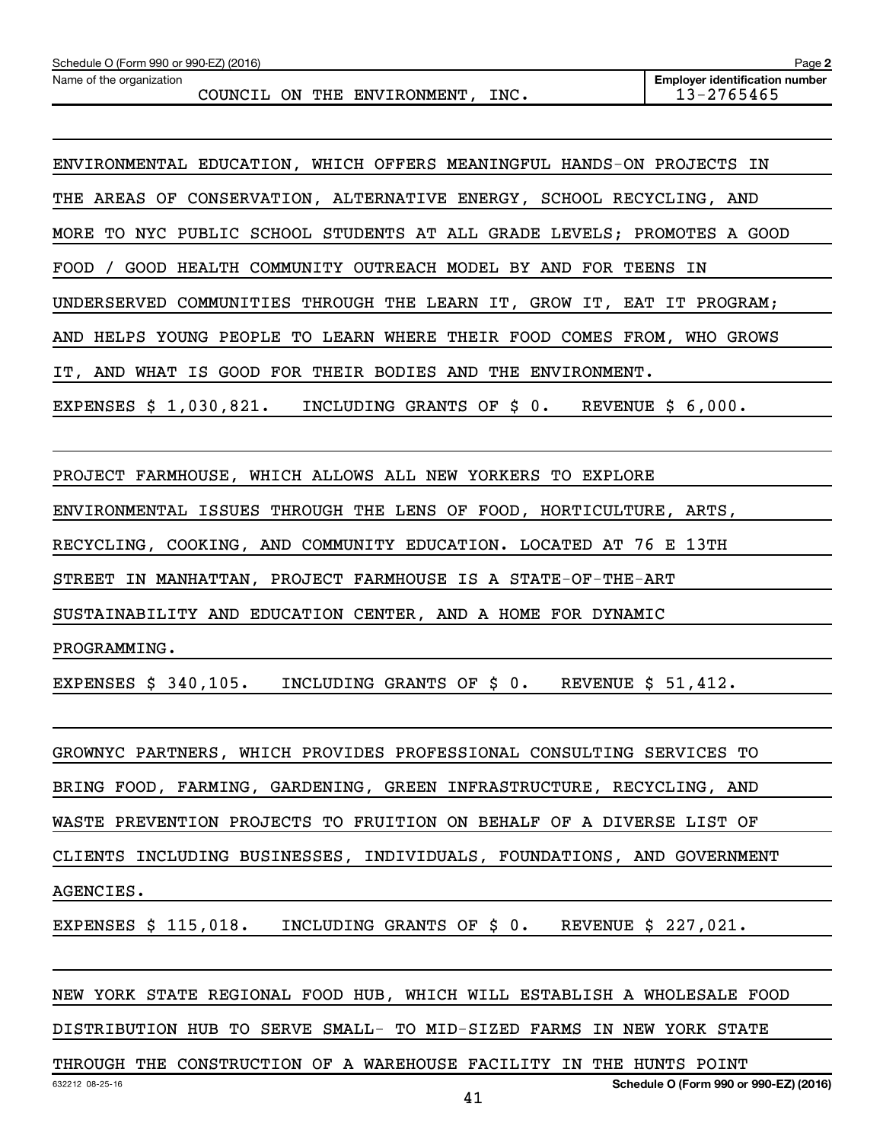ENVIRONMENTAL EDUCATION, WHICH OFFERS MEANINGFUL HANDS-ON PROJECTS IN THE AREAS OF CONSERVATION, ALTERNATIVE ENERGY, SCHOOL RECYCLING, AND MORE TO NYC PUBLIC SCHOOL STUDENTS AT ALL GRADE LEVELS; PROMOTES A GOOD FOOD / GOOD HEALTH COMMUNITY OUTREACH MODEL BY AND FOR TEENS IN UNDERSERVED COMMUNITIES THROUGH THE LEARN IT, GROW IT, EAT IT PROGRAM; AND HELPS YOUNG PEOPLE TO LEARN WHERE THEIR FOOD COMES FROM, WHO GROWS IT, AND WHAT IS GOOD FOR THEIR BODIES AND THE ENVIRONMENT. EXPENSES \$ 1,030,821. INCLUDING GRANTS OF \$ 0. REVENUE \$ 6,000.

PROJECT FARMHOUSE, WHICH ALLOWS ALL NEW YORKERS TO EXPLORE

ENVIRONMENTAL ISSUES THROUGH THE LENS OF FOOD, HORTICULTURE, ARTS,

RECYCLING, COOKING, AND COMMUNITY EDUCATION. LOCATED AT 76 E 13TH

STREET IN MANHATTAN, PROJECT FARMHOUSE IS A STATE-OF-THE-ART

SUSTAINABILITY AND EDUCATION CENTER, AND A HOME FOR DYNAMIC

PROGRAMMING.

EXPENSES \$ 340,105. INCLUDING GRANTS OF \$ 0. REVENUE \$ 51,412.

GROWNYC PARTNERS, WHICH PROVIDES PROFESSIONAL CONSULTING SERVICES TO BRING FOOD, FARMING, GARDENING, GREEN INFRASTRUCTURE, RECYCLING, AND WASTE PREVENTION PROJECTS TO FRUITION ON BEHALF OF A DIVERSE LIST OF CLIENTS INCLUDING BUSINESSES, INDIVIDUALS, FOUNDATIONS, AND GOVERNMENT AGENCIES.

EXPENSES \$ 115,018. INCLUDING GRANTS OF \$ 0. REVENUE \$ 227,021.

NEW YORK STATE REGIONAL FOOD HUB, WHICH WILL ESTABLISH A WHOLESALE FOOD DISTRIBUTION HUB TO SERVE SMALL- TO MID-SIZED FARMS IN NEW YORK STATE

## THROUGH THE CONSTRUCTION OF A WAREHOUSE FACILITY IN THE HUNTS POINT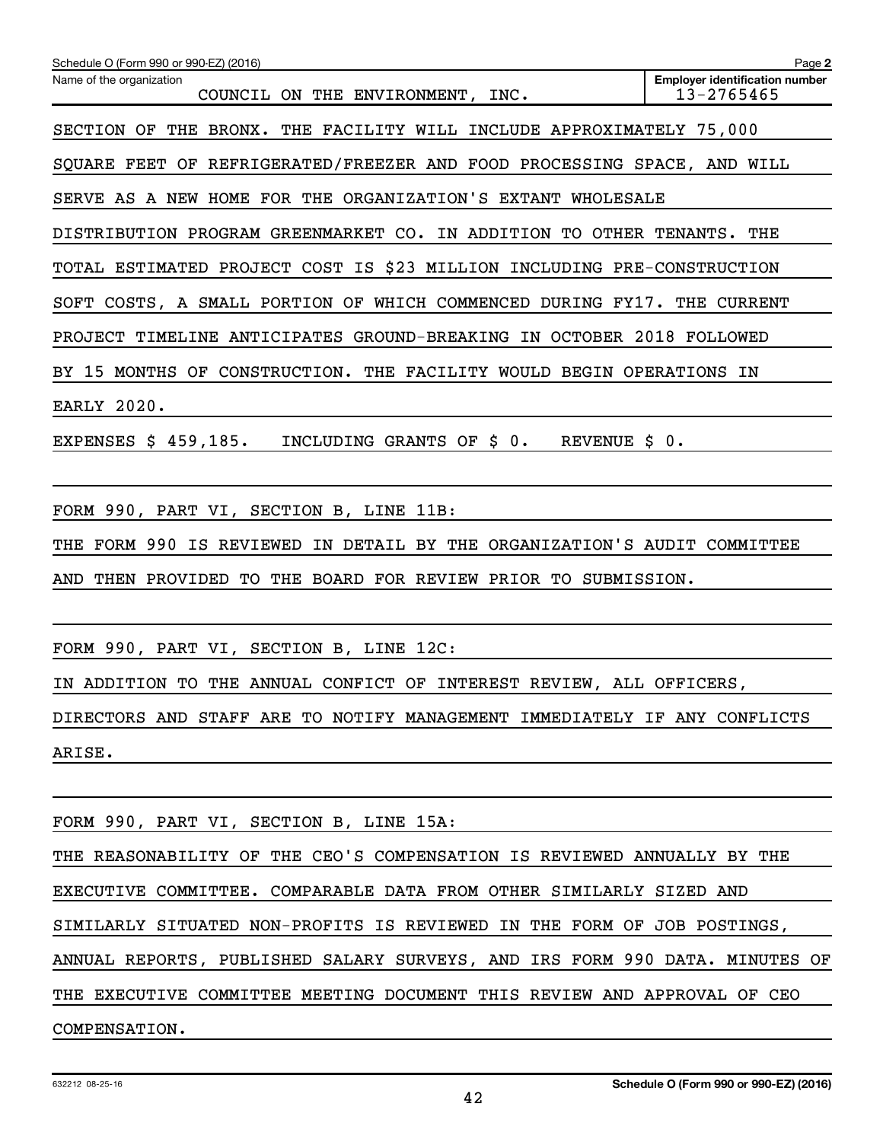| Schedule O (Form 990 or 990-EZ) (2016)                                         | Page 2                                              |
|--------------------------------------------------------------------------------|-----------------------------------------------------|
| Name of the organization<br>COUNCIL ON THE ENVIRONMENT, INC.                   | <b>Employer identification number</b><br>13-2765465 |
| SECTION OF THE BRONX. THE FACILITY WILL INCLUDE APPROXIMATELY 75,000           |                                                     |
| SQUARE FEET OF REFRIGERATED/FREEZER AND FOOD PROCESSING SPACE, AND WILL        |                                                     |
| SERVE AS A NEW HOME FOR THE ORGANIZATION'S EXTANT WHOLESALE                    |                                                     |
| DISTRIBUTION PROGRAM GREENMARKET CO. IN ADDITION TO OTHER TENANTS. THE         |                                                     |
| TOTAL ESTIMATED PROJECT COST IS \$23 MILLION INCLUDING PRE-CONSTRUCTION        |                                                     |
| SOFT COSTS, A SMALL PORTION OF WHICH COMMENCED DURING FY17. THE CURRENT        |                                                     |
| PROJECT TIMELINE ANTICIPATES GROUND-BREAKING IN OCTOBER 2018 FOLLOWED          |                                                     |
| BY 15 MONTHS OF CONSTRUCTION. THE FACILITY WOULD BEGIN OPERATIONS IN           |                                                     |
| <b>EARLY 2020.</b>                                                             |                                                     |
| EXPENSES $\sharp$ 459,185. INCLUDING GRANTS OF $\sharp$ 0. REVENUE $\sharp$ 0. |                                                     |
|                                                                                |                                                     |
| FORM 990, PART VI, SECTION B, LINE 11B:                                        |                                                     |
| THE FORM 990 IS REVIEWED IN DETAIL BY THE ORGANIZATION'S AUDIT COMMITTEE       |                                                     |
| AND THEN PROVIDED TO THE BOARD FOR REVIEW PRIOR TO SUBMISSION.                 |                                                     |
|                                                                                |                                                     |
| FORM 990, PART VI, SECTION B, LINE 12C:                                        |                                                     |
| IN ADDITION TO THE ANNUAL CONFICT OF INTEREST REVIEW, ALL OFFICERS,            |                                                     |
| DIRECTORS AND STAFF ARE TO NOTIFY MANAGEMENT IMMEDIATELY IF ANY CONFLICTS      |                                                     |
| ARISE.                                                                         |                                                     |
|                                                                                |                                                     |
| FORM 990, PART VI, SECTION B, LINE 15A:                                        |                                                     |
| THE REASONABILITY OF THE CEO'S COMPENSATION IS REVIEWED ANNUALLY BY THE        |                                                     |
| EXECUTIVE COMMITTEE. COMPARABLE DATA FROM OTHER SIMILARLY SIZED AND            |                                                     |
| SIMILARLY SITUATED NON-PROFITS IS REVIEWED IN THE FORM OF JOB POSTINGS,        |                                                     |
| ANNUAL REPORTS, PUBLISHED SALARY SURVEYS, AND IRS FORM 990 DATA. MINUTES OF    |                                                     |
| THE EXECUTIVE COMMITTEE MEETING DOCUMENT THIS REVIEW AND APPROVAL OF CEO       |                                                     |
| COMPENSATION.                                                                  |                                                     |
|                                                                                |                                                     |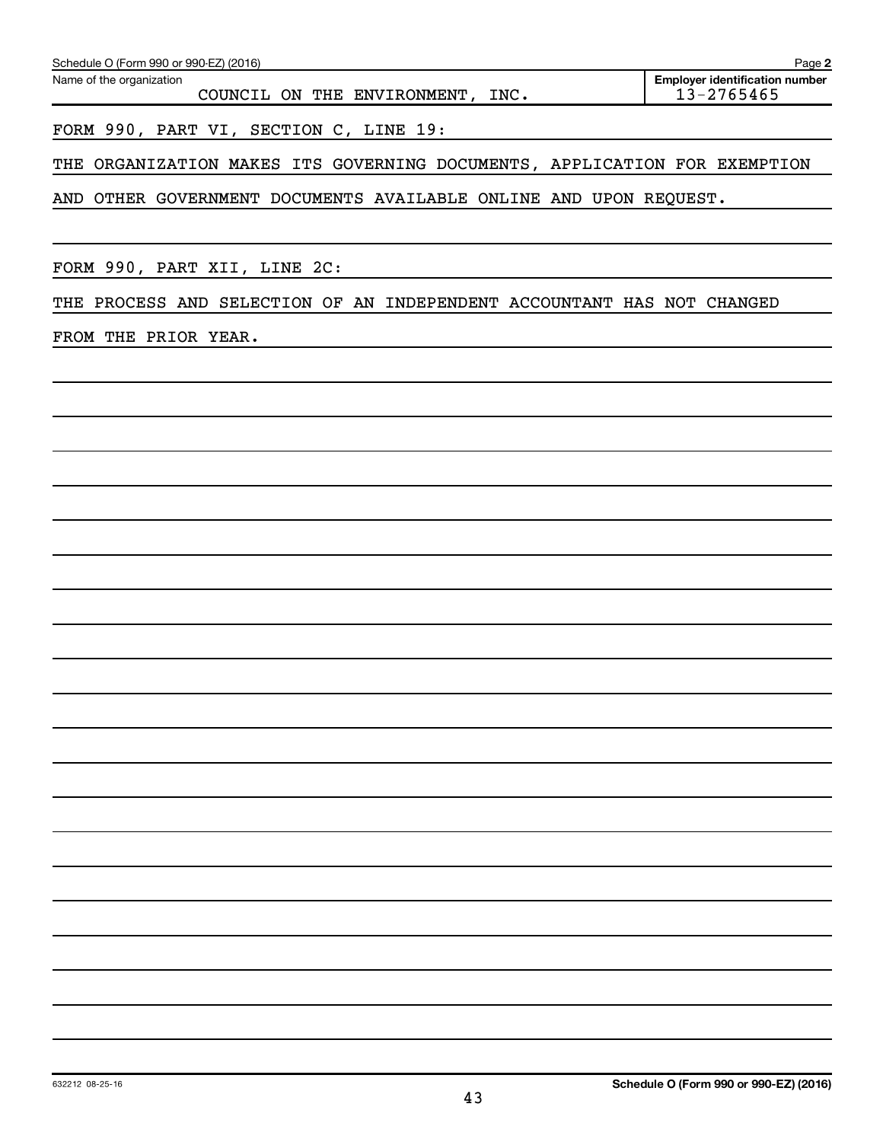FORM 990, PART VI, SECTION C, LINE 19:

THE ORGANIZATION MAKES ITS GOVERNING DOCUMENTS, APPLICATION FOR EXEMPTION

AND OTHER GOVERNMENT DOCUMENTS AVAILABLE ONLINE AND UPON REQUEST.

FORM 990, PART XII, LINE 2C:

THE PROCESS AND SELECTION OF AN INDEPENDENT ACCOUNTANT HAS NOT CHANGED

FROM THE PRIOR YEAR.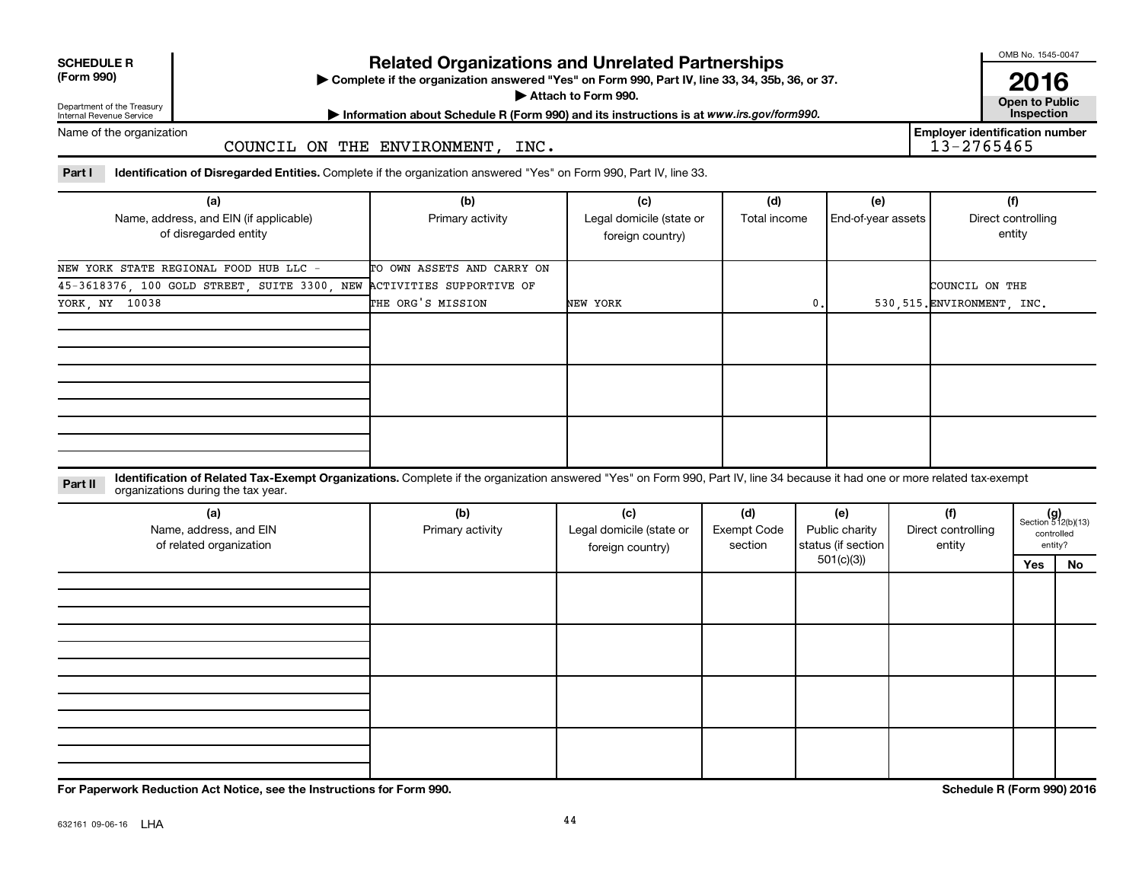# **SCHEDULE R**

## **Related Organizations and Unrelated Partnerships**

**(Form 990) Complete if the organization answered "Yes" on Form 990, Part IV, line 33, 34, 35b, 36, or 37.** |

**Attach to Form 990. Contract to Public** 

Department of the Treasury Internal Revenue Service

**Most Information about Schedule R (Form 990) and its instructions is at www.irs.gov/form990.** This pection

Name of the organization

COUNCIL ON THE ENVIRONMENT, INC.

Part I ldentification of Disregarded Entities. Complete if the organization answered "Yes" on Form 990, Part IV, line 33.

| (a)<br>Name, address, and EIN (if applicable)<br>of disregarded entity | (b)<br>Primary activity    | (c)<br>Legal domicile (state or<br>foreign country) | (d)<br>Total income | (e)<br>End-of-year assets | (f)<br>Direct controlling<br>entity |
|------------------------------------------------------------------------|----------------------------|-----------------------------------------------------|---------------------|---------------------------|-------------------------------------|
| NEW YORK STATE REGIONAL FOOD HUB LLC -                                 | TO OWN ASSETS AND CARRY ON |                                                     |                     |                           |                                     |
| 45-3618376, 100 GOLD STREET, SUITE 3300, NEW ACTIVITIES SUPPORTIVE OF  |                            |                                                     |                     |                           | COUNCIL ON THE                      |
| YORK, NY 10038                                                         | THE ORG'S MISSION          | NEW YORK                                            | 0.                  |                           | 530, 515. ENVIRONMENT, INC.         |
|                                                                        |                            |                                                     |                     |                           |                                     |
|                                                                        |                            |                                                     |                     |                           |                                     |
|                                                                        |                            |                                                     |                     |                           |                                     |

**Part II** Identification of Related Tax-Exempt Organizations. Complete if the organization answered "Yes" on Form 990, Part IV, line 34 because it had one or more related tax-exempt<br>Complete it is a series of the two wears organizations during the tax year.

| (a)<br>Name, address, and EIN<br>of related organization | (b)<br>Primary activity | (c)<br>Legal domicile (state or<br>foreign country) | (d)<br>Exempt Code<br>section | (e)<br>Public charity<br>status (if section | (f)<br>Direct controlling<br>entity |     | $(g)$<br>Section 512(b)(13)<br>controlled<br>entity? |
|----------------------------------------------------------|-------------------------|-----------------------------------------------------|-------------------------------|---------------------------------------------|-------------------------------------|-----|------------------------------------------------------|
|                                                          |                         |                                                     |                               | 501(c)(3)                                   |                                     | Yes | No                                                   |
|                                                          |                         |                                                     |                               |                                             |                                     |     |                                                      |
|                                                          |                         |                                                     |                               |                                             |                                     |     |                                                      |
|                                                          |                         |                                                     |                               |                                             |                                     |     |                                                      |

**For Paperwork Reduction Act Notice, see the Instructions for Form 990. Schedule R (Form 990) 2016**

OMB No. 1545-0047

**2016**<br>Open to Public

**Employer identification number**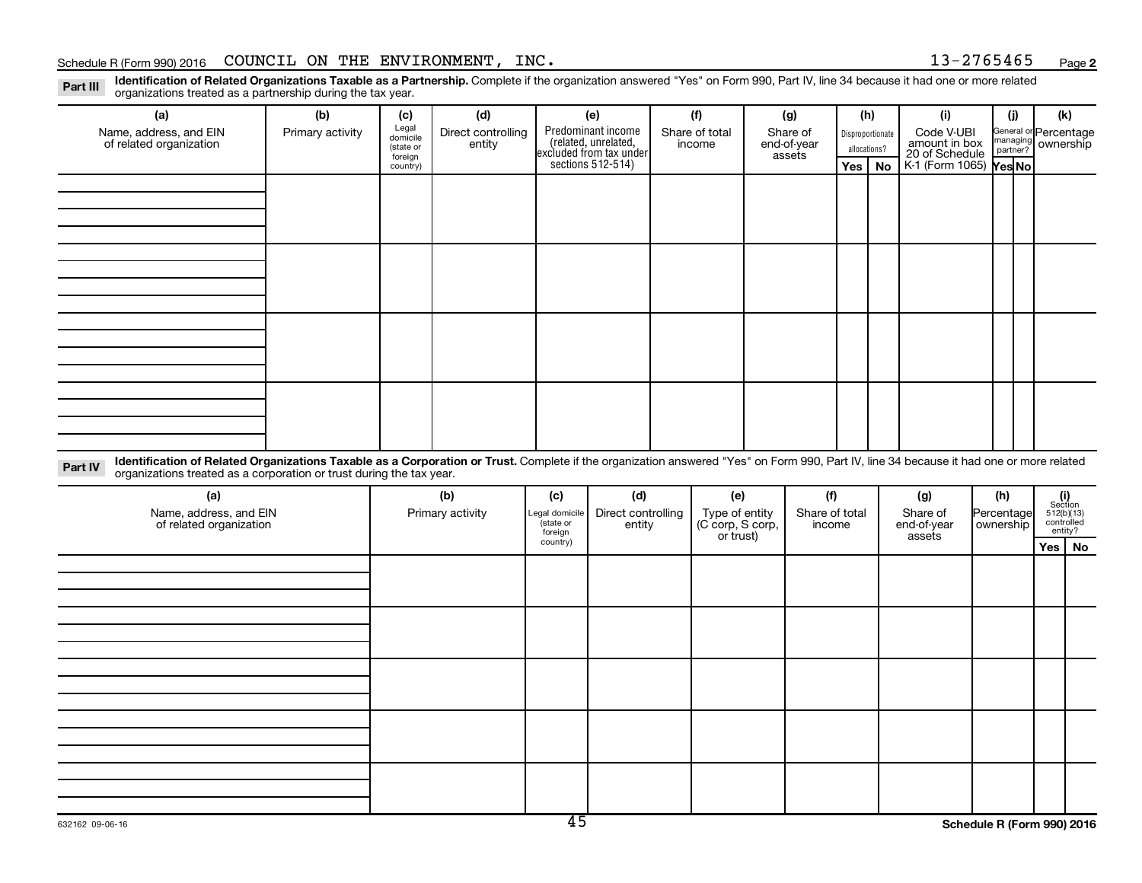#### Schedule R (Form 990) 2016 Page COUNCIL ON THE ENVIRONMENT, INC. 13-2765465

**2**

Part III Identification of Related Organizations Taxable as a Partnership. Complete if the organization answered "Yes" on Form 990, Part IV, line 34 because it had one or more related<br>Read to the organizations tracted as a organizations treated as a partnership during the tax year.

| (a)                                                                                                                                                                                                                                                                        | (b)              | (c)                                       | (d)                          |     | (e)                                                                   | (f)                      |     | (g)                               |     | (h)                              | (i)                                           | (i)      | (k)                                |
|----------------------------------------------------------------------------------------------------------------------------------------------------------------------------------------------------------------------------------------------------------------------------|------------------|-------------------------------------------|------------------------------|-----|-----------------------------------------------------------------------|--------------------------|-----|-----------------------------------|-----|----------------------------------|-----------------------------------------------|----------|------------------------------------|
| Name, address, and EIN<br>of related organization                                                                                                                                                                                                                          | Primary activity | Legal<br>domicile<br>(state or<br>foreign | Direct controlling<br>entity |     | Predominant income<br>(related, unrelated,<br>excluded from tax under | Share of total<br>income |     | Share of<br>end-of-year<br>assets |     | Disproportionate<br>allocations? | Code V-UBI<br>amount in box<br>20 of Schedule | managing | General or Percentage<br>ownership |
|                                                                                                                                                                                                                                                                            |                  | country)                                  |                              |     | sections 512-514)                                                     |                          |     |                                   | Yes | No                               | K-1 (Form 1065) Yes No                        |          |                                    |
|                                                                                                                                                                                                                                                                            |                  |                                           |                              |     |                                                                       |                          |     |                                   |     |                                  |                                               |          |                                    |
|                                                                                                                                                                                                                                                                            |                  |                                           |                              |     |                                                                       |                          |     |                                   |     |                                  |                                               |          |                                    |
|                                                                                                                                                                                                                                                                            |                  |                                           |                              |     |                                                                       |                          |     |                                   |     |                                  |                                               |          |                                    |
|                                                                                                                                                                                                                                                                            |                  |                                           |                              |     |                                                                       |                          |     |                                   |     |                                  |                                               |          |                                    |
|                                                                                                                                                                                                                                                                            |                  |                                           |                              |     |                                                                       |                          |     |                                   |     |                                  |                                               |          |                                    |
|                                                                                                                                                                                                                                                                            |                  |                                           |                              |     |                                                                       |                          |     |                                   |     |                                  |                                               |          |                                    |
|                                                                                                                                                                                                                                                                            |                  |                                           |                              |     |                                                                       |                          |     |                                   |     |                                  |                                               |          |                                    |
|                                                                                                                                                                                                                                                                            |                  |                                           |                              |     |                                                                       |                          |     |                                   |     |                                  |                                               |          |                                    |
|                                                                                                                                                                                                                                                                            |                  |                                           |                              |     |                                                                       |                          |     |                                   |     |                                  |                                               |          |                                    |
|                                                                                                                                                                                                                                                                            |                  |                                           |                              |     |                                                                       |                          |     |                                   |     |                                  |                                               |          |                                    |
|                                                                                                                                                                                                                                                                            |                  |                                           |                              |     |                                                                       |                          |     |                                   |     |                                  |                                               |          |                                    |
|                                                                                                                                                                                                                                                                            |                  |                                           |                              |     |                                                                       |                          |     |                                   |     |                                  |                                               |          |                                    |
|                                                                                                                                                                                                                                                                            |                  |                                           |                              |     |                                                                       |                          |     |                                   |     |                                  |                                               |          |                                    |
|                                                                                                                                                                                                                                                                            |                  |                                           |                              |     |                                                                       |                          |     |                                   |     |                                  |                                               |          |                                    |
|                                                                                                                                                                                                                                                                            |                  |                                           |                              |     |                                                                       |                          |     |                                   |     |                                  |                                               |          |                                    |
| Identification of Related Organizations Taxable as a Corporation or Trust. Complete if the organization answered "Yes" on Form 990, Part IV, line 34 because it had one or more related<br>Part IV<br>organizations treated as a corporation or trust during the tax year. |                  |                                           |                              |     |                                                                       |                          |     |                                   |     |                                  |                                               |          |                                    |
| (a)                                                                                                                                                                                                                                                                        |                  |                                           | (b)                          | (c) | (d)                                                                   |                          | (e) | (f)                               |     |                                  | (g)                                           | (h)      | (i)<br>Section                     |

| (a)                                               | (b)              | (c)                                   | (d)                          | (e)                                             | (f)                      | (g)                               | (h)                       |                                                                                                                                 |  |
|---------------------------------------------------|------------------|---------------------------------------|------------------------------|-------------------------------------------------|--------------------------|-----------------------------------|---------------------------|---------------------------------------------------------------------------------------------------------------------------------|--|
| Name, address, and EIN<br>of related organization | Primary activity | Legal domicile<br>state or<br>foreign | Direct controlling<br>entity | Type of entity<br>(C corp, S corp,<br>or trust) | Share of total<br>income | Share of<br>end-of-year<br>assets | Percentage<br>  ownership | $\begin{array}{c} \textbf{(i)}\\ \text{Section}\\ 512 \text{(b)} \text{(13)}\\ \text{controlled} \\ \text{entity?} \end{array}$ |  |
|                                                   |                  | country)                              |                              |                                                 |                          |                                   |                           | Yes   No                                                                                                                        |  |
|                                                   |                  |                                       |                              |                                                 |                          |                                   |                           |                                                                                                                                 |  |
|                                                   |                  |                                       |                              |                                                 |                          |                                   |                           |                                                                                                                                 |  |
|                                                   |                  |                                       |                              |                                                 |                          |                                   |                           |                                                                                                                                 |  |
|                                                   |                  |                                       |                              |                                                 |                          |                                   |                           |                                                                                                                                 |  |
|                                                   |                  |                                       |                              |                                                 |                          |                                   |                           |                                                                                                                                 |  |
|                                                   |                  |                                       |                              |                                                 |                          |                                   |                           |                                                                                                                                 |  |
|                                                   |                  |                                       |                              |                                                 |                          |                                   |                           |                                                                                                                                 |  |
|                                                   |                  |                                       |                              |                                                 |                          |                                   |                           |                                                                                                                                 |  |
|                                                   |                  |                                       |                              |                                                 |                          |                                   |                           |                                                                                                                                 |  |
|                                                   |                  |                                       |                              |                                                 |                          |                                   |                           |                                                                                                                                 |  |
|                                                   |                  |                                       |                              |                                                 |                          |                                   |                           |                                                                                                                                 |  |
|                                                   |                  |                                       |                              |                                                 |                          |                                   |                           |                                                                                                                                 |  |
|                                                   |                  |                                       |                              |                                                 |                          |                                   |                           |                                                                                                                                 |  |
|                                                   |                  |                                       |                              |                                                 |                          |                                   |                           |                                                                                                                                 |  |
|                                                   |                  |                                       |                              |                                                 |                          |                                   |                           |                                                                                                                                 |  |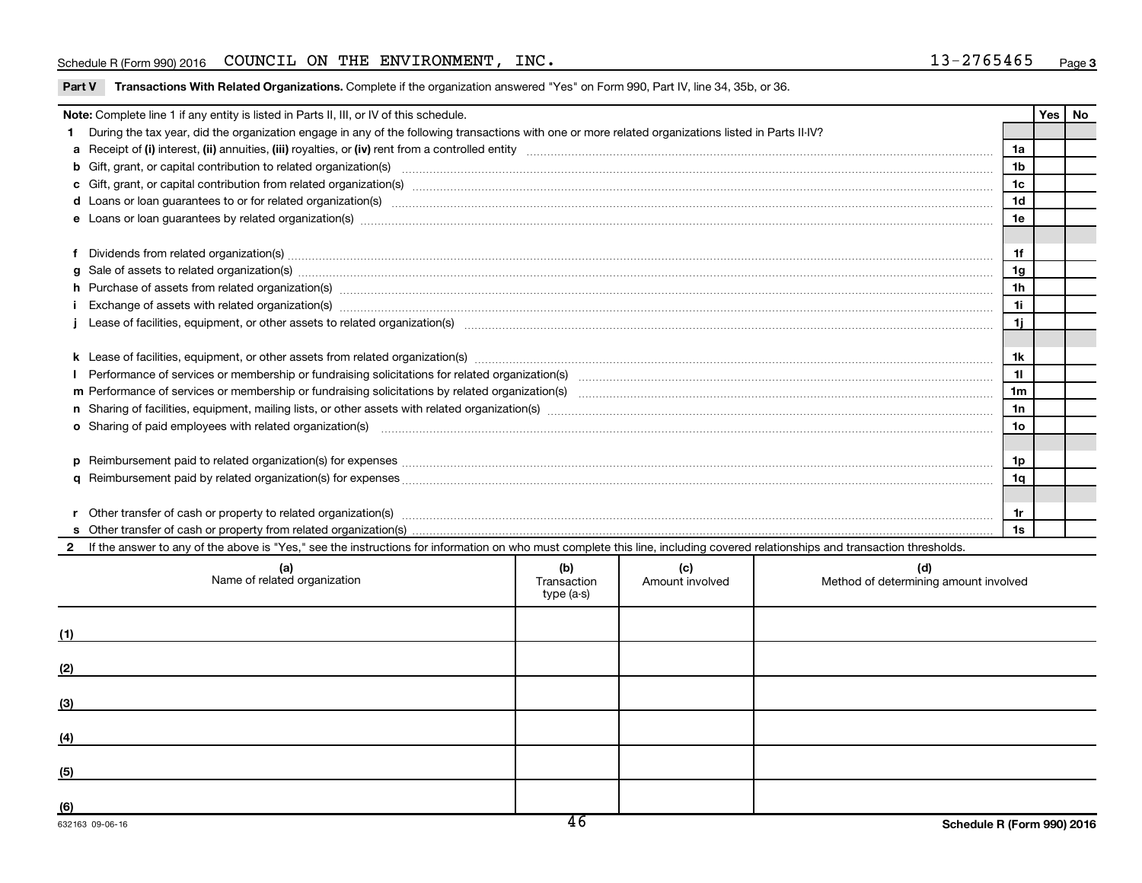#### Schedule R (Form 990) 2016 Page COUNCIL ON THE ENVIRONMENT, INC. 13-2765465

|  | Part V Transactions With Related Organizations. Complete if the organization answered "Yes" on Form 990, Part IV, line 34, 35b, or 36. |  |  |  |  |
|--|----------------------------------------------------------------------------------------------------------------------------------------|--|--|--|--|
|--|----------------------------------------------------------------------------------------------------------------------------------------|--|--|--|--|

| Note: Complete line 1 if any entity is listed in Parts II, III, or IV of this schedule. |                                                                                                                                                                                                                                |  |  |  |                |  |  |  |  |
|-----------------------------------------------------------------------------------------|--------------------------------------------------------------------------------------------------------------------------------------------------------------------------------------------------------------------------------|--|--|--|----------------|--|--|--|--|
|                                                                                         | During the tax year, did the organization engage in any of the following transactions with one or more related organizations listed in Parts II-IV?                                                                            |  |  |  |                |  |  |  |  |
|                                                                                         |                                                                                                                                                                                                                                |  |  |  | 1a             |  |  |  |  |
|                                                                                         |                                                                                                                                                                                                                                |  |  |  | 1 <sub>b</sub> |  |  |  |  |
|                                                                                         |                                                                                                                                                                                                                                |  |  |  | 1 <sub>c</sub> |  |  |  |  |
|                                                                                         | d Loans or loan guarantees to or for related organization(s) www.communically.com/www.communically.com/www.communically.com/www.communically.com/www.communically.com/www.communically.com/www.communically.com/www.communical |  |  |  |                |  |  |  |  |
|                                                                                         |                                                                                                                                                                                                                                |  |  |  | 1e             |  |  |  |  |
|                                                                                         |                                                                                                                                                                                                                                |  |  |  |                |  |  |  |  |
|                                                                                         | Dividends from related organization(s) Manual Communication and the contract of the contract of the contract of the contract of the contract of the contract of the contract of the contract of the contract of the contract o |  |  |  | 1f             |  |  |  |  |
|                                                                                         | g Sale of assets to related organization(s) manufactured assemblance contract to the contract of the contract or contract of the contract or contract or set of assets to related organization(s) manufactured assets to relat |  |  |  |                |  |  |  |  |
|                                                                                         | h Purchase of assets from related organization(s) manufactured content to the content of the content of assets from related organization(s) manufactured content of the content of the content of the content of the content o |  |  |  | 1 <sub>h</sub> |  |  |  |  |
|                                                                                         | Exchange of assets with related organization(s) manufactured and content to the content of the content of the content of the content of the content of the content of the content of the content of the content of the content |  |  |  | 11<br>1j       |  |  |  |  |
|                                                                                         |                                                                                                                                                                                                                                |  |  |  |                |  |  |  |  |
|                                                                                         |                                                                                                                                                                                                                                |  |  |  |                |  |  |  |  |
|                                                                                         |                                                                                                                                                                                                                                |  |  |  | 1k<br>11       |  |  |  |  |
|                                                                                         |                                                                                                                                                                                                                                |  |  |  |                |  |  |  |  |
|                                                                                         |                                                                                                                                                                                                                                |  |  |  |                |  |  |  |  |
|                                                                                         |                                                                                                                                                                                                                                |  |  |  |                |  |  |  |  |
|                                                                                         | o Sharing of paid employees with related organization(s) manufactured and content to the content of the content of the content of the content of the content of the content of the content of the content of the content of th |  |  |  |                |  |  |  |  |
|                                                                                         |                                                                                                                                                                                                                                |  |  |  |                |  |  |  |  |
|                                                                                         |                                                                                                                                                                                                                                |  |  |  |                |  |  |  |  |
|                                                                                         | 1q                                                                                                                                                                                                                             |  |  |  |                |  |  |  |  |
|                                                                                         | 1r                                                                                                                                                                                                                             |  |  |  |                |  |  |  |  |
|                                                                                         |                                                                                                                                                                                                                                |  |  |  |                |  |  |  |  |
|                                                                                         |                                                                                                                                                                                                                                |  |  |  |                |  |  |  |  |
|                                                                                         | If the answer to any of the above is "Yes," see the instructions for information on who must complete this line, including covered relationships and transaction thresholds.                                                   |  |  |  |                |  |  |  |  |
|                                                                                         | (b)<br>(c)<br>(d)<br>(a)<br>Name of related organization<br>Amount involved<br>Method of determining amount involved<br>Transaction<br>type (a-s)                                                                              |  |  |  |                |  |  |  |  |
|                                                                                         |                                                                                                                                                                                                                                |  |  |  |                |  |  |  |  |

| (1)                                                                                    |  |  |
|----------------------------------------------------------------------------------------|--|--|
| (2)<br><u> 1989 - John Stein, Amerikaansk politiker (* 1958)</u>                       |  |  |
| (3)                                                                                    |  |  |
| (4)                                                                                    |  |  |
| (5)<br>the contract of the contract of the contract of the contract of the contract of |  |  |
| (6)                                                                                    |  |  |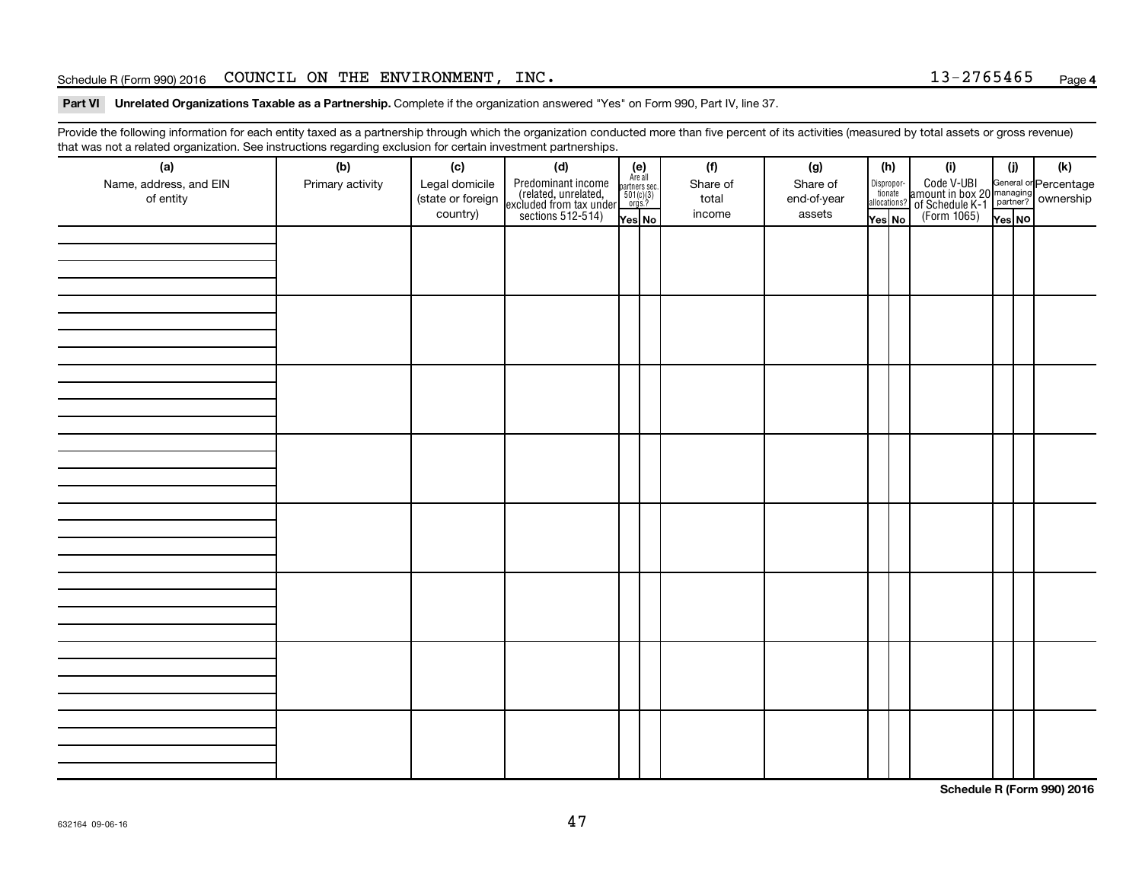#### Schedule R (Form 990) 2016 Page COUNCIL ON THE ENVIRONMENT, INC. 13-2765465

#### Part VI Unrelated Organizations Taxable as a Partnership. Complete if the organization answered "Yes" on Form 990, Part IV, line 37.

Provide the following information for each entity taxed as a partnership through which the organization conducted more than five percent of its activities (measured by total assets or gross revenue) that was not a related organization. See instructions regarding exclusion for certain investment partnerships.

| (a)<br>Name, address, and EIN<br>of entity | - - -<br>(b)<br>Primary activity | (c)<br>Legal domicile<br>(state or foreign<br>country) | - - - - <sub>1</sub> - - 1<br>(d)<br>Predominant income<br>(related, unrelated,<br>excluded from tax under<br>sections 512-514) | (e)<br>Are all<br>partners sec.<br>$501(c)(3)$<br>orgs.?<br>Yes No | (f)<br>Share of<br>total<br>income | (g)<br>Share of<br>end-of-year<br>assets | (h)<br>allocations?<br>Yes No | Dispropor-<br>tionate | (i)<br>Code V-UBI<br>amount in box 20 managing<br>of Schedule K-1<br>(Form 1065)<br>$\overline{V}$ ves No | (i)<br>Yes NO | (k) |
|--------------------------------------------|----------------------------------|--------------------------------------------------------|---------------------------------------------------------------------------------------------------------------------------------|--------------------------------------------------------------------|------------------------------------|------------------------------------------|-------------------------------|-----------------------|-----------------------------------------------------------------------------------------------------------|---------------|-----|
|                                            |                                  |                                                        |                                                                                                                                 |                                                                    |                                    |                                          |                               |                       |                                                                                                           |               |     |
|                                            |                                  |                                                        |                                                                                                                                 |                                                                    |                                    |                                          |                               |                       |                                                                                                           |               |     |
|                                            |                                  |                                                        |                                                                                                                                 |                                                                    |                                    |                                          |                               |                       |                                                                                                           |               |     |
|                                            |                                  |                                                        |                                                                                                                                 |                                                                    |                                    |                                          |                               |                       |                                                                                                           |               |     |
|                                            |                                  |                                                        |                                                                                                                                 |                                                                    |                                    |                                          |                               |                       |                                                                                                           |               |     |
|                                            |                                  |                                                        |                                                                                                                                 |                                                                    |                                    |                                          |                               |                       |                                                                                                           |               |     |
|                                            |                                  |                                                        |                                                                                                                                 |                                                                    |                                    |                                          |                               |                       |                                                                                                           |               |     |
|                                            |                                  |                                                        |                                                                                                                                 |                                                                    |                                    |                                          |                               |                       |                                                                                                           |               |     |

**Schedule R (Form 990) 2016**